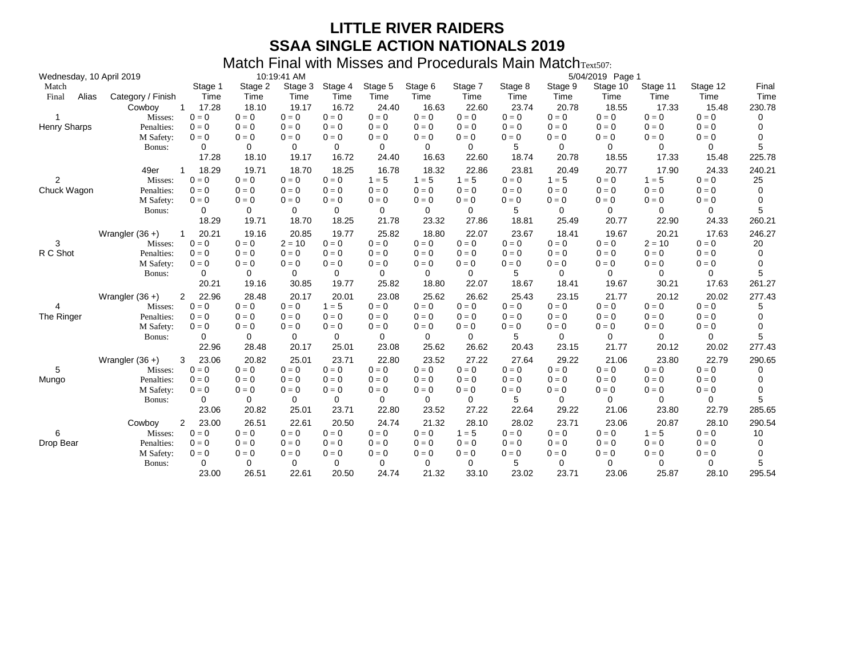| Wednesday, 10 April 2019 |                                                                   |                                                                      |                                                                | 10:19:41 AM                                           |                                                      |                                                      |                                                      |                                                      |                                                      |                                                      | 5/04/2019 Page 1                                            |                                                       |                                                             |                                       |
|--------------------------|-------------------------------------------------------------------|----------------------------------------------------------------------|----------------------------------------------------------------|-------------------------------------------------------|------------------------------------------------------|------------------------------------------------------|------------------------------------------------------|------------------------------------------------------|------------------------------------------------------|------------------------------------------------------|-------------------------------------------------------------|-------------------------------------------------------|-------------------------------------------------------------|---------------------------------------|
| Match<br>Alias<br>Final  | Category / Finish                                                 | Stage 1<br>Time                                                      | Stage 2<br>Time                                                | Stage 3<br>Time                                       | Stage 4<br>Time                                      | Stage 5<br>Time                                      | Stage 6<br>Time                                      | Stage 7<br>Time                                      | Stage 8<br>Time                                      | Stage 9<br>Time                                      | Stage 10<br>Time                                            | Stage 11<br>Time                                      | Stage 12<br>Time                                            | Final<br>Time                         |
|                          | Cowboy<br>Misses:                                                 | 17.28<br>-1<br>$0 = 0$                                               | 18.10<br>$0 = 0$                                               | 19.17<br>$0 = 0$                                      | 16.72<br>$0 = 0$                                     | 24.40<br>$0 = 0$                                     | 16.63<br>$0 = 0$                                     | 22.60<br>$0 = 0$                                     | 23.74<br>$0 = 0$                                     | 20.78<br>$0 = 0$                                     | 18.55<br>$0 = 0$                                            | 17.33<br>$0 = 0$                                      | 15.48<br>$0 = 0$                                            | 230.78<br>0                           |
| Henry Sharps             | Penalties:<br>M Safety:<br>Bonus:                                 | $0 = 0$<br>$0 = 0$<br>0<br>17.28                                     | $0 = 0$<br>$0 = 0$<br>0<br>18.10                               | $0 = 0$<br>$0 = 0$<br>0<br>19.17                      | $0 = 0$<br>$0 = 0$<br>0<br>16.72                     | $0 = 0$<br>$0 = 0$<br>0<br>24.40                     | $0 = 0$<br>$0 = 0$<br>0<br>16.63                     | $0 = 0$<br>$0 = 0$<br>0<br>22.60                     | $0 = 0$<br>$0 = 0$<br>5<br>18.74                     | $0 = 0$<br>$0 = 0$<br>0<br>20.78                     | $0 = 0$<br>$0 = 0$<br>0<br>18.55                            | $0 = 0$<br>$0 = 0$<br>0<br>17.33                      | $0 = 0$<br>$0 = 0$<br>$\Omega$<br>15.48                     | 0<br>0<br>5<br>225.78                 |
| 2<br>Chuck Wagon         | 49er<br>Misses:<br>Penalties:<br>M Safety:<br>Bonus:              | 18.29<br>$0 = 0$<br>$0 = 0$<br>$0 = 0$<br>0<br>18.29                 | 19.71<br>$0 = 0$<br>$0 = 0$<br>$0 = 0$<br>0<br>19.71           | 18.70<br>$0 = 0$<br>$0 = 0$<br>$0 = 0$<br>0<br>18.70  | 18.25<br>$0 = 0$<br>$0 = 0$<br>$0 = 0$<br>0<br>18.25 | 16.78<br>$1 = 5$<br>$0 = 0$<br>$0 = 0$<br>0<br>21.78 | 18.32<br>$1 = 5$<br>$0 = 0$<br>$0 = 0$<br>0<br>23.32 | 22.86<br>$1 = 5$<br>$0 = 0$<br>$0 = 0$<br>0<br>27.86 | 23.81<br>$0 = 0$<br>$0 = 0$<br>$0 = 0$<br>5<br>18.81 | 20.49<br>$1 = 5$<br>$0 = 0$<br>$0 = 0$<br>0<br>25.49 | 20.77<br>$0 = 0$<br>$0 = 0$<br>$0 = 0$<br>0<br>20.77        | 17.90<br>$1 = 5$<br>$0 = 0$<br>$0 = 0$<br>0<br>22.90  | 24.33<br>$0 = 0$<br>$0 = 0$<br>$0 = 0$<br>0<br>24.33        | 240.21<br>25<br>0<br>0<br>5<br>260.21 |
| 3<br>R C Shot            | Wrangler $(36 +)$<br>Misses:<br>Penalties:<br>M Safety:<br>Bonus: | 20.21<br>$0 = 0$<br>$0 = 0$<br>$0 = 0$<br>0<br>20.21                 | 19.16<br>$0 = 0$<br>$0 = 0$<br>$0 = 0$<br>0<br>19.16           | 20.85<br>$2 = 10$<br>$0 = 0$<br>$0 = 0$<br>0<br>30.85 | 19.77<br>$0 = 0$<br>$0 = 0$<br>$0 = 0$<br>0<br>19.77 | 25.82<br>$0 = 0$<br>$0 = 0$<br>$0 = 0$<br>0<br>25.82 | 18.80<br>$0 = 0$<br>$0 = 0$<br>$0 = 0$<br>0<br>18.80 | 22.07<br>$0 = 0$<br>$0 = 0$<br>$0 = 0$<br>0<br>22.07 | 23.67<br>$0 = 0$<br>$0 = 0$<br>$0 = 0$<br>5<br>18.67 | 18.41<br>$0 = 0$<br>$0 = 0$<br>$0 = 0$<br>0<br>18.41 | 19.67<br>$0 = 0$<br>$0 = 0$<br>$0 = 0$<br>$\Omega$<br>19.67 | 20.21<br>$2 = 10$<br>$0 = 0$<br>$0 = 0$<br>0<br>30.21 | 17.63<br>$0 = 0$<br>$0 = 0$<br>$0 = 0$<br>0<br>17.63        | 246.27<br>20<br>0<br>0<br>5<br>261.27 |
| The Ringer               | Wrangler $(36 +)$<br>Misses:<br>Penalties:<br>M Safety:<br>Bonus: | $\mathbf{2}$<br>22.96<br>$0 = 0$<br>$0 = 0$<br>$0 = 0$<br>0<br>22.96 | 28.48<br>$0 = 0$<br>$0 = 0$<br>$0 = 0$<br>0<br>28.48           | 20.17<br>$0 = 0$<br>$0 = 0$<br>$0 = 0$<br>0<br>20.17  | 20.01<br>$1 = 5$<br>$0 = 0$<br>$0 = 0$<br>0<br>25.01 | 23.08<br>$0 = 0$<br>$0 = 0$<br>$0 = 0$<br>0<br>23.08 | 25.62<br>$0 = 0$<br>$0 = 0$<br>$0 = 0$<br>0<br>25.62 | 26.62<br>$0 = 0$<br>$0 = 0$<br>$0 = 0$<br>0<br>26.62 | 25.43<br>$0 = 0$<br>$0 = 0$<br>$0 = 0$<br>5<br>20.43 | 23.15<br>$0 = 0$<br>$0 = 0$<br>$0 = 0$<br>0<br>23.15 | 21.77<br>$0 = 0$<br>$0 = 0$<br>$0 = 0$<br>0<br>21.77        | 20.12<br>$0 = 0$<br>$0 = 0$<br>$0 = 0$<br>0<br>20.12  | 20.02<br>$0 = 0$<br>$0 = 0$<br>$0 = 0$<br>$\Omega$<br>20.02 | 277.43<br>5<br>0<br>0<br>5<br>277.43  |
| 5<br>Mungo               | Wrangler $(36 +)$<br>Misses:<br>Penalties:<br>M Safety:<br>Bonus: | 23.06<br>3<br>$0 = 0$<br>$0 = 0$<br>$0 = 0$<br>0<br>23.06            | 20.82<br>$0 = 0$<br>$0 = 0$<br>$0 = 0$<br>0<br>20.82           | 25.01<br>$0 = 0$<br>$0 = 0$<br>$0 = 0$<br>0<br>25.01  | 23.71<br>$0 = 0$<br>$0 = 0$<br>$0 = 0$<br>0<br>23.71 | 22.80<br>$0 = 0$<br>$0 = 0$<br>$0 = 0$<br>0<br>22.80 | 23.52<br>$0 = 0$<br>$0 = 0$<br>$0 = 0$<br>0<br>23.52 | 27.22<br>$0 = 0$<br>$0 = 0$<br>$0 = 0$<br>0<br>27.22 | 27.64<br>$0 = 0$<br>$0 = 0$<br>$0 = 0$<br>5<br>22.64 | 29.22<br>$0 = 0$<br>$0 = 0$<br>$0 = 0$<br>0<br>29.22 | 21.06<br>$0 = 0$<br>$0 = 0$<br>$0 = 0$<br>0<br>21.06        | 23.80<br>$0 = 0$<br>$0 = 0$<br>$0 = 0$<br>0<br>23.80  | 22.79<br>$0 = 0$<br>$0 = 0$<br>$0 = 0$<br>0<br>22.79        | 290.65<br>0<br>0<br>0<br>5<br>285.65  |
| 6<br>Drop Bear           | Cowboy<br>Misses:<br>Penalties:<br>M Safety:<br>Bonus:            | 2<br>23.00<br>$0 = 0$<br>$0 = 0$<br>$0 = 0$<br>0<br>23.00            | 26.51<br>$0 = 0$<br>$0 = 0$<br>$0 = 0$<br>$\mathbf 0$<br>26.51 | 22.61<br>$0 = 0$<br>$0 = 0$<br>$0 = 0$<br>0<br>22.61  | 20.50<br>$0 = 0$<br>$0 = 0$<br>$0 = 0$<br>0<br>20.50 | 24.74<br>$0 = 0$<br>$0 = 0$<br>$0 = 0$<br>0<br>24.74 | 21.32<br>$0 = 0$<br>$0 = 0$<br>$0 = 0$<br>0<br>21.32 | 28.10<br>$1 = 5$<br>$0 = 0$<br>$0 = 0$<br>0<br>33.10 | 28.02<br>$0 = 0$<br>$0 = 0$<br>$0 = 0$<br>5<br>23.02 | 23.71<br>$0 = 0$<br>$0 = 0$<br>$0 = 0$<br>0<br>23.71 | 23.06<br>$0 = 0$<br>$0 = 0$<br>$0 = 0$<br>0<br>23.06        | 20.87<br>$1 = 5$<br>$0 = 0$<br>$0 = 0$<br>0<br>25.87  | 28.10<br>$0 = 0$<br>$0 = 0$<br>$0 = 0$<br>0<br>28.10        | 290.54<br>10<br>0<br>0<br>5<br>295.54 |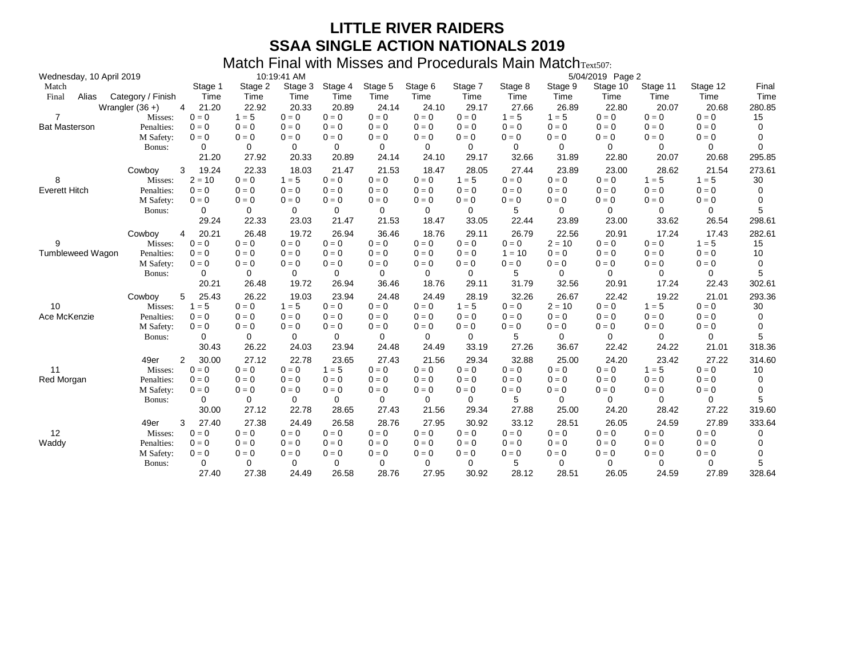| Wednesday, 10 April 2019  |                                                        |                                                   |                                             | 10:19:41 AM                                 |                                             |                                             |                                             |                                                    |                                              |                                              | 5/04/2019 Page 2                            |                                             |                                             |                              |
|---------------------------|--------------------------------------------------------|---------------------------------------------------|---------------------------------------------|---------------------------------------------|---------------------------------------------|---------------------------------------------|---------------------------------------------|----------------------------------------------------|----------------------------------------------|----------------------------------------------|---------------------------------------------|---------------------------------------------|---------------------------------------------|------------------------------|
| Match<br>Final<br>Alias   | Category / Finish                                      | Stage 1<br>Time                                   | Stage 2<br>Time                             | Stage 3<br>Time                             | Stage 4<br>Time                             | Stage 5<br>Time                             | Stage 6<br>Time                             | Stage 7<br>Time                                    | Stage 8<br>Time                              | Stage 9<br>Time                              | Stage 10<br>Time                            | Stage 11<br>Time                            | Stage 12<br>Time                            | Final<br>Time                |
| 7                         | Wrangler $(36 +)$<br>Misses:                           | 21.20<br>$\overline{4}$<br>$0 = 0$                | 22.92<br>$1 = 5$                            | 20.33<br>$0 = 0$                            | 20.89<br>$0 = 0$                            | 24.14<br>$0 = 0$                            | 24.10<br>$0 = 0$                            | 29.17<br>$0 = 0$                                   | 27.66<br>$1 = 5$                             | 26.89<br>$1 = 5$                             | 22.80<br>$0 = 0$                            | 20.07<br>$0 = 0$                            | 20.68<br>$0 = 0$                            | 280.85<br>15                 |
| <b>Bat Masterson</b>      | Penalties:<br>M Safety:<br>Bonus:                      | $0 = 0$<br>$0 = 0$<br>0                           | $0 = 0$<br>$0 = 0$<br>$\Omega$              | $0 = 0$<br>$0 = 0$<br>$\Omega$              | $0 = 0$<br>$0 = 0$<br>$\Omega$              | $0 = 0$<br>$0 = 0$<br>$\Omega$              | $0 = 0$<br>$0 = 0$<br>$\Omega$              | $0 = 0$<br>$0 = 0$<br>$\Omega$                     | $0 = 0$<br>$0 = 0$<br>$\Omega$               | $0 = 0$<br>$0 = 0$<br>$\Omega$               | $0 = 0$<br>$0 = 0$<br>$\Omega$              | $0 = 0$<br>$0 = 0$<br>$\Omega$              | $0 = 0$<br>$0 = 0$<br>$\Omega$              | 0<br>0<br>$\Omega$           |
|                           |                                                        | 21.20                                             | 27.92                                       | 20.33                                       | 20.89                                       | 24.14                                       | 24.10                                       | 29.17                                              | 32.66                                        | 31.89                                        | 22.80                                       | 20.07                                       | 20.68                                       | 295.85                       |
| 8<br><b>Everett Hitch</b> | Cowboy<br>Misses:<br>Penalties:<br>M Safety:<br>Bonus: | 19.24<br>3<br>$2 = 10$<br>$0 = 0$<br>$0 = 0$<br>0 | 22.33<br>$0 = 0$<br>$0 = 0$<br>$0 = 0$<br>0 | 18.03<br>$1 = 5$<br>$0 = 0$<br>$0 = 0$<br>0 | 21.47<br>$0 = 0$<br>$0 = 0$<br>$0 = 0$<br>0 | 21.53<br>$0 = 0$<br>$0 = 0$<br>$0 = 0$<br>0 | 18.47<br>$0 = 0$<br>$0 = 0$<br>$0 = 0$<br>0 | 28.05<br>$1 = 5$<br>$0 = 0$<br>$0 = 0$<br>0        | 27.44<br>$0 = 0$<br>$0 = 0$<br>$0 = 0$<br>5  | 23.89<br>$0 = 0$<br>$0 = 0$<br>$0 = 0$<br>0  | 23.00<br>$0 = 0$<br>$0 = 0$<br>$0 = 0$<br>0 | 28.62<br>$1 = 5$<br>$0 = 0$<br>$0 = 0$<br>0 | 21.54<br>$1 = 5$<br>$0 = 0$<br>$0 = 0$<br>0 | 273.61<br>30<br>0<br>0<br>5  |
|                           |                                                        | 29.24                                             | 22.33                                       | 23.03                                       | 21.47                                       | 21.53                                       | 18.47                                       | 33.05                                              | 22.44                                        | 23.89                                        | 23.00                                       | 33.62                                       | 26.54                                       | 298.61                       |
| 9<br>Tumbleweed Wagon     | Cowboy<br>Misses:<br>Penalties:<br>M Safety:<br>Bonus: | 20.21<br>4<br>$0 = 0$<br>$0 = 0$<br>$0 = 0$<br>0  | 26.48<br>$0 = 0$<br>$0 = 0$<br>$0 = 0$<br>0 | 19.72<br>$0 = 0$<br>$0 = 0$<br>$0 = 0$<br>0 | 26.94<br>$0 = 0$<br>$0 = 0$<br>$0 = 0$<br>0 | 36.46<br>$0 = 0$<br>$0 = 0$<br>$0 = 0$<br>0 | 18.76<br>$0 = 0$<br>$0 = 0$<br>$0 = 0$<br>0 | 29.11<br>$0 = 0$<br>$0 = 0$<br>$0 = 0$<br>0        | 26.79<br>$0 = 0$<br>$1 = 10$<br>$0 = 0$<br>5 | 22.56<br>$2 = 10$<br>$0 = 0$<br>$0 = 0$<br>0 | 20.91<br>$0 = 0$<br>$0 = 0$<br>$0 = 0$<br>0 | 17.24<br>$0 = 0$<br>$0 = 0$<br>$0 = 0$<br>0 | 17.43<br>$1 = 5$<br>$0 = 0$<br>$0 = 0$<br>0 | 282.61<br>15<br>10<br>0<br>5 |
|                           | Cowboy                                                 | 20.21<br>25.43<br>5                               | 26.48<br>26.22                              | 19.72<br>19.03                              | 26.94<br>23.94                              | 36.46<br>24.48                              | 18.76<br>24.49                              | 29.11<br>28.19                                     | 31.79<br>32.26                               | 32.56<br>26.67                               | 20.91<br>22.42                              | 17.24<br>19.22                              | 22.43<br>21.01                              | 302.61<br>293.36             |
| 10<br>Ace McKenzie        | Misses:<br>Penalties:<br>M Safety:<br>Bonus:           | $1 = 5$<br>$0 = 0$<br>$0 = 0$<br>0                | $0 = 0$<br>$0 = 0$<br>$0 = 0$<br>0          | $1 = 5$<br>$0 = 0$<br>$0 = 0$<br>0          | $0 = 0$<br>$0 = 0$<br>$0 = 0$<br>0          | $0 = 0$<br>$0 = 0$<br>$0 = 0$<br>0          | $0 = 0$<br>$0 = 0$<br>$0 = 0$<br>0          | $1 = 5$<br>$0 = 0$<br>$0 = 0$<br>$\Omega$          | $0 = 0$<br>$0 = 0$<br>$0 = 0$<br>5           | $2 = 10$<br>$0 = 0$<br>$0 = 0$<br>$\Omega$   | $0 = 0$<br>$0 = 0$<br>$0 = 0$<br>$\Omega$   | $1 = 5$<br>$0 = 0$<br>$0 = 0$<br>0          | $0 = 0$<br>$0 = 0$<br>$0 = 0$<br>$\Omega$   | 30<br>0<br>0<br>5            |
|                           | 49er                                                   | 30.43<br>$\overline{2}$<br>30.00                  | 26.22<br>27.12                              | 24.03<br>22.78                              | 23.94<br>23.65                              | 24.48<br>27.43                              | 24.49<br>21.56                              | 33.19<br>29.34                                     | 27.26<br>32.88                               | 36.67<br>25.00                               | 22.42<br>24.20                              | 24.22<br>23.42                              | 21.01<br>27.22                              | 318.36<br>314.60             |
| 11<br>Red Morgan          | Misses:<br>Penalties:<br>M Safety:<br>Bonus:           | $0 = 0$<br>$0 = 0$<br>$0 = 0$<br>0<br>30.00       | $0 = 0$<br>$0 = 0$<br>$0 = 0$<br>0<br>27.12 | $0 = 0$<br>$0 = 0$<br>$0 = 0$<br>0<br>22.78 | $1 = 5$<br>$0 = 0$<br>$0 = 0$<br>0<br>28.65 | $0 = 0$<br>$0 = 0$<br>$0 = 0$<br>0<br>27.43 | $0 = 0$<br>$0 = 0$<br>$0 = 0$<br>0<br>21.56 | $0 = 0$<br>$0 = 0$<br>$0 = 0$<br>$\Omega$<br>29.34 | $0 = 0$<br>$0 = 0$<br>$0 = 0$<br>5<br>27.88  | $0 = 0$<br>$0 = 0$<br>$0 = 0$<br>0<br>25.00  | $0 = 0$<br>$0 = 0$<br>$0 = 0$<br>0<br>24.20 | $1 = 5$<br>$0 = 0$<br>$0 = 0$<br>0<br>28.42 | $0 = 0$<br>$0 = 0$<br>$0 = 0$<br>0<br>27.22 | 10<br>0<br>0<br>5<br>319.60  |
|                           | 49er                                                   | 3<br>27.40                                        | 27.38                                       | 24.49                                       | 26.58                                       | 28.76                                       | 27.95                                       | 30.92                                              | 33.12                                        | 28.51                                        | 26.05                                       | 24.59                                       | 27.89                                       | 333.64                       |
| 12<br>Waddy               | Misses:<br>Penalties:                                  | $0 = 0$<br>$0 = 0$                                | $0 = 0$<br>$0 = 0$                          | $0 = 0$<br>$0 = 0$                          | $0 = 0$<br>$0 = 0$                          | $0 = 0$<br>$0 = 0$                          | $0 = 0$<br>$0 = 0$                          | $0 = 0$<br>$0 = 0$<br>$0 = 0$                      | $0 = 0$<br>$0 = 0$                           | $0 = 0$<br>$0 = 0$                           | $0 = 0$<br>$0 = 0$<br>$0 = 0$               | $0 = 0$<br>$0 = 0$                          | $0 = 0$<br>$0 = 0$                          | 0<br>$\Omega$                |
|                           | M Safety:<br>Bonus:                                    | $0 = 0$<br>0<br>27.40                             | $0 = 0$<br>0<br>27.38                       | $0 = 0$<br>0<br>24.49                       | $0 = 0$<br>0<br>26.58                       | $0 = 0$<br>0<br>28.76                       | $0 = 0$<br>0<br>27.95                       | 0<br>30.92                                         | $0 = 0$<br>5<br>28.12                        | $0 = 0$<br>0<br>28.51                        | 0<br>26.05                                  | $0 = 0$<br>0<br>24.59                       | $0 = 0$<br>0<br>27.89                       | 0<br>5<br>328.64             |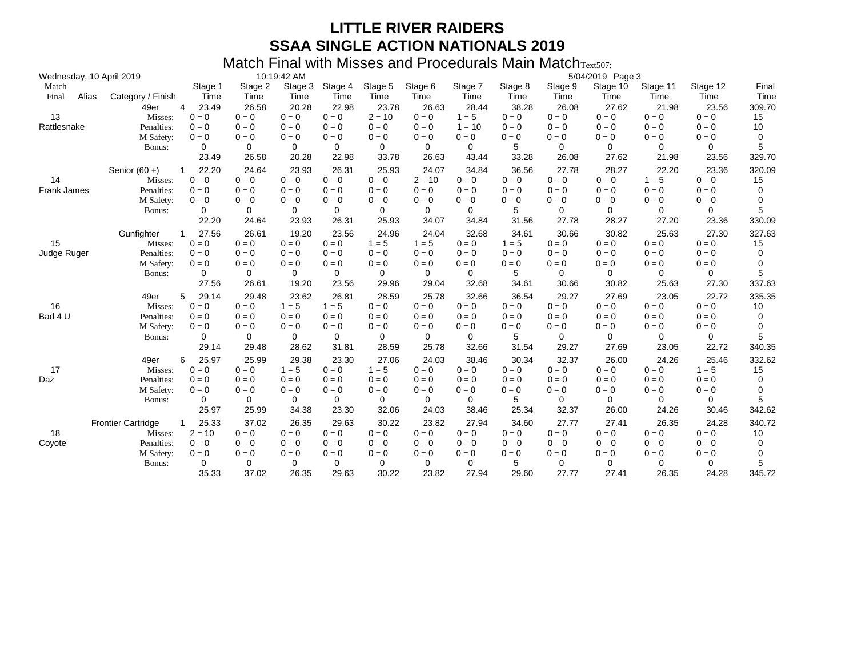|                   | Wednesday, 10 April 2019                                   |                                             |                                             | 10:19:42 AM                                 |                                             |                                             |                                             |                                             |                                             |                                             | 5/04/2019 Page 3                                   |                                             |                                             |                             |
|-------------------|------------------------------------------------------------|---------------------------------------------|---------------------------------------------|---------------------------------------------|---------------------------------------------|---------------------------------------------|---------------------------------------------|---------------------------------------------|---------------------------------------------|---------------------------------------------|----------------------------------------------------|---------------------------------------------|---------------------------------------------|-----------------------------|
| Match<br>Final    | Alias<br>Category / Finish                                 | Stage 1<br>Time                             | Stage 2<br>Time                             | Stage 3<br>Time                             | Stage 4<br>Time                             | Stage 5<br>Time                             | Stage 6<br>Time                             | Stage 7<br>Time                             | Stage 8<br>Time                             | Stage 9<br>Time                             | Stage 10<br>Time                                   | Stage 11<br>Time                            | Stage 12<br>Time                            | Final<br>Time               |
| 13                | 49er<br>Misses:                                            | 23.49<br>4<br>$0 = 0$                       | 26.58<br>$0 = 0$                            | 20.28<br>$0 = 0$                            | 22.98<br>$0 = 0$                            | 23.78<br>$2 = 10$                           | 26.63<br>$0 = 0$                            | 28.44<br>$1 = 5$                            | 38.28<br>$0 = 0$                            | 26.08<br>$0 = 0$                            | 27.62<br>$0 = 0$                                   | 21.98<br>$0 = 0$                            | 23.56<br>$0 = 0$                            | 309.70<br>15                |
| Rattlesnake       | Penalties:<br>M Safety:                                    | $0 = 0$<br>$0 = 0$                          | $0 = 0$<br>$0 = 0$                          | $0 = 0$<br>$0 = 0$                          | $0 = 0$<br>$0 = 0$                          | $0 = 0$<br>$0 = 0$                          | $0 = 0$<br>$0 = 0$                          | $1 = 10$<br>$0 = 0$                         | $0 = 0$<br>$0 = 0$                          | $0 = 0$<br>$0 = 0$                          | $0 = 0$<br>$0 = 0$                                 | $0 = 0$<br>$0 = 0$                          | $0 = 0$<br>$0 = 0$                          | 10<br>0                     |
|                   | Bonus:                                                     | 0<br>23.49                                  | 0<br>26.58                                  | 0<br>20.28                                  | 0<br>22.98                                  | 0<br>33.78                                  | 0<br>26.63                                  | 0<br>43.44                                  | 5<br>33.28                                  | 0<br>26.08                                  | 0<br>27.62                                         | 0<br>21.98                                  | 0<br>23.56                                  | 5<br>329.70                 |
| 14<br>Frank James | Senior $(60 +)$<br>Misses:<br>Penalties:                   | 22.20<br>$0 = 0$<br>$0 = 0$                 | 24.64<br>$0 = 0$<br>$0 = 0$                 | 23.93<br>$0 = 0$<br>$0 = 0$                 | 26.31<br>$0 = 0$<br>$0 = 0$                 | 25.93<br>$0 = 0$<br>$0 = 0$                 | 24.07<br>$2 = 10$<br>$0 = 0$                | 34.84<br>$0 = 0$<br>$0 = 0$                 | 36.56<br>$0 = 0$<br>$0 = 0$                 | 27.78<br>$0 = 0$<br>$0 = 0$                 | 28.27<br>$0 = 0$<br>$0 = 0$                        | 22.20<br>$1 = 5$<br>$0 = 0$                 | 23.36<br>$0 = 0$<br>$0 = 0$                 | 320.09<br>15<br>0           |
|                   | M Safety:<br>Bonus:                                        | $0 = 0$<br>0<br>22.20                       | $0 = 0$<br>0<br>24.64                       | $0 = 0$<br>0<br>23.93                       | $0 = 0$<br>0<br>26.31                       | $0 = 0$<br>0<br>25.93                       | $0 = 0$<br>0<br>34.07                       | $0 = 0$<br>0<br>34.84                       | $0 = 0$<br>5<br>31.56                       | $0 = 0$<br>0<br>27.78                       | $0 = 0$<br>0<br>28.27                              | $0 = 0$<br>0<br>27.20                       | $0 = 0$<br>0<br>23.36                       | 0<br>5<br>330.09            |
| 15<br>Judge Ruger | Gunfighter<br>Misses:<br>Penalties:<br>M Safety:<br>Bonus: | 27.56<br>$0 = 0$<br>$0 = 0$<br>$0 = 0$<br>0 | 26.61<br>$0 = 0$<br>$0 = 0$<br>$0 = 0$<br>0 | 19.20<br>$0 = 0$<br>$0 = 0$<br>$0 = 0$<br>0 | 23.56<br>$0 = 0$<br>$0 = 0$<br>$0 = 0$<br>0 | 24.96<br>$1 = 5$<br>$0 = 0$<br>$0 = 0$<br>0 | 24.04<br>$1 = 5$<br>$0 = 0$<br>$0 = 0$<br>0 | 32.68<br>$0 = 0$<br>$0 = 0$<br>$0 = 0$<br>0 | 34.61<br>$1 = 5$<br>$0 = 0$<br>$0 = 0$<br>5 | 30.66<br>$0 = 0$<br>$0 = 0$<br>$0 = 0$<br>0 | 30.82<br>$0 = 0$<br>$0 = 0$<br>$0 = 0$<br>$\Omega$ | 25.63<br>$0 = 0$<br>$0 = 0$<br>$0 = 0$<br>0 | 27.30<br>$0 = 0$<br>$0 = 0$<br>$0 = 0$<br>0 | 327.63<br>15<br>0<br>0<br>5 |
|                   | 49er                                                       | 27.56<br>5<br>29.14                         | 26.61<br>29.48                              | 19.20<br>23.62                              | 23.56<br>26.81                              | 29.96<br>28.59                              | 29.04<br>25.78                              | 32.68<br>32.66                              | 34.61<br>36.54                              | 30.66<br>29.27                              | 30.82<br>27.69                                     | 25.63<br>23.05                              | 27.30<br>22.72                              | 337.63<br>335.35            |
| 16<br>Bad 4 U     | Misses:<br>Penalties:<br>M Safety:<br>Bonus:               | $0 = 0$<br>$0 = 0$<br>$0 = 0$<br>$\Omega$   | $0 = 0$<br>$0 = 0$<br>$0 = 0$<br>0          | $1 = 5$<br>$0 = 0$<br>$0 = 0$<br>$\Omega$   | $1 = 5$<br>$0 = 0$<br>$0 = 0$<br>0          | $0 = 0$<br>$0 = 0$<br>$0 = 0$<br>0          | $0 = 0$<br>$0 = 0$<br>$0 = 0$<br>0          | $0 = 0$<br>$0 = 0$<br>$0 = 0$<br>$\Omega$   | $0 = 0$<br>$0 = 0$<br>$0 = 0$<br>5          | $0 = 0$<br>$0 = 0$<br>$0 = 0$<br>$\Omega$   | $0 = 0$<br>$0 = 0$<br>$0 = 0$<br>$\Omega$          | $0 = 0$<br>$0 = 0$<br>$0 = 0$<br>$\Omega$   | $0 = 0$<br>$0 = 0$<br>$0 = 0$<br>$\Omega$   | 10<br>0<br>0<br>5           |
|                   |                                                            | 29.14                                       | 29.48                                       | 28.62                                       | 31.81                                       | 28.59                                       | 25.78                                       | 32.66                                       | 31.54                                       | 29.27                                       | 27.69                                              | 23.05                                       | 22.72                                       | 340.35                      |
| 17<br>Daz         | 49er<br>Misses:<br>Penalties:<br>M Safety:                 | 6<br>25.97<br>$0 = 0$<br>$0 = 0$<br>$0 = 0$ | 25.99<br>$0 = 0$<br>$0 = 0$<br>$0 = 0$      | 29.38<br>$1 = 5$<br>$0 = 0$<br>$0 = 0$      | 23.30<br>$0 = 0$<br>$0 = 0$<br>$0 = 0$      | 27.06<br>$1 = 5$<br>$0 = 0$<br>$0 = 0$      | 24.03<br>$0 = 0$<br>$0 = 0$<br>$0 = 0$      | 38.46<br>$0 = 0$<br>$0 = 0$<br>$0 = 0$      | 30.34<br>$0 = 0$<br>$0 = 0$<br>$0 = 0$      | 32.37<br>$0 = 0$<br>$0 = 0$<br>$0 = 0$      | 26.00<br>$0 = 0$<br>$0 = 0$<br>$0 = 0$             | 24.26<br>$0 = 0$<br>$0 = 0$<br>$0 = 0$      | 25.46<br>$1 = 5$<br>$0 = 0$<br>$0 = 0$      | 332.62<br>15<br>0<br>0      |
|                   | Bonus:                                                     | 0<br>25.97                                  | 0<br>25.99                                  | 0<br>34.38                                  | 0<br>23.30                                  | 0<br>32.06                                  | 0<br>24.03                                  | 0<br>38.46                                  | 5<br>25.34                                  | 0<br>32.37                                  | 0<br>26.00                                         | 0<br>24.26                                  | 0<br>30.46                                  | 5<br>342.62                 |
| 18<br>Coyote      | <b>Frontier Cartridge</b><br>Misses:<br>Penalties:         | 25.33<br>$2 = 10$<br>$0 = 0$                | 37.02<br>$0 = 0$<br>$0 = 0$                 | 26.35<br>$0 = 0$<br>$0 = 0$                 | 29.63<br>$0 = 0$<br>$0 = 0$                 | 30.22<br>$0 = 0$<br>$0 = 0$                 | 23.82<br>$0 = 0$<br>$0 = 0$                 | 27.94<br>$0 = 0$<br>$0 = 0$                 | 34.60<br>$0 = 0$<br>$0 = 0$                 | 27.77<br>$0 = 0$<br>$0 = 0$                 | 27.41<br>$0 = 0$<br>$0 = 0$                        | 26.35<br>$0 = 0$<br>$0 = 0$                 | 24.28<br>$0 = 0$<br>$0 = 0$                 | 340.72<br>10<br>0           |
|                   | M Safety:<br>Bonus:                                        | $0 = 0$<br>0<br>35.33                       | $0 = 0$<br>0<br>37.02                       | $0 = 0$<br>0<br>26.35                       | $0 = 0$<br>0<br>29.63                       | $0 = 0$<br>0<br>30.22                       | $0 = 0$<br>0<br>23.82                       | $0 = 0$<br>0<br>27.94                       | $0 = 0$<br>5<br>29.60                       | $0 = 0$<br>0<br>27.77                       | $0 = 0$<br>0<br>27.41                              | $0 = 0$<br>0<br>26.35                       | $0 = 0$<br>0<br>24.28                       | 0<br>5<br>345.72            |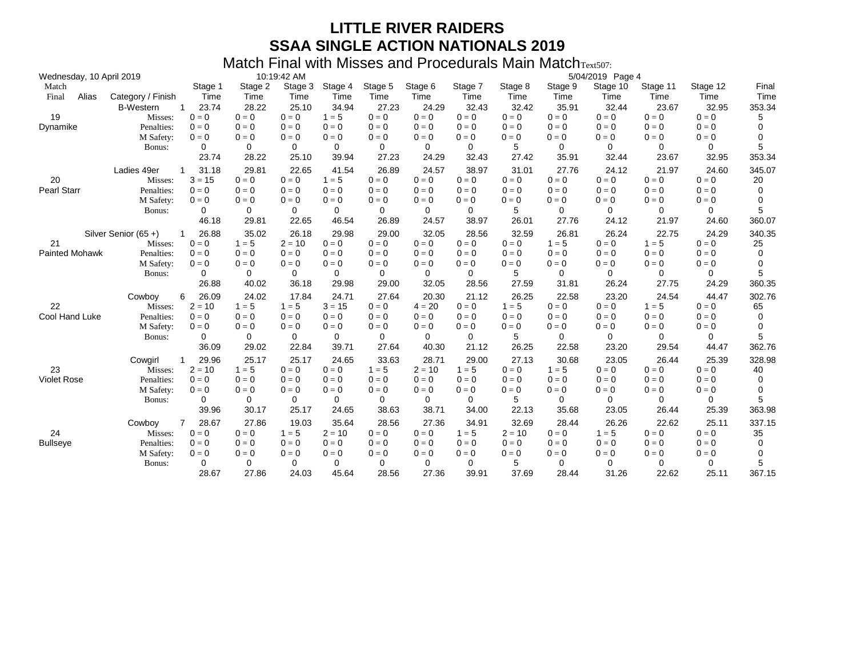|                    |       | Wednesday, 10 April 2019 |                       |                 | 10:19:42 AM     |                 |                 |                 |                 |                 |                 | 5/04/2019 Page 4 |                  |                  |               |
|--------------------|-------|--------------------------|-----------------------|-----------------|-----------------|-----------------|-----------------|-----------------|-----------------|-----------------|-----------------|------------------|------------------|------------------|---------------|
| Match<br>Final     | Alias | Category / Finish        | Stage 1<br>Time       | Stage 2<br>Time | Stage 3<br>Time | Stage 4<br>Time | Stage 5<br>Time | Stage 6<br>Time | Stage 7<br>Time | Stage 8<br>Time | Stage 9<br>Time | Stage 10<br>Time | Stage 11<br>Time | Stage 12<br>Time | Final<br>Time |
|                    |       | <b>B-Western</b>         | 23.74<br>$\mathbf{1}$ | 28.22           | 25.10           | 34.94           | 27.23           | 24.29           | 32.43           | 32.42           | 35.91           | 32.44            | 23.67            | 32.95            | 353.34        |
| 19                 |       | Misses:                  | $0 = 0$               | $0 = 0$         | $0 = 0$         | $1 = 5$         | $0 = 0$         | $0 = 0$         | $0 = 0$         | $0 = 0$         | $0 = 0$         | $0 = 0$          | $0 = 0$          | $0 = 0$          | 5             |
| Dynamike           |       | Penalties:               | $0 = 0$               | $0 = 0$         | $0 = 0$         | $0 = 0$         | $0 = 0$         | $0 = 0$         | $0 = 0$         | $0 = 0$         | $0 = 0$         | $0 = 0$          | $0 = 0$          | $0 = 0$          | 0             |
|                    |       | M Safety:                | $0 = 0$               | $0 = 0$         | $0 = 0$         | $0 = 0$         | $0 = 0$         | $0 = 0$         | $0 = 0$         | $0 = 0$         | $0 = 0$         | $0 = 0$          | $0 = 0$          | $0 = 0$          | 0             |
|                    |       | Bonus:                   | 0                     | 0               | 0               | 0               | 0               | 0               | 0               | 5               | 0               | 0                | 0                | 0                | 5             |
|                    |       |                          | 23.74                 | 28.22           | 25.10           | 39.94           | 27.23           | 24.29           | 32.43           | 27.42           | 35.91           | 32.44            | 23.67            | 32.95            | 353.34        |
|                    |       | Ladies 49er              | 31.18                 | 29.81           | 22.65           | 41.54           | 26.89           | 24.57           | 38.97           | 31.01           | 27.76           | 24.12            | 21.97            | 24.60            | 345.07        |
| 20                 |       | Misses:                  | $3 = 15$              | $0 = 0$         | $0 = 0$         | $1 = 5$         | $0 = 0$         | $0 = 0$         | $0 = 0$         | $0 = 0$         | $0 = 0$         | $0 = 0$          | $0 = 0$          | $0 = 0$          | 20            |
| <b>Pearl Starr</b> |       | Penalties:               | $0 = 0$               | $0 = 0$         | $0 = 0$         | $0 = 0$         | $0 = 0$         | $0 = 0$         | $0 = 0$         | $0 = 0$         | $0 = 0$         | $0 = 0$          | $0 = 0$          | $0 = 0$          | 0             |
|                    |       | M Safety:                | $0 = 0$               | $0 = 0$         | $0 = 0$         | $0 = 0$         | $0 = 0$         | $0 = 0$         | $0 = 0$         | $0 = 0$         | $0 = 0$         | $0 = 0$          | $0 = 0$          | $0 = 0$          | 0             |
|                    |       | Bonus:                   | 0                     | 0               | 0               | 0               | 0               | 0               | 0               | 5               | 0               | 0                | 0                | 0                | 5             |
|                    |       |                          | 46.18                 | 29.81           | 22.65           | 46.54           | 26.89           | 24.57           | 38.97           | 26.01           | 27.76           | 24.12            | 21.97            | 24.60            | 360.07        |
|                    |       | Silver Senior (65+)      | 26.88                 | 35.02           | 26.18           | 29.98           | 29.00           | 32.05           | 28.56           | 32.59           | 26.81           | 26.24            | 22.75            | 24.29            | 340.35        |
| 21                 |       | Misses:                  | $0 = 0$               | $1 = 5$         | $2 = 10$        | $0 = 0$         | $0 = 0$         | $0 = 0$         | $0 = 0$         | $0 = 0$         | $1 = 5$         | $0 = 0$          | $1 = 5$          | $0 = 0$          | 25            |
| Painted Mohawk     |       | Penalties:               | $0 = 0$               | $0 = 0$         | $0 = 0$         | $0 = 0$         | $0 = 0$         | $0 = 0$         | $0 = 0$         | $0 = 0$         | $0 = 0$         | $0 = 0$          | $0 = 0$          | $0 = 0$          | 0             |
|                    |       | M Safety:                | $0 = 0$               | $0 = 0$         | $0 = 0$         | $0 = 0$         | $0 = 0$         | $0 = 0$         | $0 = 0$         | $0 = 0$         | $0 = 0$         | $0 = 0$          | $0 = 0$          | $0 = 0$          | 0             |
|                    |       | Bonus:                   | 0                     | 0               | 0               | 0               | 0               | 0               | 0               | 5               | 0               | $\Omega$         | 0                | 0                | 5             |
|                    |       |                          | 26.88                 | 40.02           | 36.18           | 29.98           | 29.00           | 32.05           | 28.56           | 27.59           | 31.81           | 26.24            | 27.75            | 24.29            | 360.35        |
|                    |       | Cowboy                   | 26.09<br>6            | 24.02           | 17.84           | 24.71           | 27.64           | 20.30           | 21.12           | 26.25           | 22.58           | 23.20            | 24.54            | 44.47            | 302.76        |
| 22                 |       | Misses:                  | $2 = 10$              | $1 = 5$         | $1 = 5$         | $3 = 15$        | $0 = 0$         | $4 = 20$        | $0 = 0$         | $1 = 5$         | $0 = 0$         | $0 = 0$          | $1 = 5$          | $0 = 0$          | 65            |
| Cool Hand Luke     |       | Penalties:               | $0 = 0$               | $0 = 0$         | $0 = 0$         | $0 = 0$         | $0 = 0$         | $0 = 0$         | $0 = 0$         | $0 = 0$         | $0 = 0$         | $0 = 0$          | $0 = 0$          | $0 = 0$          | 0             |
|                    |       | M Safety:                | $0 = 0$               | $0 = 0$         | $0 = 0$         | $0 = 0$         | $0 = 0$         | $0 = 0$         | $0 = 0$         | $0 = 0$         | $0 = 0$         | $0 = 0$          | $0 = 0$          | $0 = 0$          | 0             |
|                    |       | Bonus:                   | 0                     | 0               | 0               | 0               | 0               | 0               | 0               | 5               | 0               | $\Omega$         | 0                | $\Omega$         | 5             |
|                    |       |                          | 36.09                 | 29.02           | 22.84           | 39.71           | 27.64           | 40.30           | 21.12           | 26.25           | 22.58           | 23.20            | 29.54            | 44.47            | 362.76        |
|                    |       | Cowgirl                  | 29.96                 | 25.17           | 25.17           | 24.65           | 33.63           | 28.71           | 29.00           | 27.13           | 30.68           | 23.05            | 26.44            | 25.39            | 328.98        |
| 23                 |       | Misses:                  | $2 = 10$              | $1 = 5$         | $0 = 0$         | $0 = 0$         | $1 = 5$         | $2 = 10$        | $1 = 5$         | $0 = 0$         | $1 = 5$         | $0 = 0$          | $0 = 0$          | $0 = 0$          | 40            |
| Violet Rose        |       | Penalties:               | $0 = 0$               | $0 = 0$         | $0 = 0$         | $0 = 0$         | $0 = 0$         | $0 = 0$         | $0 = 0$         | $0 = 0$         | $0 = 0$         | $0 = 0$          | $0 = 0$          | $0 = 0$          | 0             |
|                    |       | M Safety:                | $0 = 0$               | $0 = 0$         | $0 = 0$         | $0 = 0$         | $0 = 0$         | $0 = 0$         | $0 = 0$         | $0 = 0$         | $0 = 0$         | $0 = 0$          | $0 = 0$          | $0 = 0$          | 0             |
|                    |       | Bonus:                   | 0                     | 0               | 0               | 0               | 0               | 0               | 0               | 5               | 0               | 0                | 0                | 0                | 5             |
|                    |       |                          | 39.96                 | 30.17           | 25.17           | 24.65           | 38.63           | 38.71           | 34.00           | 22.13           | 35.68           | 23.05            | 26.44            | 25.39            | 363.98        |
|                    |       | Cowboy                   | 28.67                 | 27.86           | 19.03           | 35.64           | 28.56           | 27.36           | 34.91           | 32.69           | 28.44           | 26.26            | 22.62            | 25.11            | 337.15        |
| 24                 |       | Misses:                  | $0 = 0$               | $0 = 0$         | $1 = 5$         | $2 = 10$        | $0 = 0$         | $0 = 0$         | $1 = 5$         | $2 = 10$        | $0 = 0$         | $1 = 5$          | $0 = 0$          | $0 = 0$          | 35            |
| <b>Bullseye</b>    |       | Penalties:               | $0 = 0$               | $0 = 0$         | $0 = 0$         | $0 = 0$         | $0 = 0$         | $0 = 0$         | $0 = 0$         | $0 = 0$         | $0 = 0$         | $0 = 0$          | $0 = 0$          | $0 = 0$          | 0             |
|                    |       | M Safety:                | $0 = 0$               | $0 = 0$         | $0 = 0$         | $0 = 0$         | $0 = 0$         | $0 = 0$         | $0 = 0$         | $0 = 0$         | $0 = 0$         | $0 = 0$          | $0 = 0$          | $0 = 0$          | 0             |
|                    |       | Bonus:                   | 0                     | 0               | 0               | 0               | 0               | 0               | 0               | 5               | 0               | 0                | 0                | $\Omega$         | 5             |
|                    |       |                          | 28.67                 | 27.86           | 24.03           | 45.64           | 28.56           | 27.36           | 39.91           | 37.69           | 28.44           | 31.26            | 22.62            | 25.11            | 367.15        |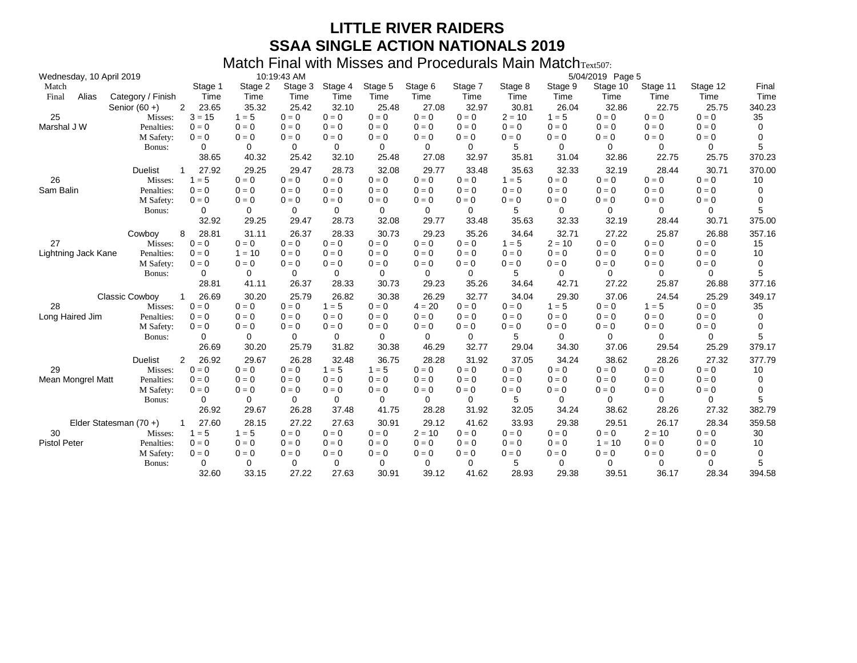| Wednesday, 10 April 2019 |                       |                               |          | 10:19:43 AM |         |         |          |          |          |          | 5/04/2019 Page 5 |          |          |        |
|--------------------------|-----------------------|-------------------------------|----------|-------------|---------|---------|----------|----------|----------|----------|------------------|----------|----------|--------|
| Match                    |                       | Stage 1                       | Stage 2  | Stage 3     | Stage 4 | Stage 5 | Stage 6  | Stage 7  | Stage 8  | Stage 9  | Stage 10         | Stage 11 | Stage 12 | Final  |
| Alias<br>Final           | Category / Finish     | Time                          | Time     | Time        | Time    | Time    | Time     | Time     | Time     | Time     | Time             | Time     | Time     | Time   |
|                          | Senior $(60 +)$       | $\mathbf{2}^{\circ}$<br>23.65 | 35.32    | 25.42       | 32.10   | 25.48   | 27.08    | 32.97    | 30.81    | 26.04    | 32.86            | 22.75    | 25.75    | 340.23 |
| 25                       | Misses:               | $3 = 15$                      | $1 = 5$  | $0 = 0$     | $0 = 0$ | $0 = 0$ | $0 = 0$  | $0 = 0$  | $2 = 10$ | $1 = 5$  | $0 = 0$          | $0 = 0$  | $0 = 0$  | 35     |
| Marshal J W              | Penalties:            | $0 = 0$                       | $0 = 0$  | $0 = 0$     | $0 = 0$ | $0 = 0$ | $0 = 0$  | $0 = 0$  | $0 = 0$  | $0 = 0$  | $0 = 0$          | $0 = 0$  | $0 = 0$  | 0      |
|                          | M Safety:             | $0 = 0$                       | $0 = 0$  | $0 = 0$     | $0 = 0$ | $0 = 0$ | $0 = 0$  | $0 = 0$  | $0 = 0$  | $0 = 0$  | $0 = 0$          | $0 = 0$  | $0 = 0$  | 0      |
|                          | Bonus:                | 0                             | 0        | 0           | 0       | 0       | 0        | $\Omega$ | 5        | 0        | 0                | 0        | 0        | 5      |
|                          |                       | 38.65                         | 40.32    | 25.42       | 32.10   | 25.48   | 27.08    | 32.97    | 35.81    | 31.04    | 32.86            | 22.75    | 25.75    | 370.23 |
|                          | <b>Duelist</b>        | 27.92                         | 29.25    | 29.47       | 28.73   | 32.08   | 29.77    | 33.48    | 35.63    | 32.33    | 32.19            | 28.44    | 30.71    | 370.00 |
| 26                       | Misses:               | $1 = 5$                       | $0 = 0$  | $0 = 0$     | $0 = 0$ | $0 = 0$ | $0 = 0$  | $0 = 0$  | $1 = 5$  | $0 = 0$  | $0 = 0$          | $0 = 0$  | $0 = 0$  | 10     |
| Sam Balin                | Penalties:            | $0 = 0$                       | $0 = 0$  | $0 = 0$     | $0 = 0$ | $0 = 0$ | $0 = 0$  | $0 = 0$  | $0 = 0$  | $0 = 0$  | $0 = 0$          | $0 = 0$  | $0 = 0$  | 0      |
|                          | M Safety:             | $0 = 0$                       | $0 = 0$  | $0 = 0$     | $0 = 0$ | $0 = 0$ | $0 = 0$  | $0 = 0$  | $0 = 0$  | $0 = 0$  | $0 = 0$          | $0 = 0$  | $0 = 0$  | 0      |
|                          | Bonus:                | 0                             | 0        | 0           | 0       | 0       | 0        | 0        | 5        | 0        | 0                | 0        | 0        | 5      |
|                          |                       | 32.92                         | 29.25    | 29.47       | 28.73   | 32.08   | 29.77    | 33.48    | 35.63    | 32.33    | 32.19            | 28.44    | 30.71    | 375.00 |
|                          | Cowboy                | 28.81<br>8                    | 31.11    | 26.37       | 28.33   | 30.73   | 29.23    | 35.26    | 34.64    | 32.71    | 27.22            | 25.87    | 26.88    | 357.16 |
| 27                       | Misses:               | $0 = 0$                       | $0 = 0$  | $0 = 0$     | $0 = 0$ | $0 = 0$ | $0 = 0$  | $0 = 0$  | $1 = 5$  | $2 = 10$ | $0 = 0$          | $0 = 0$  | $0 = 0$  | 15     |
| Lightning Jack Kane      | Penalties:            | $0 = 0$                       | $1 = 10$ | $0 = 0$     | $0 = 0$ | $0 = 0$ | $0 = 0$  | $0 = 0$  | $0 = 0$  | $0 = 0$  | $0 = 0$          | $0 = 0$  | $0 = 0$  | 10     |
|                          | M Safety:             | $0 = 0$                       | $0 = 0$  | $0 = 0$     | $0 = 0$ | $0 = 0$ | $0 = 0$  | $0 = 0$  | $0 = 0$  | $0 = 0$  | $0 = 0$          | $0 = 0$  | $0 = 0$  | 0      |
|                          | Bonus:                | 0                             | 0        | 0           | 0       | 0       | 0        | $\Omega$ | 5        | 0        | $\Omega$         | 0        | 0        | 5      |
|                          |                       | 28.81                         | 41.11    | 26.37       | 28.33   | 30.73   | 29.23    | 35.26    | 34.64    | 42.71    | 27.22            | 25.87    | 26.88    | 377.16 |
|                          | <b>Classic Cowboy</b> | 26.69                         | 30.20    | 25.79       | 26.82   | 30.38   | 26.29    | 32.77    | 34.04    | 29.30    | 37.06            | 24.54    | 25.29    | 349.17 |
| 28                       | Misses:               | $0 = 0$                       | $0 = 0$  | $0 = 0$     | $1 = 5$ | $0 = 0$ | $4 = 20$ | $0 = 0$  | $0 = 0$  | $1 = 5$  | $0 = 0$          | $1 = 5$  | $0 = 0$  | 35     |
| Long Haired Jim          | Penalties:            | $0 = 0$                       | $0 = 0$  | $0 = 0$     | $0 = 0$ | $0 = 0$ | $0 = 0$  | $0 = 0$  | $0 = 0$  | $0 = 0$  | $0 = 0$          | $0 = 0$  | $0 = 0$  | 0      |
|                          | M Safety:             | $0 = 0$                       | $0 = 0$  | $0 = 0$     | $0 = 0$ | $0 = 0$ | $0 = 0$  | $0 = 0$  | $0 = 0$  | $0 = 0$  | $0 = 0$          | $0 = 0$  | $0 = 0$  | 0      |
|                          | Bonus:                | 0                             | 0        | $\Omega$    | 0       | 0       | 0        | $\Omega$ | 5        | $\Omega$ | $\Omega$         | 0        | $\Omega$ | 5      |
|                          |                       | 26.69                         | 30.20    | 25.79       | 31.82   | 30.38   | 46.29    | 32.77    | 29.04    | 34.30    | 37.06            | 29.54    | 25.29    | 379.17 |
|                          | <b>Duelist</b>        | 26.92<br>2                    | 29.67    | 26.28       | 32.48   | 36.75   | 28.28    | 31.92    | 37.05    | 34.24    | 38.62            | 28.26    | 27.32    | 377.79 |
| 29                       | Misses:               | $0 = 0$                       | $0 = 0$  | $0 = 0$     | $1 = 5$ | $1 = 5$ | $0 = 0$  | $0 = 0$  | $0 = 0$  | $0 = 0$  | $0 = 0$          | $0 = 0$  | $0 = 0$  | 10     |
| Mean Mongrel Matt        | Penalties:            | $0 = 0$                       | $0 = 0$  | $0 = 0$     | $0 = 0$ | $0 = 0$ | $0 = 0$  | $0 = 0$  | $0 = 0$  | $0 = 0$  | $0 = 0$          | $0 = 0$  | $0 = 0$  | 0      |
|                          | M Safety:             | $0 = 0$                       | $0 = 0$  | $0 = 0$     | $0 = 0$ | $0 = 0$ | $0 = 0$  | $0 = 0$  | $0 = 0$  | $0 = 0$  | $0 = 0$          | $0 = 0$  | $0 = 0$  | 0      |
|                          | Bonus:                | 0                             | 0        | 0           | 0       | 0       | 0        | $\Omega$ | 5        | $\Omega$ | $\Omega$         | 0        | 0        | 5      |
|                          |                       | 26.92                         | 29.67    | 26.28       | 37.48   | 41.75   | 28.28    | 31.92    | 32.05    | 34.24    | 38.62            | 28.26    | 27.32    | 382.79 |
|                          | Elder Statesman (70+) | 27.60                         | 28.15    | 27.22       | 27.63   | 30.91   | 29.12    | 41.62    | 33.93    | 29.38    | 29.51            | 26.17    | 28.34    | 359.58 |
| 30                       | Misses:               | $1 = 5$                       | $1 = 5$  | $0 = 0$     | $0 = 0$ | $0 = 0$ | $2 = 10$ | $0 = 0$  | $0 = 0$  | $0 = 0$  | $0 = 0$          | $2 = 10$ | $0 = 0$  | 30     |
| <b>Pistol Peter</b>      | Penalties:            | $0 = 0$                       | $0 = 0$  | $0 = 0$     | $0 = 0$ | $0 = 0$ | $0 = 0$  | $0 = 0$  | $0 = 0$  | $0 = 0$  | $1 = 10$         | $0 = 0$  | $0 = 0$  | 10     |
|                          | M Safety:             | $0 = 0$                       | $0 = 0$  | $0 = 0$     | $0 = 0$ | $0 = 0$ | $0 = 0$  | $0 = 0$  | $0 = 0$  | $0 = 0$  | $0 = 0$          | $0 = 0$  | $0 = 0$  | 0      |
|                          | Bonus:                | 0                             | 0        | 0           | 0       | 0       | 0        | $\Omega$ | 5        | 0        | 0                | 0        | 0        | 5      |
|                          |                       | 32.60                         | 33.15    | 27.22       | 27.63   | 30.91   | 39.12    | 41.62    | 28.93    | 29.38    | 39.51            | 36.17    | 28.34    | 394.58 |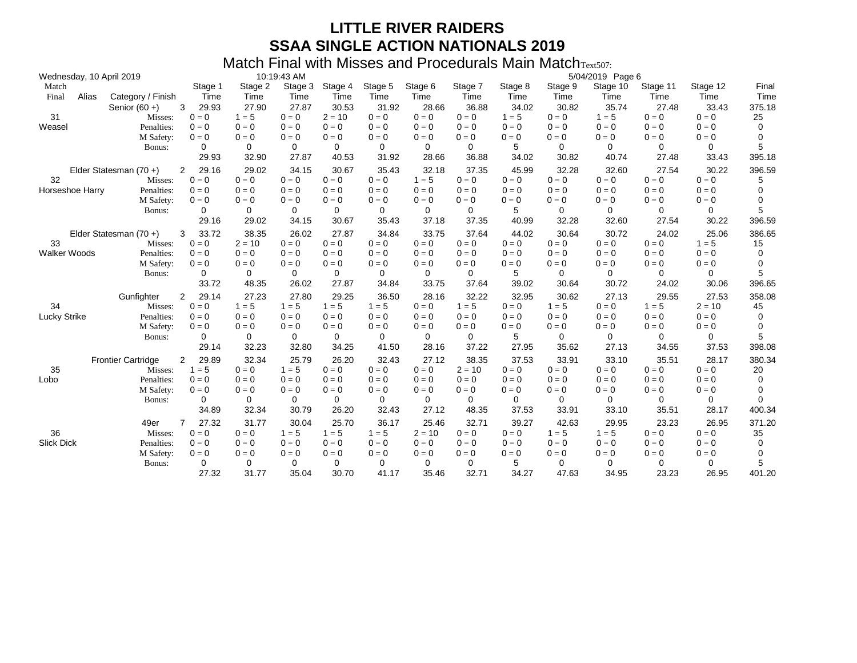|                     | Wednesday, 10 April 2019 |                           |                         |                 | 10:19:43 AM     |                 |                 |                 |                 |                 |                 | 5/04/2019 Page 6        |                  |                  |               |
|---------------------|--------------------------|---------------------------|-------------------------|-----------------|-----------------|-----------------|-----------------|-----------------|-----------------|-----------------|-----------------|-------------------------|------------------|------------------|---------------|
| Match<br>Final      | Alias                    | Category / Finish         | Stage 1<br>Time         | Stage 2<br>Time | Stage 3<br>Time | Stage 4<br>Time | Stage 5<br>Time | Stage 6<br>Time | Stage 7<br>Time | Stage 8<br>Time | Stage 9<br>Time | Stage 10<br>Time        | Stage 11<br>Time | Stage 12<br>Time | Final<br>Time |
|                     |                          | Senior $(60 +)$           | 3<br>29.93              | 27.90           | 27.87           | 30.53           | 31.92           | 28.66           | 36.88           | 34.02           | 30.82           | 35.74                   | 27.48            | 33.43            | 375.18        |
| 31                  |                          | Misses:                   | $0 = 0$                 | $1 = 5$         | $0 = 0$         | $2 = 10$        | $0 = 0$         | $0 = 0$         | $0 = 0$         | $1 = 5$         | $0 = 0$         | $1 = 5$                 | $0 = 0$          | $0 = 0$          | 25            |
| Weasel              |                          | Penalties:                | $0 = 0$                 | $0 = 0$         | $0 = 0$         | $0 = 0$         | $0 = 0$         | $0 = 0$         | $0 = 0$         | $0 = 0$         | $0 = 0$         | $0 = 0$                 | $0 = 0$          | $0 = 0$          | 0             |
|                     |                          | M Safety:                 | $0 = 0$                 | $0 = 0$         | $0 = 0$         | $0 = 0$         | $0 = 0$         | $0 = 0$         | $0 = 0$         | $0 = 0$         | $0 = 0$         | $0 = 0$                 | $0 = 0$          | $0 = 0$          | 0             |
|                     |                          | Bonus:                    | 0                       | 0               | 0               | 0               | 0               | 0               | 0               | 5               | 0               | 0                       | 0                | $\Omega$         | 5             |
|                     |                          |                           | 29.93                   | 32.90           | 27.87           | 40.53           | 31.92           | 28.66           | 36.88           | 34.02           | 30.82           | 40.74                   | 27.48            | 33.43            | 395.18        |
|                     |                          | Elder Statesman (70 +)    | 29.16<br>2              | 29.02           | 34.15           | 30.67           | 35.43           | 32.18           | 37.35           | 45.99           | 32.28           | 32.60                   | 27.54            | 30.22            | 396.59        |
| 32                  |                          | Misses:                   | $0 = 0$                 | $0 = 0$         | $0 = 0$         | $0 = 0$         | $0 = 0$         | $1 = 5$         | $0 = 0$         | $0 = 0$         | $0 = 0$         | $0 = 0$                 | $0 = 0$          | $0 = 0$          | 5             |
| Horseshoe Harry     |                          | Penalties:                | $0 = 0$                 | $0 = 0$         | $0 = 0$         | $0 = 0$         | $0 = 0$         | $0 = 0$         | $0 = 0$         | $0 = 0$         | $0 = 0$         | $0 = 0$                 | $0 = 0$          | $0 = 0$          | 0             |
|                     |                          | M Safety:                 | $0 = 0$                 | $0 = 0$         | $0 = 0$         | $0 = 0$         | $0 = 0$         | $0 = 0$         | $0 = 0$         | $0 = 0$         | $0 = 0$         | $0 = 0$                 | $0 = 0$          | $0 = 0$          | 0             |
|                     |                          | Bonus:                    | 0                       | 0               | 0               | 0               | 0               | 0               | 0               | 5               | 0               | 0                       | 0                | 0                | 5             |
|                     |                          |                           | 29.16                   | 29.02           | 34.15           | 30.67           | 35.43           | 37.18           | 37.35           | 40.99           | 32.28           | 32.60                   | 27.54            | 30.22            | 396.59        |
|                     |                          | Elder Statesman (70+)     | 33.72<br>3              | 38.35           | 26.02           | 27.87           | 34.84           | 33.75           | 37.64           | 44.02           | 30.64           | 30.72                   | 24.02            | 25.06            | 386.65        |
| 33                  |                          | Misses:                   | $0 = 0$                 | $2 = 10$        | $0 = 0$         | $0 = 0$         | $0 = 0$         | $0 = 0$         | $0 = 0$         | $0 = 0$         | $0 = 0$         | $0 = 0$                 | $0 = 0$          | $1 = 5$          | 15            |
| <b>Walker Woods</b> |                          | Penalties:                | $0 = 0$                 | $0 = 0$         | $0 = 0$         | $0 = 0$         | $0 = 0$         | $0 = 0$         | $0 = 0$         | $0 = 0$         | $0 = 0$         | $0 = 0$                 | $0 = 0$          | $0 = 0$          | 0             |
|                     |                          | M Safety:                 | $0 = 0$                 | $0 = 0$         | $0 = 0$         | $0 = 0$         | $0 = 0$         | $0 = 0$         | $0 = 0$         | $0 = 0$         | $0 = 0$         | $0 = 0$                 | $0 = 0$          | $0 = 0$          | 0             |
|                     |                          | Bonus:                    | 0                       | 0               | 0               | 0               | 0               | 0               | 0               | 5               | 0               | $\Omega$                | 0                | 0                | 5             |
|                     |                          |                           | 33.72                   | 48.35           | 26.02           | 27.87           | 34.84           | 33.75           | 37.64           | 39.02           | 30.64           | 30.72                   | 24.02            | 30.06            | 396.65        |
|                     |                          | Gunfighter                | $\overline{2}$<br>29.14 | 27.23           | 27.80           | 29.25           | 36.50           | 28.16           | 32.22           | 32.95           | 30.62           | 27.13                   | 29.55            | 27.53            | 358.08        |
| 34                  |                          | Misses:                   | $0 = 0$                 | $1 = 5$         | $1 = 5$         | $1 = 5$         | $1 = 5$         | $0 = 0$         | $1 = 5$         | $0 = 0$         | $1 = 5$         | $0 = 0$                 | $1 = 5$          | $2 = 10$         | 45            |
| <b>Lucky Strike</b> |                          | Penalties:                | $0 = 0$                 | $0 = 0$         | $0 = 0$         | $0 = 0$         | $0 = 0$         | $0 = 0$         | $0 = 0$         | $0 = 0$         | $0 = 0$         | $0 = 0$                 | $0 = 0$          | $0 = 0$          | 0             |
|                     |                          | M Safety:                 | $0 = 0$                 | $0 = 0$         | $0 = 0$         | $0 = 0$         | $0 = 0$         | $0 = 0$         | $0 = 0$         | $0 = 0$         | $0 = 0$         | $0 = 0$                 | $0 = 0$          | $0 = 0$          | 0             |
|                     |                          | Bonus:                    | 0                       | 0               | 0               | 0               | 0               | 0               | 0               | 5               | 0               | $\Omega$                | 0                | $\Omega$         | 5             |
|                     |                          |                           | 29.14                   | 32.23           | 32.80           | 34.25           | 41.50           | 28.16           | 37.22           | 27.95           | 35.62           | 27.13                   | 34.55            | 37.53            | 398.08        |
|                     |                          | <b>Frontier Cartridge</b> | 29.89<br>$\overline{2}$ | 32.34           | 25.79           | 26.20           | 32.43           | 27.12           | 38.35           | 37.53           | 33.91           | 33.10                   | 35.51            | 28.17            | 380.34        |
| 35                  |                          | Misses:                   | $1 = 5$                 | $0 = 0$         | $1 = 5$         | $0 = 0$         | $0 = 0$         | $0 = 0$         | $2 = 10$        | $0 = 0$         | $0 = 0$         | $0 = 0$                 | $0 = 0$          | $0 = 0$          | 20            |
| Lobo                |                          | Penalties:                | $0 = 0$                 | $0 = 0$         | $0 = 0$         | $0 = 0$         | $0 = 0$         | $0 = 0$         | $0 = 0$         | $0 = 0$         | $0 = 0$         | $0 = 0$                 | $0 = 0$          | $0 = 0$          | 0             |
|                     |                          | M Safety:                 | $0 = 0$                 | $0 = 0$         | $0 = 0$         | $0 = 0$         | $0 = 0$         | $0 = 0$         | $0 = 0$         | $0 = 0$         | $0 = 0$         | $0 = 0$                 | $0 = 0$          | $0 = 0$          | 0             |
|                     |                          | Bonus:                    | 0                       | 0               | 0               | 0               | 0               | 0               | 0               | 0               | 0               | $\Omega$                | 0                | 0                | 0             |
|                     |                          |                           | 34.89                   | 32.34           | 30.79           | 26.20           | 32.43           | 27.12           | 48.35           | 37.53           | 33.91           | 33.10                   | 35.51            | 28.17            | 400.34        |
|                     |                          | 49er                      | 27.32                   | 31.77           | 30.04           | 25.70           | 36.17           | 25.46           | 32.71           | 39.27           | 42.63           | 29.95                   | 23.23            | 26.95            | 371.20        |
| 36                  |                          | Misses:                   | $0 = 0$                 | $0 = 0$         | $1 = 5$         | $1 = 5$         | $1 = 5$         | $2 = 10$        | $0 = 0$         | $0 = 0$         | $1 = 5$         | $1 = 5$                 | $0 = 0$          | $0 = 0$          | 35            |
| <b>Slick Dick</b>   |                          | Penalties:                | $0 = 0$                 | $0 = 0$         | $0 = 0$         | $0 = 0$         | $0 = 0$         | $0 = 0$         | $0 = 0$         | $0 = 0$         | $0 = 0$         | $\mathbf{0}=\mathbf{0}$ | $0 = 0$          | $0 = 0$          | 0             |
|                     |                          | M Safety:                 | $0 = 0$                 | $0 = 0$         | $0 = 0$         | $0 = 0$         | $0 = 0$         | $0 = 0$         | $0 = 0$         | $0 = 0$         | $0 = 0$         | $0 = 0$                 | $0 = 0$          | $0 = 0$          | 0             |
|                     |                          | Bonus:                    | 0                       | 0               | 0               | 0               | 0               | 0               | 0               | 5               | 0               | 0                       | $\Omega$         | $\Omega$         | 5             |
|                     |                          |                           | 27.32                   | 31.77           | 35.04           | 30.70           | 41.17           | 35.46           | 32.71           | 34.27           | 47.63           | 34.95                   | 23.23            | 26.95            | 401.20        |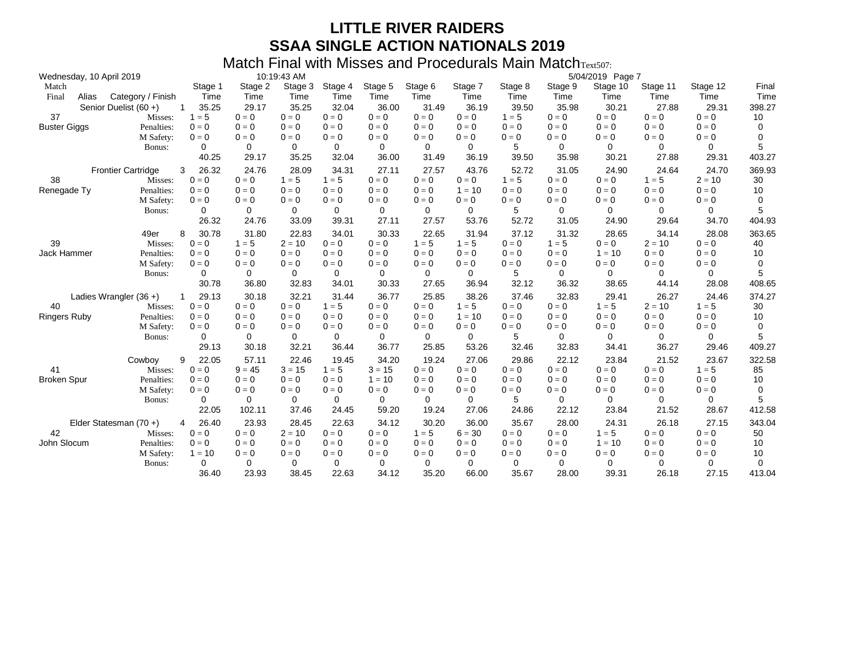|                     |       | Wednesday, 10 April 2019  |                        |                    | 10:19:43 AM        |                    |                     |                    |                    |                    |                    | 5/04/2019 Page 7   |                    |                    |               |
|---------------------|-------|---------------------------|------------------------|--------------------|--------------------|--------------------|---------------------|--------------------|--------------------|--------------------|--------------------|--------------------|--------------------|--------------------|---------------|
| Match<br>Final      | Alias | Category / Finish         | Stage 1<br>Time        | Stage 2<br>Time    | Stage 3<br>Time    | Stage 4<br>Time    | Stage 5<br>Time     | Stage 6<br>Time    | Stage 7<br>Time    | Stage 8<br>Time    | Stage 9<br>Time    | Stage 10<br>Time   | Stage 11<br>Time   | Stage 12<br>Time   | Final<br>Time |
| 37                  |       | Senior Duelist (60+)      | 35.25<br>-1<br>$1 = 5$ | 29.17<br>$0 = 0$   | 35.25<br>$0 = 0$   | 32.04<br>$0 = 0$   | 36.00<br>$0 = 0$    | 31.49<br>$0 = 0$   | 36.19<br>$0 = 0$   | 39.50<br>$1 = 5$   | 35.98<br>$0 = 0$   | 30.21<br>$0 = 0$   | 27.88<br>$0 = 0$   | 29.31<br>$0 = 0$   | 398.27        |
| <b>Buster Giggs</b> |       | Misses:<br>Penalties:     | $0 = 0$                | $0 = 0$            | $0 = 0$            | $0 = 0$            | $0 = 0$             | $0 = 0$            | $0 = 0$            | $0 = 0$            | $0 = 0$            | $0 = 0$            | $0 = 0$            | $0 = 0$            | 10<br>0       |
|                     |       | M Safety:                 | $0 = 0$                | $0 = 0$            | $0 = 0$            | $0 = 0$            | $0 = 0$             | $0 = 0$            | $0 = 0$            | $0 = 0$            | $0 = 0$            | $0 = 0$            | $0 = 0$            | $0 = 0$            | 0             |
|                     |       | Bonus:                    | 0                      | 0                  | 0                  | 0                  | $\Omega$            | 0                  | $\Omega$           | 5                  | 0                  | 0                  | 0                  | 0                  | 5             |
|                     |       |                           | 40.25                  | 29.17              | 35.25              | 32.04              | 36.00               | 31.49              | 36.19              | 39.50              | 35.98              | 30.21              | 27.88              | 29.31              | 403.27        |
|                     |       | <b>Frontier Cartridge</b> | 26.32<br>3             | 24.76              | 28.09              | 34.31              | 27.11               | 27.57              | 43.76              | 52.72              | 31.05              | 24.90              | 24.64              | 24.70              | 369.93        |
| 38                  |       | Misses:                   | $0 = 0$                | $0 = 0$            | $1 = 5$            | $1 = 5$            | $0 = 0$             | $0 = 0$            | $0 = 0$            | $1 = 5$            | $0 = 0$            | $0 = 0$            | $1 = 5$            | $2 = 10$           | 30            |
| Renegade Ty         |       | Penalties:                | $0 = 0$                | $0 = 0$            | $0 = 0$            | $0 = 0$            | $0 = 0$             | $0 = 0$            | $1 = 10$           | $0 = 0$            | $0 = 0$            | $0 = 0$            | $0 = 0$            | $0 = 0$            | 10            |
|                     |       | M Safety:                 | $0 = 0$                | $0 = 0$            | $0 = 0$            | $0 = 0$            | $0 = 0$             | $0 = 0$            | $0 = 0$            | $0 = 0$            | $0 = 0$            | $0 = 0$            | $0 = 0$            | $0 = 0$            | 0             |
|                     |       | Bonus:                    | 0<br>26.32             | 0<br>24.76         | 0<br>33.09         | 0<br>39.31         | 0<br>27.11          | $\Omega$<br>27.57  | 0<br>53.76         | 5<br>52.72         | 0<br>31.05         | 0<br>24.90         | 0<br>29.64         | 0<br>34.70         | 5<br>404.93   |
|                     |       | 49er                      | 30.78<br>8             | 31.80              | 22.83              | 34.01              | 30.33               | 22.65              | 31.94              | 37.12              | 31.32              | 28.65              | 34.14              | 28.08              | 363.65        |
| 39                  |       | Misses:                   | $0 = 0$                | $1 = 5$            | $2 = 10$           | $0 = 0$            | $0 = 0$             | $1 = 5$            | $1 = 5$            | $0 = 0$            | $1 = 5$            | $0 = 0$            | $2 = 10$           | $0 = 0$            | 40            |
| Jack Hammer         |       | Penalties:                | $0 = 0$                | $0 = 0$            | $0 = 0$            | $0 = 0$            | $0 = 0$             | $0 = 0$            | $0 = 0$            | $0 = 0$            | $0 = 0$            | $1 = 10$           | $0 = 0$            | $0 = 0$            | 10            |
|                     |       | M Safety:                 | $0 = 0$                | $0 = 0$            | $0 = 0$            | $0 = 0$            | $0 = 0$             | $0 = 0$            | $0 = 0$            | $0 = 0$            | $0 = 0$            | $0 = 0$            | $0 = 0$            | $0 = 0$            | 0             |
|                     |       | Bonus:                    | 0                      | 0                  | 0                  | 0                  | 0                   | 0                  | 0                  | 5                  | 0                  | $\Omega$           | 0                  | 0                  | 5             |
|                     |       |                           | 30.78                  | 36.80              | 32.83              | 34.01              | 30.33               | 27.65              | 36.94              | 32.12              | 36.32              | 38.65              | 44.14              | 28.08              | 408.65        |
|                     |       | Ladies Wrangler $(36 +)$  | 29.13                  | 30.18              | 32.21              | 31.44              | 36.77               | 25.85              | 38.26              | 37.46              | 32.83              | 29.41              | 26.27              | 24.46              | 374.27        |
| 40                  |       | Misses:                   | $0 = 0$                | $0 = 0$            | $0 = 0$            | $1 = 5$            | $0 = 0$             | $0 = 0$            | $1 = 5$            | $0 = 0$            | $0 = 0$            | $1 = 5$            | $2 = 10$           | $1 = 5$            | 30            |
| <b>Ringers Ruby</b> |       | Penalties:                | $0 = 0$                | $0 = 0$            | $0 = 0$            | $0 = 0$            | $0 = 0$             | $0 = 0$            | $1 = 10$           | $0 = 0$            | $0 = 0$            | $0 = 0$            | $0 = 0$            | $0 = 0$            | 10            |
|                     |       | M Safety:                 | $0 = 0$                | $0 = 0$            | $0 = 0$            | $0 = 0$            | $0 = 0$             | $0 = 0$            | $0 = 0$            | $0 = 0$            | $0 = 0$            | $0 = 0$            | $0 = 0$            | $0 = 0$            | 0             |
|                     |       | Bonus:                    | $\Omega$               | 0                  | $\Omega$           | 0                  | 0                   | 0                  | $\Omega$           | 5                  | $\Omega$           | $\Omega$           | $\Omega$           | $\Omega$           | 5             |
|                     |       |                           | 29.13                  | 30.18              | 32.21              | 36.44              | 36.77               | 25.85              | 53.26              | 32.46              | 32.83              | 34.41              | 36.27              | 29.46              | 409.27        |
|                     |       | Cowboy                    | 22.05<br>9             | 57.11              | 22.46              | 19.45              | 34.20               | 19.24              | 27.06              | 29.86              | 22.12              | 23.84              | 21.52              | 23.67              | 322.58        |
| 41                  |       | Misses:                   | $0 = 0$                | $9 = 45$           | $3 = 15$           | $1 = 5$            | $3 = 15$            | $0 = 0$            | $0 = 0$            | $0 = 0$            | $0 = 0$            | $0 = 0$            | $0 = 0$            | $1 = 5$            | 85            |
| <b>Broken Spur</b>  |       | Penalties:<br>M Safety:   | $0 = 0$<br>$0 = 0$     | $0 = 0$<br>$0 = 0$ | $0 = 0$<br>$0 = 0$ | $0 = 0$<br>$0 = 0$ | $1 = 10$<br>$0 = 0$ | $0 = 0$<br>$0 = 0$ | $0 = 0$<br>$0 = 0$ | $0 = 0$<br>$0 = 0$ | $0 = 0$<br>$0 = 0$ | $0 = 0$<br>$0 = 0$ | $0 = 0$<br>$0 = 0$ | $0 = 0$<br>$0 = 0$ | 10<br>0       |
|                     |       | Bonus:                    | 0                      | 0                  | 0                  | 0                  | 0                   | 0                  | $\Omega$           | 5                  | 0                  | 0                  | 0                  | 0                  | 5             |
|                     |       |                           | 22.05                  | 102.11             | 37.46              | 24.45              | 59.20               | 19.24              | 27.06              | 24.86              | 22.12              | 23.84              | 21.52              | 28.67              | 412.58        |
|                     |       | Elder Statesman $(70 +)$  | 26.40<br>4             | 23.93              | 28.45              | 22.63              | 34.12               | 30.20              | 36.00              | 35.67              | 28.00              | 24.31              | 26.18              | 27.15              | 343.04        |
| 42                  |       | Misses:                   | $0 = 0$                | $0 = 0$            | $2 = 10$           | $0 = 0$            | $0 = 0$             | $1 = 5$            | $6 = 30$           | $0 = 0$            | $0 = 0$            | $1 = 5$            | $0 = 0$            | $0 = 0$            | 50            |
| John Slocum         |       | Penalties:                | $0 = 0$                | $0 = 0$            | $0 = 0$            | $0 = 0$            | $0 = 0$             | $0 = 0$            | $0 = 0$            | $0 = 0$            | $0 = 0$            | $1 = 10$           | $0 = 0$            | $0 = 0$            | 10            |
|                     |       | M Safety:                 | $1 = 10$               | $0 = 0$            | $0 = 0$            | $0 = 0$            | $0 = 0$             | $0 = 0$            | $0 = 0$            | $0 = 0$            | $0 = 0$            | $0 = 0$            | $0 = 0$            | $0 = 0$            | 10            |
|                     |       | Bonus:                    | 0                      | 0                  | 0                  | 0                  | 0                   | 0                  | 0                  | 0                  | 0                  | 0                  | 0                  | 0                  | $\Omega$      |
|                     |       |                           | 36.40                  | 23.93              | 38.45              | 22.63              | 34.12               | 35.20              | 66.00              | 35.67              | 28.00              | 39.31              | 26.18              | 27.15              | 413.04        |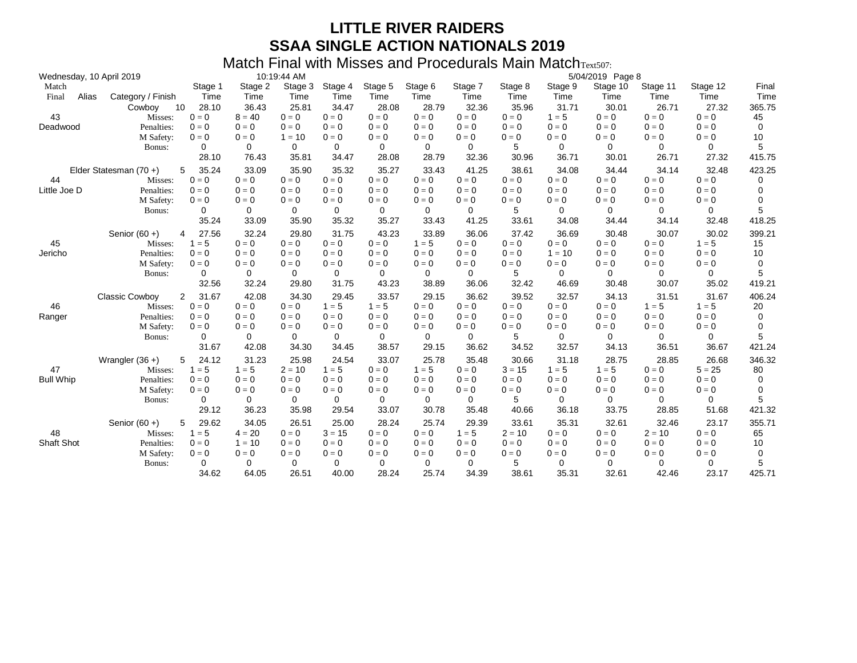|                  |       | Wednesday, 10 April 2019 |                       |                   | 10:19:44 AM      |                  |                  |                  |                  |                  |                  | 5/04/2019 Page 8  |                  |                  |               |
|------------------|-------|--------------------------|-----------------------|-------------------|------------------|------------------|------------------|------------------|------------------|------------------|------------------|-------------------|------------------|------------------|---------------|
| Match<br>Final   | Alias | Category / Finish        | Stage 1<br>Time       | Stage 2<br>Time   | Stage 3<br>Time  | Stage 4<br>Time  | Stage 5<br>Time  | Stage 6<br>Time  | Stage 7<br>Time  | Stage 8<br>Time  | Stage 9<br>Time  | Stage 10<br>Time  | Stage 11<br>Time | Stage 12<br>Time | Final<br>Time |
| 43               |       | 10<br>Cowboy<br>Misses:  | 28.10<br>$0 = 0$      | 36.43<br>$8 = 40$ | 25.81<br>$0 = 0$ | 34.47<br>$0 = 0$ | 28.08<br>$0 = 0$ | 28.79<br>$0 = 0$ | 32.36<br>$0 = 0$ | 35.96<br>$0 = 0$ | 31.71<br>$1 = 5$ | 30.01<br>$0 = 0$  | 26.71<br>$0 = 0$ | 27.32<br>$0 = 0$ | 365.75<br>45  |
| Deadwood         |       | Penalties:               | $0 = 0$               | $0 = 0$           | $0 = 0$          | $0 = 0$          | $0 = 0$          | $0 = 0$          | $0 = 0$          | $0 = 0$          | $0 = 0$          | $0 = 0$           | $0 = 0$          | $0 = 0$          | $\mathbf 0$   |
|                  |       | M Safety:                | $0 = 0$               | $0 = 0$           | $1 = 10$         | $0 = 0$          | $0 = 0$          | $0 = 0$          | $0 = 0$          | $0 = 0$          | $0 = 0$          | $0 = 0$           | $0 = 0$          | $0 = 0$          | 10            |
|                  |       | Bonus:                   | 0                     | 0                 | $\Omega$         | $\Omega$         | $\Omega$         | $\Omega$         | $\Omega$         | 5                | $\Omega$         | $\Omega$          | $\Omega$         | $\Omega$         | 5             |
|                  |       |                          | 28.10                 | 76.43             | 35.81            | 34.47            | 28.08            | 28.79            | 32.36            | 30.96            | 36.71            | 30.01             | 26.71            | 27.32            | 415.75        |
|                  |       | Elder Statesman (70+)    | 35.24<br>5            | 33.09             | 35.90            | 35.32            | 35.27            | 33.43            | 41.25            | 38.61            | 34.08            | 34.44             | 34.14            | 32.48            | 423.25        |
| 44               |       | Misses:                  | $0 = 0$               | $0 = 0$           | $0 = 0$          | $0 = 0$          | $0 = 0$          | $0 = 0$          | $0 = 0$          | $0 = 0$          | $0 = 0$          | $0 = 0$           | $0 = 0$          | $0 = 0$          | 0             |
| Little Joe D     |       | Penalties:               | $0 = 0$               | $0 = 0$           | $0 = 0$          | $0 = 0$          | $0 = 0$          | $0 = 0$          | $0 = 0$          | $0 = 0$          | $0 = 0$          | $0 = 0$           | $0 = 0$          | $0 = 0$          | 0             |
|                  |       | M Safety:                | $0 = 0$               | $0 = 0$           | $0 = 0$          | $0 = 0$          | $0 = 0$          | $0 = 0$          | $0 = 0$          | $0 = 0$          | $0 = 0$          | $0 = 0$           | $0 = 0$          | $0 = 0$          | 0             |
|                  |       | Bonus:                   | 0                     | 0                 | 0                | 0                | 0                | 0                | 0                | 5                | 0                | 0                 | 0                | 0                | 5             |
|                  |       |                          | 35.24                 | 33.09             | 35.90            | 35.32            | 35.27            | 33.43            | 41.25            | 33.61            | 34.08            | 34.44             | 34.14            | 32.48            | 418.25        |
|                  |       | Senior $(60 +)$          | 27.56<br>4            | 32.24             | 29.80            | 31.75            | 43.23            | 33.89            | 36.06            | 37.42            | 36.69            | 30.48             | 30.07            | 30.02            | 399.21        |
| 45               |       | Misses:                  | $1 = 5$               | $0 = 0$           | $0 = 0$          | $0 = 0$          | $0 = 0$          | $1 = 5$          | $0 = 0$          | $0 = 0$          | $0 = 0$          | $0 = 0$           | $0 = 0$          | $1 = 5$          | 15            |
| Jericho          |       | Penalties:               | $0 = 0$               | $0 = 0$           | $0 = 0$          | $0 = 0$          | $0 = 0$          | $0 = 0$          | $0 = 0$          | $0 = 0$          | $1 = 10$         | $0 = 0$           | $0 = 0$          | $0 = 0$          | 10            |
|                  |       | M Safety:                | $0 = 0$               | $0 = 0$           | $0 = 0$          | $0 = 0$          | $0 = 0$          | $0 = 0$          | $0 = 0$          | $0 = 0$          | $0 = 0$          | $0 = 0$           | $0 = 0$          | $0 = 0$          | 0             |
|                  |       | Bonus:                   | 0                     | 0                 | 0                | 0                | 0                | 0                | $\Omega$         | 5                | 0                | 0                 | 0                | 0                | 5             |
|                  |       |                          | 32.56                 | 32.24             | 29.80            | 31.75            | 43.23            | 38.89            | 36.06            | 32.42            | 46.69            | 30.48             | 30.07            | 35.02            | 419.21        |
|                  |       | <b>Classic Cowboy</b>    | $\mathbf{2}$<br>31.67 | 42.08             | 34.30            | 29.45            | 33.57            | 29.15            | 36.62            | 39.52            | 32.57            | 34.13             | 31.51            | 31.67            | 406.24        |
| 46               |       | Misses:                  | $0 = 0$               | $0 = 0$           | $0 = 0$          | $1 = 5$          | $1 = 5$          | $0 = 0$          | $0 = 0$          | $0 = 0$          | $0 = 0$          | $0 = 0$           | $1 = 5$          | $1 = 5$          | 20            |
| Ranger           |       | Penalties:               | $0 = 0$               | $0 = 0$           | $0 = 0$          | $0 = 0$          | $0 = 0$          | $0 = 0$          | $0 = 0$          | $0 = 0$          | $0 = 0$          | $0 = 0$           | $0 = 0$          | $0 = 0$          | 0             |
|                  |       | M Safety:                | $0 = 0$               | $0 = 0$           | $0 = 0$          | $0 = 0$          | $0 = 0$          | $0 = 0$          | $0 = 0$          | $0 = 0$          | $0 = 0$          | $0 = 0$           | $0 = 0$          | $0 = 0$          | 0             |
|                  |       | Bonus:                   | 0                     | 0                 | 0                | 0                | 0                | 0                | $\Omega$         | 5                | $\Omega$         | $\Omega$          | 0                | $\Omega$         | 5             |
|                  |       |                          | 31.67                 | 42.08             | 34.30            | 34.45            | 38.57            | 29.15            | 36.62            | 34.52            | 32.57            | 34.13             | 36.51            | 36.67            | 421.24        |
|                  |       | Wrangler $(36 +)$        | 24.12<br>5            | 31.23             | 25.98            | 24.54            | 33.07            | 25.78            | 35.48            | 30.66            | 31.18            | 28.75             | 28.85            | 26.68            | 346.32        |
| 47               |       | Misses:                  | $1 = 5$               | $1 = 5$           | $2 = 10$         | $1 = 5$          | $0 = 0$          | $1 = 5$          | $0 = 0$          | $3 = 15$         | $1 = 5$          | $1 = 5$           | $0 = 0$          | $5 = 25$         | 80            |
| <b>Bull Whip</b> |       | Penalties:               | $0 = 0$               | $0 = 0$           | $0 = 0$          | $0 = 0$          | $0 = 0$          | $0 = 0$          | $0 = 0$          | $0 = 0$          | $0 = 0$          | $0 = 0$           | $0 = 0$          | $0 = 0$          | 0             |
|                  |       | M Safety:                | $0 = 0$               | $0 = 0$           | $0 = 0$          | $0 = 0$          | $0 = 0$          | $0 = 0$          | $0 = 0$          | $0 = 0$          | $0 = 0$          | $0 = 0$           | $0 = 0$          | $0 = 0$          | 0             |
|                  |       | Bonus:                   | 0<br>29.12            | 0<br>36.23        | 0<br>35.98       | 0<br>29.54       | 0<br>33.07       | 0<br>30.78       | 0<br>35.48       | 5<br>40.66       | 0<br>36.18       | $\Omega$<br>33.75 | 0<br>28.85       | 0<br>51.68       | 5<br>421.32   |
|                  |       | Senior $(60 +)$          | 5<br>29.62            | 34.05             | 26.51            | 25.00            | 28.24            | 25.74            | 29.39            | 33.61            | 35.31            | 32.61             | 32.46            | 23.17            | 355.71        |
| 48               |       | Misses:                  | $1 = 5$               | $4 = 20$          | $0 = 0$          | $3 = 15$         | $0 = 0$          | $0 = 0$          | $1 = 5$          | $2 = 10$         | $0 = 0$          | $0 = 0$           | $2 = 10$         | $0 = 0$          | 65            |
| Shaft Shot       |       | Penalties:               | $0 = 0$               | $1 = 10$          | $0 = 0$          | $0 = 0$          | $0 = 0$          | $0 = 0$          | $0 = 0$          | $0 = 0$          | $0 = 0$          | $0 = 0$           | $0 = 0$          | $0 = 0$          | 10            |
|                  |       | M Safety:                | $0 = 0$               | $0 = 0$           | $0 = 0$          | $0 = 0$          | $0 = 0$          | $0 = 0$          | $0 = 0$          | $0 = 0$          | $0 = 0$          | $0 = 0$           | $0 = 0$          | $0 = 0$          | 0             |
|                  |       | Bonus:                   | 0                     | 0                 | 0                | 0                | 0                | 0                | 0                | 5                | 0                | 0                 | 0                | 0                | 5             |
|                  |       |                          | 34.62                 | 64.05             | 26.51            | 40.00            | 28.24            | 25.74            | 34.39            | 38.61            | 35.31            | 32.61             | 42.46            | 23.17            | 425.71        |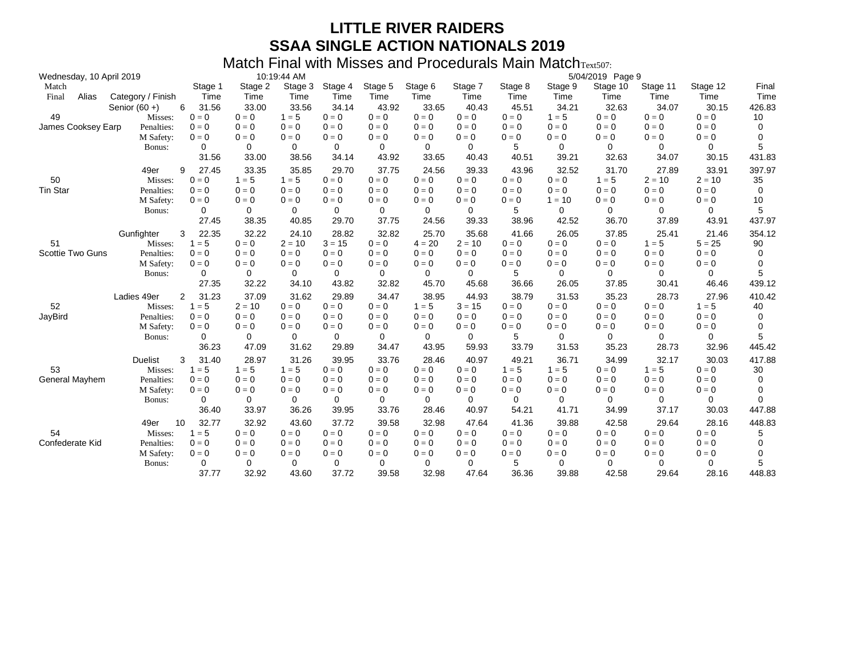| Wednesday, 10 April 2019 |                                                                |                                                                        |                                                       | 10:19:44 AM                                           |                                                       |                                                             |                                                              |                                                             |                                                      |                                                              | 5/04/2019 Page 9                                            |                                                             |                                                             |                                        |
|--------------------------|----------------------------------------------------------------|------------------------------------------------------------------------|-------------------------------------------------------|-------------------------------------------------------|-------------------------------------------------------|-------------------------------------------------------------|--------------------------------------------------------------|-------------------------------------------------------------|------------------------------------------------------|--------------------------------------------------------------|-------------------------------------------------------------|-------------------------------------------------------------|-------------------------------------------------------------|----------------------------------------|
| Match<br>Alias<br>Final  | Category / Finish                                              | Stage 1<br>Time                                                        | Stage 2<br>Time                                       | Stage 3<br>Time                                       | Stage 4<br>Time                                       | Stage 5<br>Time                                             | Stage 6<br>Time                                              | Stage 7<br>Time                                             | Stage 8<br>Time                                      | Stage 9<br>Time                                              | Stage 10<br>Time                                            | Stage 11<br>Time                                            | Stage 12<br>Time                                            | Final<br>Time                          |
| 49                       | Senior $(60 +)$<br>Misses:                                     | 6<br>31.56<br>$0 = 0$                                                  | 33.00<br>$0 = 0$                                      | 33.56<br>$1 = 5$                                      | 34.14<br>$0 = 0$                                      | 43.92<br>$0 = 0$                                            | 33.65<br>$0 = 0$                                             | 40.43<br>$0 = 0$                                            | 45.51<br>$0 = 0$                                     | 34.21<br>$1 = 5$                                             | 32.63<br>$0 = 0$                                            | 34.07<br>$0 = 0$                                            | 30.15<br>$0 = 0$                                            | 426.83<br>10                           |
| James Cooksey Earp       | Penalties:<br>M Safety:<br>Bonus:                              | $0 = 0$<br>$0 = 0$<br>0<br>31.56                                       | $0 = 0$<br>$0 = 0$<br>0<br>33.00                      | $0 = 0$<br>$0 = 0$<br>0<br>38.56                      | $0 = 0$<br>$0 = 0$<br>0<br>34.14                      | $0 = 0$<br>$0 = 0$<br>0<br>43.92                            | $0 = 0$<br>$0 = 0$<br>0<br>33.65                             | $0 = 0$<br>$0 = 0$<br>$\Omega$<br>40.43                     | $0 = 0$<br>$0 = 0$<br>5<br>40.51                     | $0 = 0$<br>$0 = 0$<br>0<br>39.21                             | $0 = 0$<br>$0 = 0$<br>0<br>32.63                            | $0 = 0$<br>$0 = 0$<br>0<br>34.07                            | $0 = 0$<br>$0 = 0$<br>0<br>30.15                            | 0<br>0<br>5<br>431.83                  |
| 50<br><b>Tin Star</b>    | 49er<br>Misses:<br>Penalties:<br>M Safety:<br>Bonus:           | 27.45<br>9<br>$0 = 0$<br>$0 = 0$<br>$0 = 0$<br>0<br>27.45              | 33.35<br>$1 = 5$<br>$0 = 0$<br>$0 = 0$<br>0<br>38.35  | 35.85<br>$1 = 5$<br>$0 = 0$<br>$0 = 0$<br>0<br>40.85  | 29.70<br>$0 = 0$<br>$0 = 0$<br>$0 = 0$<br>0<br>29.70  | 37.75<br>$0 = 0$<br>$0 = 0$<br>$0 = 0$<br>$\Omega$<br>37.75 | 24.56<br>$0 = 0$<br>$0 = 0$<br>$0 = 0$<br>0<br>24.56         | 39.33<br>$0 = 0$<br>$0 = 0$<br>$0 = 0$<br>0<br>39.33        | 43.96<br>$0 = 0$<br>$0 = 0$<br>$0 = 0$<br>5<br>38.96 | 32.52<br>$0 = 0$<br>$0 = 0$<br>$1 = 10$<br>$\Omega$<br>42.52 | 31.70<br>$1 = 5$<br>$0 = 0$<br>$0 = 0$<br>$\Omega$<br>36.70 | 27.89<br>$2 = 10$<br>$0 = 0$<br>$0 = 0$<br>0<br>37.89       | 33.91<br>$2 = 10$<br>$0 = 0$<br>$0 = 0$<br>0<br>43.91       | 397.97<br>35<br>0<br>10<br>5<br>437.97 |
| 51<br>Scottie Two Guns   | Gunfighter<br>Misses:<br>Penalties:<br>M Safety:<br>Bonus:     | 22.35<br>3<br>$1 = 5$<br>$0 = 0$<br>$0 = 0$<br>0<br>27.35              | 32.22<br>$0 = 0$<br>$0 = 0$<br>$0 = 0$<br>0<br>32.22  | 24.10<br>$2 = 10$<br>$0 = 0$<br>$0 = 0$<br>0<br>34.10 | 28.82<br>$3 = 15$<br>$0 = 0$<br>$0 = 0$<br>0<br>43.82 | 32.82<br>$0 = 0$<br>$0 = 0$<br>$0 = 0$<br>0<br>32.82        | 25.70<br>$4 = 20$<br>$0 = 0$<br>$0 = 0$<br>$\Omega$<br>45.70 | 35.68<br>$2 = 10$<br>$0 = 0$<br>$0 = 0$<br>0<br>45.68       | 41.66<br>$0 = 0$<br>$0 = 0$<br>$0 = 0$<br>5<br>36.66 | 26.05<br>$0 = 0$<br>$0 = 0$<br>$0 = 0$<br>0<br>26.05         | 37.85<br>$0 = 0$<br>$0 = 0$<br>$0 = 0$<br>0<br>37.85        | 25.41<br>$1 = 5$<br>$0 = 0$<br>$0 = 0$<br>0<br>30.41        | 21.46<br>$5 = 25$<br>$0 = 0$<br>$0 = 0$<br>0<br>46.46       | 354.12<br>90<br>0<br>0<br>5<br>439.12  |
| 52<br>JayBird            | Ladies 49er<br>Misses:<br>Penalties:<br>M Safety:<br>Bonus:    | $\overline{2}$<br>31.23<br>$1 = 5$<br>$0 = 0$<br>$0 = 0$<br>0<br>36.23 | 37.09<br>$2 = 10$<br>$0 = 0$<br>$0 = 0$<br>0<br>47.09 | 31.62<br>$0 = 0$<br>$0 = 0$<br>$0 = 0$<br>0<br>31.62  | 29.89<br>$0 = 0$<br>$0 = 0$<br>$0 = 0$<br>0<br>29.89  | 34.47<br>$0 = 0$<br>$0 = 0$<br>$0 = 0$<br>0<br>34.47        | 38.95<br>$1 = 5$<br>$0 = 0$<br>$0 = 0$<br>0<br>43.95         | 44.93<br>$3 = 15$<br>$0 = 0$<br>$0 = 0$<br>0<br>59.93       | 38.79<br>$0 = 0$<br>$0 = 0$<br>$0 = 0$<br>5<br>33.79 | 31.53<br>$0 = 0$<br>$0 = 0$<br>$0 = 0$<br>0<br>31.53         | 35.23<br>$0 = 0$<br>$0 = 0$<br>$0 = 0$<br>0<br>35.23        | 28.73<br>$0 = 0$<br>$0 = 0$<br>$0 = 0$<br>0<br>28.73        | 27.96<br>$1 = 5$<br>$0 = 0$<br>$0 = 0$<br>0<br>32.96        | 410.42<br>40<br>0<br>0<br>5<br>445.42  |
| 53<br>General Mayhem     | <b>Duelist</b><br>Misses:<br>Penalties:<br>M Safety:<br>Bonus: | 31.40<br>3<br>$1 = 5$<br>$0 = 0$<br>$0 = 0$<br>0<br>36.40              | 28.97<br>$1 = 5$<br>$0 = 0$<br>$0 = 0$<br>0<br>33.97  | 31.26<br>$1 = 5$<br>$0 = 0$<br>$0 = 0$<br>0<br>36.26  | 39.95<br>$0 = 0$<br>$0 = 0$<br>$0 = 0$<br>0<br>39.95  | 33.76<br>$0 = 0$<br>$0 = 0$<br>$0 = 0$<br>0<br>33.76        | 28.46<br>$0 = 0$<br>$0 = 0$<br>$0 = 0$<br>0<br>28.46         | 40.97<br>$0 = 0$<br>$0 = 0$<br>$0 = 0$<br>$\Omega$<br>40.97 | 49.21<br>$1 = 5$<br>$0 = 0$<br>$0 = 0$<br>0<br>54.21 | 36.71<br>$1 = 5$<br>$0 = 0$<br>$0 = 0$<br>0<br>41.71         | 34.99<br>$0 = 0$<br>$0 = 0$<br>$0 = 0$<br>0<br>34.99        | 32.17<br>$1 = 5$<br>$0 = 0$<br>$0 = 0$<br>0<br>37.17        | 30.03<br>$0 = 0$<br>$0 = 0$<br>$0 = 0$<br>$\Omega$<br>30.03 | 417.88<br>30<br>0<br>0<br>0<br>447.88  |
| 54<br>Confederate Kid    | 49er<br>Misses:<br>Penalties:<br>M Safety:<br>Bonus:           | 32.77<br>10<br>$1 = 5$<br>$0 = 0$<br>$0 = 0$<br>0<br>37.77             | 32.92<br>$0 = 0$<br>$0 = 0$<br>$0 = 0$<br>0<br>32.92  | 43.60<br>$0 = 0$<br>$0 = 0$<br>$0 = 0$<br>0<br>43.60  | 37.72<br>$0 = 0$<br>$0 = 0$<br>$0 = 0$<br>0<br>37.72  | 39.58<br>$0 = 0$<br>$0 = 0$<br>$0 = 0$<br>0<br>39.58        | 32.98<br>$0 = 0$<br>$0 = 0$<br>$0 = 0$<br>0<br>32.98         | 47.64<br>$0 = 0$<br>$0 = 0$<br>$0 = 0$<br>0<br>47.64        | 41.36<br>$0 = 0$<br>$0 = 0$<br>$0 = 0$<br>5<br>36.36 | 39.88<br>$0 = 0$<br>$0 = 0$<br>$0 = 0$<br>0<br>39.88         | 42.58<br>$0 = 0$<br>$0 = 0$<br>$0 = 0$<br>0<br>42.58        | 29.64<br>$0 = 0$<br>$0 = 0$<br>$0 = 0$<br>$\Omega$<br>29.64 | 28.16<br>$0 = 0$<br>$0 = 0$<br>$0 = 0$<br>0<br>28.16        | 448.83<br>5<br>0<br>0<br>5<br>448.83   |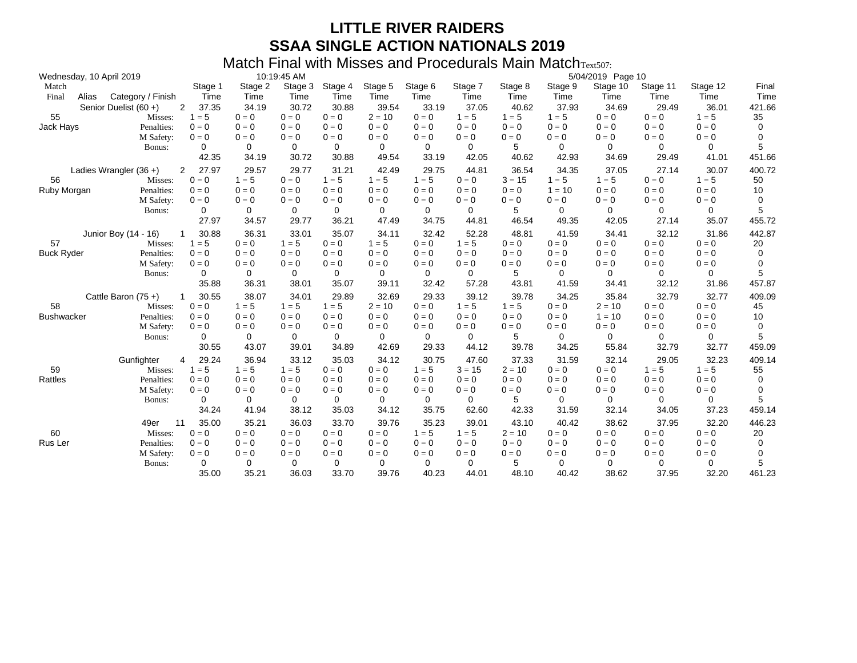|                   | Wednesday, 10 April 2019 |                          |                         |                 | 10:19:45 AM     |                 |                 |                 |                 |                 |                 | 5/04/2019 Page 10 |                  |                  |               |
|-------------------|--------------------------|--------------------------|-------------------------|-----------------|-----------------|-----------------|-----------------|-----------------|-----------------|-----------------|-----------------|-------------------|------------------|------------------|---------------|
| Match<br>Final    | Alias                    | Category / Finish        | Stage 1<br>Time         | Stage 2<br>Time | Stage 3<br>Time | Stage 4<br>Time | Stage 5<br>Time | Stage 6<br>Time | Stage 7<br>Time | Stage 8<br>Time | Stage 9<br>Time | Stage 10<br>Time  | Stage 11<br>Time | Stage 12<br>Time | Final<br>Time |
|                   |                          |                          | 37.35<br>$\overline{2}$ | 34.19           | 30.72           | 30.88           | 39.54           | 33.19           | 37.05           | 40.62           | 37.93           | 34.69             | 29.49            | 36.01            |               |
| 55                |                          | Senior Duelist (60 +)    | $1 = 5$                 | $0 = 0$         | $0 = 0$         | $0 = 0$         | $2 = 10$        | $0 = 0$         | $1 = 5$         | $1 = 5$         | $1 = 5$         | $0 = 0$           | $0 = 0$          | $1 = 5$          | 421.66<br>35  |
| Jack Hays         |                          | Misses:<br>Penalties:    | $0 = 0$                 | $0 = 0$         | $0 = 0$         | $0 = 0$         | $0 = 0$         | $0 = 0$         | $0 = 0$         | $0 = 0$         | $0 = 0$         | $0 = 0$           | $0 = 0$          | $0 = 0$          | 0             |
|                   |                          |                          | $0 = 0$                 | $0 = 0$         | $0 = 0$         | $0 = 0$         | $0 = 0$         | $0 = 0$         | $0 = 0$         | $0 = 0$         | $0 = 0$         | $0 = 0$           | $0 = 0$          | $0 = 0$          | 0             |
|                   |                          | M Safety:<br>Bonus:      | 0                       | 0               | 0               | 0               | 0               | 0               | 0               | 5               | $\Omega$        | 0                 | $\Omega$         | 0                | 5             |
|                   |                          |                          | 42.35                   | 34.19           | 30.72           | 30.88           | 49.54           | 33.19           | 42.05           | 40.62           | 42.93           | 34.69             | 29.49            | 41.01            | 451.66        |
|                   |                          | Ladies Wrangler $(36 +)$ | 27.97<br>$\mathbf{2}$   | 29.57           | 29.77           | 31.21           | 42.49           | 29.75           | 44.81           | 36.54           | 34.35           | 37.05             | 27.14            | 30.07            | 400.72        |
| 56                |                          | Misses:                  | $0 = 0$                 | $1 = 5$         | $0 = 0$         | $1 = 5$         | $1 = 5$         | $1 = 5$         | $0 = 0$         | $3 = 15$        | $1 = 5$         | $1 = 5$           | $0 = 0$          | $1 = 5$          | 50            |
| Ruby Morgan       |                          | Penalties:               | $0 = 0$                 | $0 = 0$         | $0 = 0$         | $0 = 0$         | $0 = 0$         | $0 = 0$         | $0 = 0$         | $0 = 0$         | $1 = 10$        | $0 = 0$           | $0 = 0$          | $0 = 0$          | 10            |
|                   |                          | M Safety:                | $0 = 0$                 | $0 = 0$         | $0 = 0$         | $0 = 0$         | $0 = 0$         | $0 = 0$         | $0 = 0$         | $0 = 0$         | $0 = 0$         | $0 = 0$           | $0 = 0$          | $0 = 0$          | 0             |
|                   |                          | Bonus:                   | 0                       | 0               | 0               | 0               | 0               | $\Omega$        | 0               | 5               | $\Omega$        | $\Omega$          | 0                | 0                | 5             |
|                   |                          |                          | 27.97                   | 34.57           | 29.77           | 36.21           | 47.49           | 34.75           | 44.81           | 46.54           | 49.35           | 42.05             | 27.14            | 35.07            | 455.72        |
|                   |                          | Junior Boy (14 - 16)     | 30.88                   | 36.31           | 33.01           | 35.07           | 34.11           | 32.42           | 52.28           | 48.81           | 41.59           | 34.41             | 32.12            | 31.86            | 442.87        |
| 57                |                          | Misses:                  | $1 = 5$                 | $0 = 0$         | $1 = 5$         | $0 = 0$         | $1 = 5$         | $0 = 0$         | $1 = 5$         | $0 = 0$         | $0 = 0$         | $0 = 0$           | $0 = 0$          | $0 = 0$          | 20            |
| <b>Buck Ryder</b> |                          | Penalties:               | $0 = 0$                 | $0 = 0$         | $0 = 0$         | $0 = 0$         | $0 = 0$         | $0 = 0$         | $0 = 0$         | $0 = 0$         | $0 = 0$         | $0 = 0$           | $0 = 0$          | $0 = 0$          | 0             |
|                   |                          | M Safety:                | $0 = 0$                 | $0 = 0$         | $0 = 0$         | $0 = 0$         | $0 = 0$         | $0 = 0$         | $0 = 0$         | $0 = 0$         | $0 = 0$         | $0 = 0$           | $0 = 0$          | $0 = 0$          | 0             |
|                   |                          | Bonus:                   | 0                       | 0               | 0               | 0               | 0               | 0               | 0               | 5               | $\Omega$        | 0                 | 0                | 0                | 5             |
|                   |                          |                          | 35.88                   | 36.31           | 38.01           | 35.07           | 39.11           | 32.42           | 57.28           | 43.81           | 41.59           | 34.41             | 32.12            | 31.86            | 457.87        |
|                   |                          | Cattle Baron $(75 +)$    | 30.55                   | 38.07           | 34.01           | 29.89           | 32.69           | 29.33           | 39.12           | 39.78           | 34.25           | 35.84             | 32.79            | 32.77            | 409.09        |
| 58                |                          | Misses:                  | $0 = 0$                 | $1 = 5$         | $1 = 5$         | $1 = 5$         | $2 = 10$        | $0 = 0$         | $1 = 5$         | $1 = 5$         | $0 = 0$         | $2 = 10$          | $0 = 0$          | $0 = 0$          | 45            |
| <b>Bushwacker</b> |                          | Penalties:               | $0 = 0$                 | $0 = 0$         | $0 = 0$         | $0 = 0$         | $0 = 0$         | $0 = 0$         | $0 = 0$         | $0 = 0$         | $0 = 0$         | $1 = 10$          | $0 = 0$          | $0 = 0$          | 10            |
|                   |                          | M Safety:                | $0 = 0$                 | $0 = 0$         | $0 = 0$         | $0 = 0$         | $0 = 0$         | $0 = 0$         | $0 = 0$         | $0 = 0$         | $0 = 0$         | $0 = 0$           | $0 = 0$          | $0 = 0$          | 0             |
|                   |                          | Bonus:                   | 0                       | 0               | $\Omega$        | 0               | $\Omega$        | 0               | $\Omega$        | 5               | $\Omega$        | $\Omega$          | $\Omega$         | $\Omega$         | 5             |
|                   |                          |                          | 30.55                   | 43.07           | 39.01           | 34.89           | 42.69           | 29.33           | 44.12           | 39.78           | 34.25           | 55.84             | 32.79            | 32.77            | 459.09        |
|                   |                          | Gunfighter               | 29.24<br>4              | 36.94           | 33.12           | 35.03           | 34.12           | 30.75           | 47.60           | 37.33           | 31.59           | 32.14             | 29.05            | 32.23            | 409.14        |
| 59                |                          | Misses:                  | $1 = 5$                 | $1 = 5$         | $1 = 5$         | $0 = 0$         | $0 = 0$         | $1 = 5$         | $3 = 15$        | $2 = 10$        | $0 = 0$         | $0 = 0$           | $1 = 5$          | $1 = 5$          | 55            |
| Rattles           |                          | Penalties:               | $0 = 0$                 | $0 = 0$         | $0 = 0$         | $0 = 0$         | $0 = 0$         | $0 = 0$         | $0 = 0$         | $0 = 0$         | $0 = 0$         | $0 = 0$           | $0 = 0$          | $0 = 0$          | 0             |
|                   |                          | M Safety:                | $0 = 0$                 | $0 = 0$         | $0 = 0$         | $0 = 0$         | $0 = 0$         | $0 = 0$         | $0 = 0$         | $0 = 0$         | $0 = 0$         | $0 = 0$           | $0 = 0$          | $0 = 0$          | 0             |
|                   |                          | Bonus:                   | 0                       | 0               | 0               | 0               | 0               | 0               | 0               | 5               | 0               | 0                 | 0                | 0                | 5             |
|                   |                          |                          | 34.24                   | 41.94           | 38.12           | 35.03           | 34.12           | 35.75           | 62.60           | 42.33           | 31.59           | 32.14             | 34.05            | 37.23            | 459.14        |
|                   |                          | 49er                     | 35.00<br>11             | 35.21           | 36.03           | 33.70           | 39.76           | 35.23           | 39.01           | 43.10           | 40.42           | 38.62             | 37.95            | 32.20            | 446.23        |
| 60                |                          | Misses:                  | $0 = 0$                 | $0 = 0$         | $0 = 0$         | $0 = 0$         | $0 = 0$         | $1 = 5$         | $1 = 5$         | $2 = 10$        | $0 = 0$         | $0 = 0$           | $0 = 0$          | $0 = 0$          | 20            |
| Rus Ler           |                          | Penalties:               | $0 = 0$                 | $0 = 0$         | $0 = 0$         | $0 = 0$         | $0 = 0$         | $0 = 0$         | $0 = 0$         | $0 = 0$         | $0 = 0$         | $0 = 0$           | $0 = 0$          | $0 = 0$          | 0             |
|                   |                          | M Safety:                | $0 = 0$                 | $0 = 0$         | $0 = 0$         | $0 = 0$         | $0 = 0$         | $0 = 0$         | $0 = 0$         | $0 = 0$         | $0 = 0$         | $0 = 0$           | $0 = 0$          | $0 = 0$          | 0             |
|                   |                          | Bonus:                   | 0                       | 0               | 0               | 0               | 0               | 0               | 0               | 5               | 0               | 0                 | 0                | 0                | 5             |
|                   |                          |                          | 35.00                   | 35.21           | 36.03           | 33.70           | 39.76           | 40.23           | 44.01           | 48.10           | 40.42           | 38.62             | 37.95            | 32.20            | 461.23        |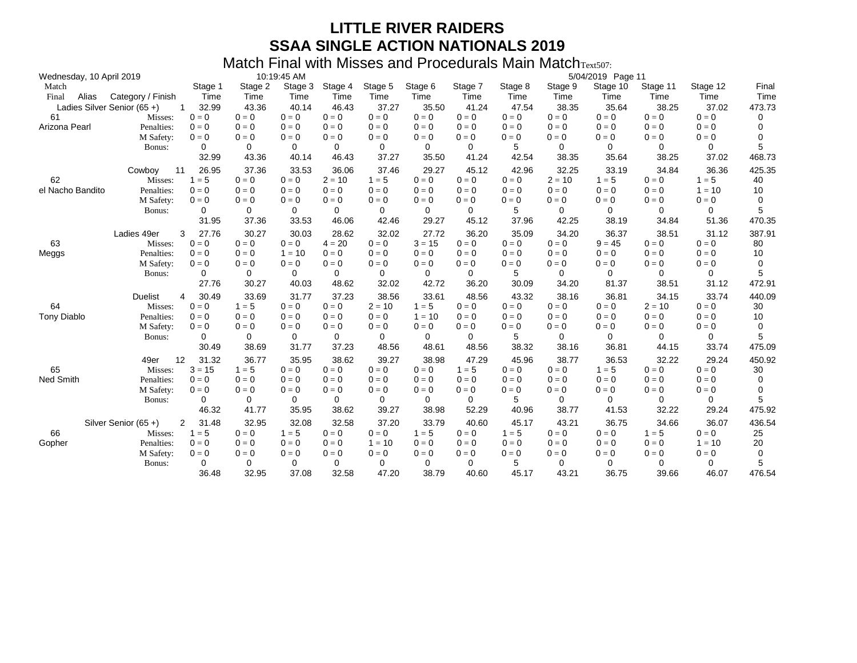| Wednesday, 10 April 2019 |                               |                       |                    | 10:19:45 AM        |                    |                 |                    |                    |                 |                    | 5/04/2019 Page 11  |                    |                  |               |
|--------------------------|-------------------------------|-----------------------|--------------------|--------------------|--------------------|-----------------|--------------------|--------------------|-----------------|--------------------|--------------------|--------------------|------------------|---------------|
| Match<br>Final<br>Alias  | Category / Finish             | Stage 1<br>Time       | Stage 2<br>Time    | Stage 3<br>Time    | Stage 4<br>Time    | Stage 5<br>Time | Stage 6<br>Time    | Stage 7<br>Time    | Stage 8<br>Time | Stage 9<br>Time    | Stage 10<br>Time   | Stage 11<br>Time   | Stage 12<br>Time | Final<br>Time |
|                          | Ladies Silver Senior $(65 +)$ | 32.99<br>$\mathbf{1}$ | 43.36              | 40.14              | 46.43              | 37.27           | 35.50              | 41.24              | 47.54           | 38.35              | 35.64              | 38.25              | 37.02            | 473.73        |
| 61                       | Misses:                       | $0 = 0$               | $0 = 0$            | $0 = 0$            | $0 = 0$            | $0 = 0$         | $0 = 0$            | $0 = 0$            | $0 = 0$         | $0 = 0$            | $0 = 0$            | $0 = 0$            | $0 = 0$          | 0             |
| Arizona Pearl            | Penalties:                    | $0 = 0$               | $0 = 0$            | $0 = 0$            | $0 = 0$            | $0 = 0$         | $0 = 0$            | $0 = 0$            | $0 = 0$         | $0 = 0$            | $0 = 0$            | $0 = 0$            | $0 = 0$          | $\Omega$      |
|                          | M Safety:                     | $0 = 0$               | $0 = 0$            | $0 = 0$            | $0 = 0$            | $0 = 0$         | $0 = 0$            | $0 = 0$            | $0 = 0$         | $0 = 0$            | $0 = 0$            | $0 = 0$            | $0 = 0$          | 0             |
|                          | Bonus:                        | 0                     | $\Omega$           | $\Omega$           | $\Omega$           | $\Omega$        | 0                  | $\Omega$           | 5               | $\Omega$           | $\Omega$           | $\Omega$           | 0                | 5             |
|                          |                               | 32.99                 | 43.36              | 40.14              | 46.43              | 37.27           | 35.50              | 41.24              | 42.54           | 38.35              | 35.64              | 38.25              | 37.02            | 468.73        |
|                          | 11<br>Cowboy                  | 26.95                 | 37.36              | 33.53              | 36.06              | 37.46           | 29.27              | 45.12              | 42.96           | 32.25              | 33.19              | 34.84              | 36.36            | 425.35        |
| 62                       | Misses:                       | $1 = 5$               | $0 = 0$            | $0 = 0$            | $2 = 10$           | $1 = 5$         | $0 = 0$            | $0 = 0$            | $0 = 0$         | $2 = 10$           | $1 = 5$            | $0 = 0$            | $1 = 5$          | 40            |
| el Nacho Bandito         | Penalties:                    | $0 = 0$               | $0 = 0$            | $0 = 0$            | $0 = 0$            | $0 = 0$         | $0 = 0$            | $0 = 0$            | $0 = 0$         | $0 = 0$            | $0 = 0$            | $0 = 0$            | $1 = 10$         | 10            |
|                          | M Safety:                     | $0 = 0$               | $0 = 0$            | $0 = 0$            | $0 = 0$            | $0 = 0$         | $0 = 0$            | $0 = 0$            | $0 = 0$         | $0 = 0$            | $0 = 0$            | $0 = 0$            | $0 = 0$          | 0             |
|                          | Bonus:                        | 0                     | 0                  | 0                  | 0                  | 0               | 0                  | 0                  | 5               | 0                  | 0                  | 0                  | 0                | 5             |
|                          |                               | 31.95                 | 37.36              | 33.53              | 46.06              | 42.46           | 29.27              | 45.12              | 37.96           | 42.25              | 38.19              | 34.84              | 51.36            | 470.35        |
|                          | Ladies 49er                   | 27.76<br>3            | 30.27              | 30.03              | 28.62              | 32.02           | 27.72              | 36.20              | 35.09           | 34.20              | 36.37              | 38.51              | 31.12            | 387.91        |
| 63                       | Misses:                       | $0 = 0$               | $0 = 0$            | $0 = 0$            | $4 = 20$           | $0 = 0$         | $3 = 15$           | $0 = 0$            | $0 = 0$         | $0 = 0$            | $9 = 45$           | $0 = 0$            | $0 = 0$          | 80            |
| Meggs                    | Penalties:                    | $0 = 0$               | $0 = 0$            | $1 = 10$           | $0 = 0$            | $0 = 0$         | $0 = 0$            | $0 = 0$            | $0 = 0$         | $0 = 0$            | $0 = 0$            | $0 = 0$            | $0 = 0$          | 10            |
|                          | M Safety:                     | $0 = 0$               | $0 = 0$            | $0 = 0$            | $0 = 0$            | $0 = 0$         | $0 = 0$            | $0 = 0$            | $0 = 0$         | $0 = 0$            | $0 = 0$            | $0 = 0$            | $0 = 0$          | 0             |
|                          | Bonus:                        | 0                     | 0                  | 0                  | 0                  | 0               | 0                  | $\Omega$           | 5               | 0                  | 0                  | 0                  | 0                | 5             |
|                          |                               | 27.76                 | 30.27              | 40.03              | 48.62              | 32.02           | 42.72              | 36.20              | 30.09           | 34.20              | 81.37              | 38.51              | 31.12            | 472.91        |
|                          | <b>Duelist</b>                | 30.49<br>4            | 33.69              | 31.77              | 37.23              | 38.56           | 33.61              | 48.56              | 43.32           | 38.16              | 36.81              | 34.15              | 33.74            | 440.09        |
| 64                       | Misses:                       | $0 = 0$               | $1 = 5$            | $0 = 0$            | $0 = 0$            | $2 = 10$        | $1 = 5$            | $0 = 0$            | $0 = 0$         | $0 = 0$            | $0 = 0$            | $2 = 10$           | $0 = 0$          | 30            |
| <b>Tony Diablo</b>       | Penalties:                    | $0 = 0$               | $0 = 0$            | $0 = 0$            | $0 = 0$            | $0 = 0$         | $1 = 10$           | $0 = 0$            | $0 = 0$         | $0 = 0$            | $0 = 0$            | $0 = 0$            | $0 = 0$          | 10            |
|                          | M Safety:                     | $0 = 0$               | $0 = 0$            | $0 = 0$            | $0 = 0$            | $0 = 0$         | $0 = 0$            | $0 = 0$            | $0 = 0$         | $0 = 0$            | $0 = 0$            | $0 = 0$            | $0 = 0$          | 0             |
|                          | Bonus:                        | $\Omega$              | $\mathbf 0$        | 0                  | 0                  | $\Omega$        | $\mathbf 0$        | $\Omega$           | 5               | $\Omega$           | $\Omega$           | $\Omega$           | $\Omega$         | 5             |
|                          |                               | 30.49                 | 38.69              | 31.77              | 37.23              | 48.56           | 48.61              | 48.56              | 38.32           | 38.16              | 36.81              | 44.15              | 33.74            | 475.09        |
|                          | 12<br>49er                    | 31.32                 | 36.77              | 35.95              | 38.62              | 39.27           | 38.98              | 47.29              | 45.96           | 38.77              | 36.53              | 32.22              | 29.24            | 450.92        |
| 65                       | Misses:                       | $3 = 15$              | $1 = 5$            | $0 = 0$            | $0 = 0$            | $0 = 0$         | $0 = 0$            | $1 = 5$            | $0 = 0$         | $0 = 0$            | $1 = 5$            | $0 = 0$            | $0 = 0$          | 30            |
| Ned Smith                | Penalties:                    | $0 = 0$               | $0 = 0$            | $0 = 0$            | $0 = 0$            | $0 = 0$         | $0 = 0$            | $0 = 0$            | $0 = 0$         | $0 = 0$            | $0 = 0$            | $0 = 0$            | $0 = 0$          | 0             |
|                          | M Safety:                     | $0 = 0$               | $0 = 0$            | $0 = 0$            | $0 = 0$            | $0 = 0$         | $0 = 0$            | $0 = 0$            | $0 = 0$         | $0 = 0$            | $0 = 0$            | $0 = 0$            | $0 = 0$          | 0             |
|                          | Bonus:                        | 0<br>46.32            | 0<br>41.77         | 0<br>35.95         | 0<br>38.62         | 0<br>39.27      | 0<br>38.98         | 0<br>52.29         | 5<br>40.96      | 0<br>38.77         | 0<br>41.53         | 0<br>32.22         | 0<br>29.24       | 5<br>475.92   |
|                          |                               |                       |                    |                    |                    |                 |                    |                    |                 |                    |                    |                    |                  |               |
|                          | Silver Senior (65+)           | 31.48<br>2            | 32.95              | 32.08              | 32.58              | 37.20           | 33.79              | 40.60              | 45.17           | 43.21              | 36.75              | 34.66              | 36.07            | 436.54        |
| 66                       | Misses:                       | $1 = 5$               | $0 = 0$            | $1 = 5$            | $0 = 0$            | $0 = 0$         | $1 = 5$            | $0 = 0$            | $1 = 5$         | $0 = 0$            | $0 = 0$            | $1 = 5$            | $0 = 0$          | 25            |
| Gopher                   | Penalties:                    | $0 = 0$               | $0 = 0$<br>$0 = 0$ | $0 = 0$<br>$0 = 0$ | $0 = 0$<br>$0 = 0$ | $1 = 10$        | $0 = 0$<br>$0 = 0$ | $0 = 0$<br>$0 = 0$ | $0 = 0$         | $0 = 0$<br>$0 = 0$ | $0 = 0$<br>$0 = 0$ | $0 = 0$<br>$0 = 0$ | $1 = 10$         | 20            |
|                          | M Safety:<br>Bonus:           | $0 = 0$<br>0          | 0                  | 0                  | 0                  | $0 = 0$<br>0    | 0                  | $\mathbf 0$        | $0 = 0$<br>5    | 0                  | 0                  | 0                  | $0 = 0$<br>0     | 0<br>5        |
|                          |                               | 36.48                 | 32.95              | 37.08              | 32.58              | 47.20           | 38.79              | 40.60              | 45.17           | 43.21              | 36.75              | 39.66              | 46.07            | 476.54        |
|                          |                               |                       |                    |                    |                    |                 |                    |                    |                 |                    |                    |                    |                  |               |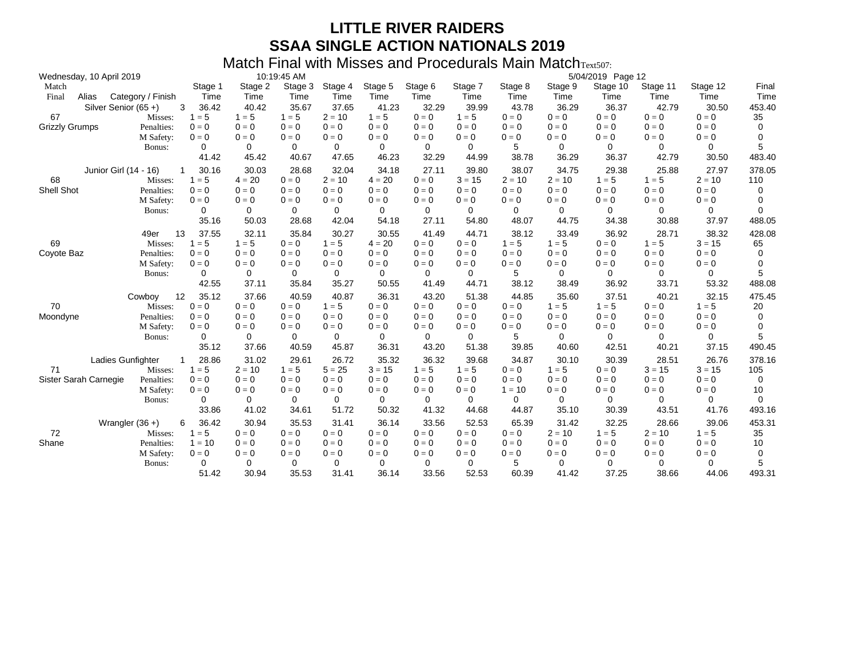| Wednesday, 10 April 2019 |       |                        |                 |                 | 10:19:45 AM     |                 |                 |                 |                     |                 |                 | 5/04/2019 Page 12   |                  |                     |                |
|--------------------------|-------|------------------------|-----------------|-----------------|-----------------|-----------------|-----------------|-----------------|---------------------|-----------------|-----------------|---------------------|------------------|---------------------|----------------|
| Match<br>Final           | Alias | Category / Finish      | Stage 1<br>Time | Stage 2<br>Time | Stage 3<br>Time | Stage 4<br>Time | Stage 5<br>Time | Stage 6<br>Time | Stage 7<br>Time     | Stage 8<br>Time | Stage 9<br>Time | Stage 10<br>Time    | Stage 11<br>Time | Stage 12<br>Time    | Final<br>Time  |
|                          |       | Silver Senior $(65 +)$ | 3<br>36.42      | 40.42           | 35.67           | 37.65           | 41.23           | 32.29           | 39.99               | 43.78           | 36.29           | 36.37               | 42.79            | 30.50               | 453.40         |
| 67                       |       | Misses:                | $1 = 5$         | $1 = 5$         | $1 = 5$         | $2 = 10$        | $1 = 5$         | $0 = 0$         | $1 = 5$             | $0 = 0$         | $0 = 0$         | $0 = 0$             | $0 = 0$          | $0 = 0$             | 35             |
| <b>Grizzly Grumps</b>    |       | Penalties:             | $0 = 0$         | $0 = 0$         | $0 = 0$         | $0 = 0$         | $0 = 0$         | $0 = 0$         | $0 = 0$             | $0 = 0$         | $0 = 0$         | $0 = 0$             | $0 = 0$          | $0 = 0$             | 0              |
|                          |       | M Safety:              | $0 = 0$         | $0 = 0$         | $0 = 0$         | $0 = 0$         | $0 = 0$         | $0 = 0$         | $0 = 0$             | $0 = 0$         | $0 = 0$         | $0 = 0$             | $0 = 0$          | $0 = 0$             | 0              |
|                          |       | Bonus:                 | 0               | 0               | 0               | 0               | 0               | 0               | $\Omega$            | 5               | $\Omega$        | 0                   | $\Omega$         | $\Omega$            | 5              |
|                          |       |                        | 41.42           | 45.42           | 40.67           | 47.65           | 46.23           | 32.29           | 44.99               | 38.78           | 36.29           | 36.37               | 42.79            | 30.50               | 483.40         |
|                          |       | Junior Girl (14 - 16)  | 30.16           | 30.03           | 28.68           | 32.04           | 34.18           | 27.11           | 39.80               | 38.07           | 34.75           | 29.38               | 25.88            | 27.97               | 378.05         |
| 68                       |       | Misses:                | $1 = 5$         | $4 = 20$        | $0 = 0$         | $2 = 10$        | $4 = 20$        | $0 = 0$         | $3 = 15$            | $2 = 10$        | $2 = 10$        | $1 = 5$             | $1 = 5$          | $2 = 10$            | 110            |
| Shell Shot               |       | Penalties:             | $0 = 0$         | $0 = 0$         | $0 = 0$         | $0 = 0$         | $0 = 0$         | $0 = 0$         | $0 = 0$             | $0 = 0$         | $0 = 0$         | $0 = 0$             | $0 = 0$          | $0 = 0$             | 0              |
|                          |       | M Safety:              | $0 = 0$         | $0 = 0$         | $0 = 0$         | $0 = 0$         | $0 = 0$         | $0 = 0$         | $0 = 0$             | $0 = 0$         | $0 = 0$         | $0 = 0$             | $0 = 0$          | $0 = 0$             | 0              |
|                          |       | Bonus:                 | 0               | 0               | 0               | 0               | 0               | 0               | $\Omega$            | 0               | $\Omega$        | $\Omega$            | 0                | 0                   | $\Omega$       |
|                          |       |                        | 35.16           | 50.03           | 28.68           | 42.04           | 54.18           | 27.11           | 54.80               | 48.07           | 44.75           | 34.38               | 30.88            | 37.97               | 488.05         |
|                          |       | 49er                   | 37.55<br>13     | 32.11           | 35.84           | 30.27           | 30.55           | 41.49           | 44.71               | 38.12           | 33.49           | 36.92               | 28.71            | 38.32               | 428.08         |
| 69                       |       | Misses:                | $1 = 5$         | $1 = 5$         | $0 = 0$         | $1 = 5$         | $4 = 20$        | $0 = 0$         | $0 = 0$             | $1 = 5$         | $1 = 5$         | $0 = 0$             | $1 = 5$          | $3 = 15$            | 65             |
| Coyote Baz               |       | Penalties:             | $0 = 0$         | $0 = 0$         | $0 = 0$         | $0 = 0$         | $0 = 0$         | $0 = 0$         | $0 = 0$             | $0 = 0$         | $0 = 0$         | $0 = 0$             | $0 = 0$          | $0 = 0$             | 0              |
|                          |       | M Safety:              | $0 = 0$         | $0 = 0$         | $0 = 0$         | $0 = 0$         | $0 = 0$         | $0 = 0$         | $0 = 0$             | $0 = 0$         | $0 = 0$         | $0 = 0$             | $0 = 0$          | $0 = 0$             | 0              |
|                          |       | Bonus:                 | 0               | 0               | 0               | 0               | 0               | 0               | 0                   | 5               | $\Omega$        | 0                   | 0                | 0                   | 5              |
|                          |       |                        | 42.55           | 37.11           | 35.84           | 35.27           | 50.55           | 41.49           | 44.71               | 38.12           | 38.49           | 36.92               | 33.71            | 53.32               | 488.08         |
|                          |       | Cowboy                 | 12<br>35.12     | 37.66           | 40.59           | 40.87           | 36.31           | 43.20           | 51.38               | 44.85           | 35.60           | 37.51               | 40.21            | 32.15               | 475.45         |
| 70                       |       | Misses:                | $0 = 0$         | $0 = 0$         | $0 = 0$         | $1 = 5$         | $0 = 0$         | $0 = 0$         | $0 = 0$             | $0 = 0$         | $1 = 5$         | $1 = 5$             | $0 = 0$          | $1 = 5$             | 20             |
| Moondyne                 |       | Penalties:             | $0 = 0$         | $0 = 0$         | $0 = 0$         | $0 = 0$         | $0 = 0$         | $0 = 0$         | $0 = 0$             | $0 = 0$         | $0 = 0$         | $0 = 0$             | $0 = 0$          | $0 = 0$             | 0              |
|                          |       | M Safety:              | $0 = 0$         | $0 = 0$         | $0 = 0$         | $0 = 0$         | $0 = 0$         | $0 = 0$         | $0 = 0$             | $0 = 0$         | $0 = 0$         | $0 = 0$             | $0 = 0$          | $0 = 0$             | 0              |
|                          |       | Bonus:                 | 0               | 0               | 0               | 0               | 0               | 0               | 0                   | 5               | 0               | 0                   | 0                | 0                   | 5              |
|                          |       |                        | 35.12           | 37.66           | 40.59           | 45.87           | 36.31           | 43.20           | 51.38               | 39.85           | 40.60           | 42.51               | 40.21            | 37.15               | 490.45         |
|                          |       | Ladies Gunfighter      | 28.86           | 31.02           | 29.61           | 26.72           | 35.32           | 36.32           | 39.68               | 34.87           | 30.10           | 30.39               | 28.51            | 26.76               | 378.16         |
| 71                       |       | Misses:                | $1 = 5$         | $2 = 10$        | $1 = 5$         | $5 = 25$        | $3 = 15$        | $1 = 5$         | $1 = 5$             | $0 = 0$         | $1 = 5$         | $0 = 0$             | $3 = 15$         | $3 = 15$            | 105            |
| Sister Sarah Carnegie    |       | Penalties:             | $0 = 0$         | $0 = 0$         | $0 = 0$         | $0 = 0$         | $0 = 0$         | $0 = 0$         | $0 = 0$             | $0 = 0$         | $0 = 0$         | $0 = 0$             | $0 = 0$          | $0 = 0$             | 0              |
|                          |       | M Safety:              | $0 = 0$         | $0 = 0$         | $0 = 0$         | $0 = 0$         | $0 = 0$         | $0 = 0$         | $0 = 0$<br>$\Omega$ | $1 = 10$        | $0 = 0$         | $0 = 0$<br>$\Omega$ | $0 = 0$          | $0 = 0$<br>$\Omega$ | 10<br>$\Omega$ |
|                          |       | Bonus:                 | 0<br>33.86      | 0<br>41.02      | 0<br>34.61      | 0<br>51.72      | 0<br>50.32      | 0<br>41.32      | 44.68               | 0<br>44.87      | 0<br>35.10      | 30.39               | 0<br>43.51       | 41.76               | 493.16         |
|                          |       | Wrangler $(36 +)$      | 36.42<br>6      | 30.94           | 35.53           | 31.41           | 36.14           | 33.56           | 52.53               | 65.39           | 31.42           | 32.25               | 28.66            | 39.06               | 453.31         |
| 72                       |       | Misses:                | $1 = 5$         | $0 = 0$         | $0 = 0$         | $0 = 0$         | $0 = 0$         | $0 = 0$         | $0 = 0$             | $0 = 0$         | $2 = 10$        | $1 = 5$             | $2 = 10$         | $1 = 5$             | 35             |
| Shane                    |       | Penalties:             | $1 = 10$        | $0 = 0$         | $0 = 0$         | $0 = 0$         | $0 = 0$         | $0 = 0$         | $0 = 0$             | $0 = 0$         | $0 = 0$         | $0 = 0$             | $0 = 0$          | $0 = 0$             | 10             |
|                          |       | M Safety:              | $0 = 0$         | $0 = 0$         | $0 = 0$         | $0 = 0$         | $0 = 0$         | $0 = 0$         | $0 = 0$             | $0 = 0$         | $0 = 0$         | $0 = 0$             | $0 = 0$          | $0 = 0$             | 0              |
|                          |       | Bonus:                 | 0               | 0               | 0               | 0               | 0               | 0               | 0                   | 5               | 0               | 0                   | 0                | 0                   | 5              |
|                          |       |                        | 51.42           | 30.94           | 35.53           | 31.41           | 36.14           | 33.56           | 52.53               | 60.39           | 41.42           | 37.25               | 38.66            | 44.06               | 493.31         |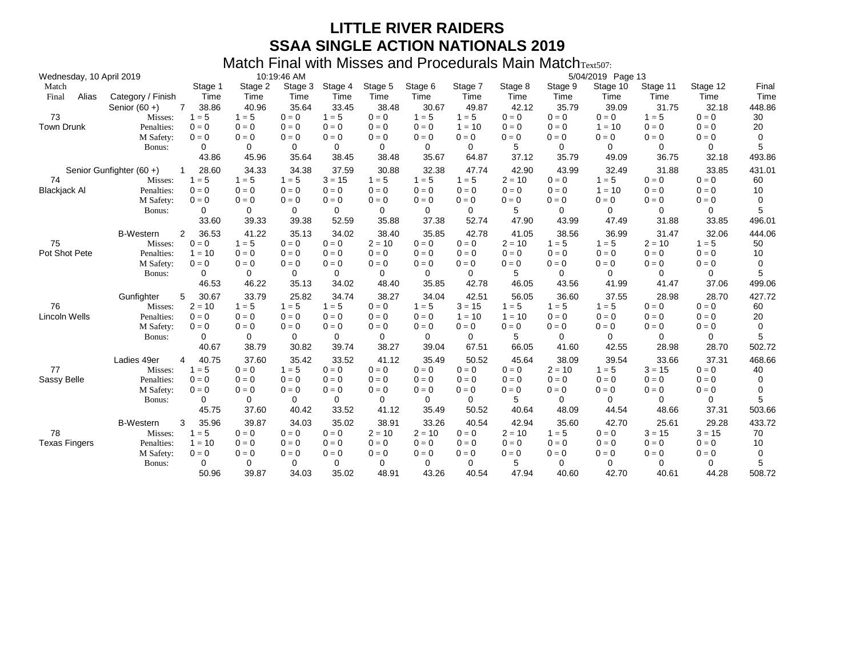| Wednesday, 10 April 2019   |                                                                         | 10:19:46 AM                                                                    |                                                      |                                                      |                                                       |                                                       |                                                       |                                                        | 5/04/2019 Page 13                                     |                                                              |                                                             |                                                       |                                                             |                                        |
|----------------------------|-------------------------------------------------------------------------|--------------------------------------------------------------------------------|------------------------------------------------------|------------------------------------------------------|-------------------------------------------------------|-------------------------------------------------------|-------------------------------------------------------|--------------------------------------------------------|-------------------------------------------------------|--------------------------------------------------------------|-------------------------------------------------------------|-------------------------------------------------------|-------------------------------------------------------------|----------------------------------------|
| Match<br>Alias<br>Final    | Category / Finish                                                       | Stage 1<br>Time                                                                | Stage 2<br>Time                                      | Stage 3<br>Time                                      | Stage 4<br>Time                                       | Stage 5<br>Time                                       | Stage 6<br>Time                                       | Stage 7<br>Time                                        | Stage 8<br>Time                                       | Stage 9<br>Time                                              | Stage 10<br>Time                                            | Stage 11<br>Time                                      | Stage 12<br>Time                                            | Final<br>Time                          |
| 73                         | Senior $(60 +)$<br>Misses:                                              | 38.86<br>$7^{\circ}$<br>$1 = 5$                                                | 40.96<br>$1 = 5$                                     | 35.64<br>$0 = 0$                                     | 33.45<br>$1 = 5$                                      | 38.48<br>$0 = 0$                                      | 30.67<br>$1 = 5$                                      | 49.87<br>$1 = 5$                                       | 42.12<br>$0 = 0$                                      | 35.79<br>$0 = 0$                                             | 39.09<br>$0 = 0$                                            | 31.75<br>$1 = 5$                                      | 32.18<br>$0 = 0$                                            | 448.86<br>30                           |
| <b>Town Drunk</b>          | Penalties:<br>M Safety:<br>Bonus:                                       | $0 = 0$<br>$0 = 0$<br>0<br>43.86                                               | $0 = 0$<br>$0 = 0$<br>0<br>45.96                     | $0 = 0$<br>$0 = 0$<br>$\Omega$<br>35.64              | $0 = 0$<br>$0 = 0$<br>0<br>38.45                      | $0 = 0$<br>$0 = 0$<br>$\Omega$<br>38.48               | $0 = 0$<br>$0 = 0$<br>$\Omega$<br>35.67               | $1 = 10$<br>$0 = 0$<br>$\Omega$<br>64.87               | $0 = 0$<br>$0 = 0$<br>5<br>37.12                      | $0 = 0$<br>$0 = 0$<br>$\Omega$<br>35.79                      | $1 = 10$<br>$0 = 0$<br>0<br>49.09                           | $0 = 0$<br>$0 = 0$<br>$\Omega$<br>36.75               | $0 = 0$<br>$0 = 0$<br>$\Omega$<br>32.18                     | 20<br>0<br>5<br>493.86                 |
| 74<br><b>Blackjack Al</b>  | Senior Gunfighter (60+)<br>Misses:<br>Penalties:<br>M Safety:<br>Bonus: | 28.60<br>$1 = 5$<br>$0 = 0$<br>$0 = 0$<br>0<br>33.60                           | 34.33<br>$1 = 5$<br>$0 = 0$<br>$0 = 0$<br>0<br>39.33 | 34.38<br>$1 = 5$<br>$0 = 0$<br>$0 = 0$<br>0<br>39.38 | 37.59<br>$3 = 15$<br>$0 = 0$<br>$0 = 0$<br>0<br>52.59 | 30.88<br>$1 = 5$<br>$0 = 0$<br>$0 = 0$<br>0<br>35.88  | 32.38<br>$1 = 5$<br>$0 = 0$<br>$0 = 0$<br>0<br>37.38  | 47.74<br>$1 = 5$<br>$0 = 0$<br>$0 = 0$<br>0<br>52.74   | 42.90<br>$2 = 10$<br>$0 = 0$<br>$0 = 0$<br>5<br>47.90 | 43.99<br>$0 = 0$<br>$0 = 0$<br>$0 = 0$<br>$\Omega$<br>43.99  | 32.49<br>$1 = 5$<br>$1 = 10$<br>$0 = 0$<br>0<br>47.49       | 31.88<br>$0 = 0$<br>$0 = 0$<br>$0 = 0$<br>0<br>31.88  | 33.85<br>$0 = 0$<br>$0 = 0$<br>$0 = 0$<br>0<br>33.85        | 431.01<br>60<br>10<br>0<br>5<br>496.01 |
| 75<br>Pot Shot Pete        | <b>B-Western</b><br>Misses:<br>Penalties:<br>M Safety:<br>Bonus:        | 36.53<br>$\overline{2}$<br>$0 = 0$<br>$1 = 10$<br>$0 = 0$<br>$\Omega$<br>46.53 | 41.22<br>$1 = 5$<br>$0 = 0$<br>$0 = 0$<br>0<br>46.22 | 35.13<br>$0 = 0$<br>$0 = 0$<br>$0 = 0$<br>0<br>35.13 | 34.02<br>$0 = 0$<br>$0 = 0$<br>$0 = 0$<br>0<br>34.02  | 38.40<br>$2 = 10$<br>$0 = 0$<br>$0 = 0$<br>0<br>48.40 | 35.85<br>$0 = 0$<br>$0 = 0$<br>$0 = 0$<br>0<br>35.85  | 42.78<br>$0 = 0$<br>$0 = 0$<br>$0 = 0$<br>0<br>42.78   | 41.05<br>$2 = 10$<br>$0 = 0$<br>$0 = 0$<br>5<br>46.05 | 38.56<br>$1 = 5$<br>$0 = 0$<br>$0 = 0$<br>0<br>43.56         | 36.99<br>$1 = 5$<br>$0 = 0$<br>$0 = 0$<br>0<br>41.99        | 31.47<br>$2 = 10$<br>$0 = 0$<br>$0 = 0$<br>0<br>41.47 | 32.06<br>$1 = 5$<br>$0 = 0$<br>$0 = 0$<br>0<br>37.06        | 444.06<br>50<br>10<br>0<br>5<br>499.06 |
| 76<br><b>Lincoln Wells</b> | Gunfighter<br>Misses:<br>Penalties:<br>M Safety:<br>Bonus:              | 5<br>30.67<br>$2 = 10$<br>$0 = 0$<br>$0 = 0$<br>0<br>40.67                     | 33.79<br>$1 = 5$<br>$0 = 0$<br>$0 = 0$<br>0<br>38.79 | 25.82<br>$1 = 5$<br>$0 = 0$<br>$0 = 0$<br>0<br>30.82 | 34.74<br>$1 = 5$<br>$0 = 0$<br>$0 = 0$<br>0<br>39.74  | 38.27<br>$0 = 0$<br>$0 = 0$<br>$0 = 0$<br>0<br>38.27  | 34.04<br>$1 = 5$<br>$0 = 0$<br>$0 = 0$<br>0<br>39.04  | 42.51<br>$3 = 15$<br>$1 = 10$<br>$0 = 0$<br>0<br>67.51 | 56.05<br>$1 = 5$<br>$1 = 10$<br>$0 = 0$<br>5<br>66.05 | 36.60<br>$1 = 5$<br>$0 = 0$<br>$0 = 0$<br>$\Omega$<br>41.60  | 37.55<br>$1 = 5$<br>$0 = 0$<br>$0 = 0$<br>$\Omega$<br>42.55 | 28.98<br>$0 = 0$<br>$0 = 0$<br>$0 = 0$<br>0<br>28.98  | 28.70<br>$0 = 0$<br>$0 = 0$<br>$0 = 0$<br>$\Omega$<br>28.70 | 427.72<br>60<br>20<br>0<br>5<br>502.72 |
| 77<br>Sassy Belle          | Ladies 49er<br>Misses:<br>Penalties:<br>M Safety:<br>Bonus:             | 40.75<br>4<br>$1 = 5$<br>$0 = 0$<br>$0 = 0$<br>0<br>45.75                      | 37.60<br>$0 = 0$<br>$0 = 0$<br>$0 = 0$<br>0<br>37.60 | 35.42<br>$1 = 5$<br>$0 = 0$<br>$0 = 0$<br>0<br>40.42 | 33.52<br>$0 = 0$<br>$0 = 0$<br>$0 = 0$<br>0<br>33.52  | 41.12<br>$0 = 0$<br>$0 = 0$<br>$0 = 0$<br>0<br>41.12  | 35.49<br>$0 = 0$<br>$0 = 0$<br>$0 = 0$<br>0<br>35.49  | 50.52<br>$0 = 0$<br>$0 = 0$<br>$0 = 0$<br>0<br>50.52   | 45.64<br>$0 = 0$<br>$0 = 0$<br>$0 = 0$<br>5<br>40.64  | 38.09<br>$2 = 10$<br>$0 = 0$<br>$0 = 0$<br>$\Omega$<br>48.09 | 39.54<br>$1 = 5$<br>$0 = 0$<br>$0 = 0$<br>$\Omega$<br>44.54 | 33.66<br>$3 = 15$<br>$0 = 0$<br>$0 = 0$<br>0<br>48.66 | 37.31<br>$0 = 0$<br>$0 = 0$<br>$0 = 0$<br>0<br>37.31        | 468.66<br>40<br>0<br>0<br>5<br>503.66  |
| 78<br><b>Texas Fingers</b> | <b>B-Western</b><br>Misses:<br>Penalties:<br>M Safety:<br>Bonus:        | 35.96<br>3<br>$1 = 5$<br>$1 = 10$<br>$0 = 0$<br>0<br>50.96                     | 39.87<br>$0 = 0$<br>$0 = 0$<br>$0 = 0$<br>0<br>39.87 | 34.03<br>$0 = 0$<br>$0 = 0$<br>$0 = 0$<br>0<br>34.03 | 35.02<br>$0 = 0$<br>$0 = 0$<br>$0 = 0$<br>0<br>35.02  | 38.91<br>$2 = 10$<br>$0 = 0$<br>$0 = 0$<br>0<br>48.91 | 33.26<br>$2 = 10$<br>$0 = 0$<br>$0 = 0$<br>0<br>43.26 | 40.54<br>$0 = 0$<br>$0 = 0$<br>$0 = 0$<br>0<br>40.54   | 42.94<br>$2 = 10$<br>$0 = 0$<br>$0 = 0$<br>5<br>47.94 | 35.60<br>$1 = 5$<br>$0 = 0$<br>$0 = 0$<br>$\Omega$<br>40.60  | 42.70<br>$0 = 0$<br>$0 = 0$<br>$0 = 0$<br>0<br>42.70        | 25.61<br>$3 = 15$<br>$0 = 0$<br>$0 = 0$<br>0<br>40.61 | 29.28<br>$3 = 15$<br>$0 = 0$<br>$0 = 0$<br>0<br>44.28       | 433.72<br>70<br>10<br>0<br>5<br>508.72 |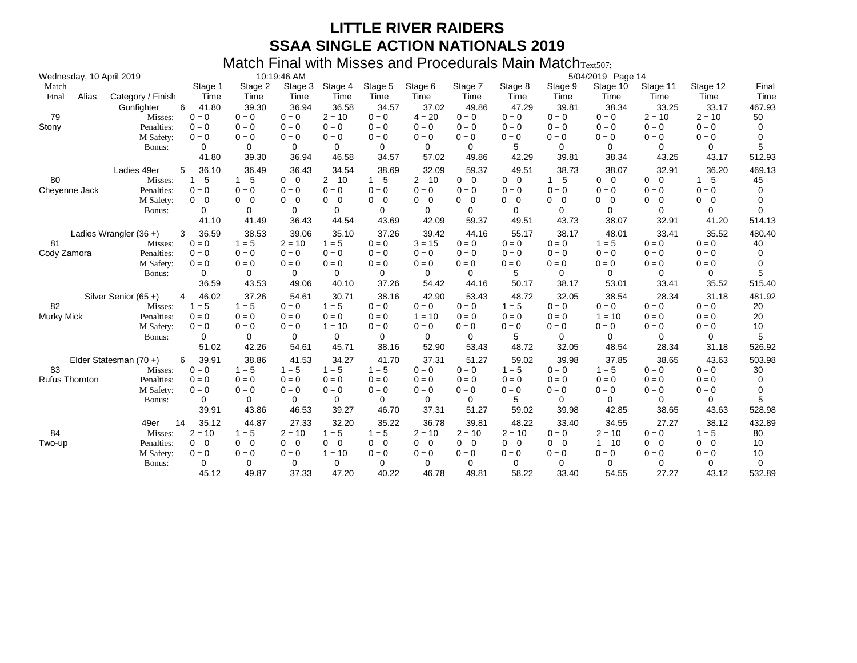| 10:19:46 AM<br>Wednesday, 10 April 2019 |                             |                 |                 |                 |                 |                 |                 |                 |                 | 5/04/2019 Page 14 |                  |                  |                  |               |
|-----------------------------------------|-----------------------------|-----------------|-----------------|-----------------|-----------------|-----------------|-----------------|-----------------|-----------------|-------------------|------------------|------------------|------------------|---------------|
| Match<br>Alias<br>Final                 | Category / Finish           | Stage 1<br>Time | Stage 2<br>Time | Stage 3<br>Time | Stage 4<br>Time | Stage 5<br>Time | Stage 6<br>Time | Stage 7<br>Time | Stage 8<br>Time | Stage 9<br>Time   | Stage 10<br>Time | Stage 11<br>Time | Stage 12<br>Time | Final<br>Time |
|                                         | 6<br>Gunfighter             | 41.80           | 39.30           | 36.94           | 36.58           | 34.57           | 37.02           | 49.86           | 47.29           | 39.81             | 38.34            | 33.25            | 33.17            | 467.93        |
| 79                                      | Misses:                     | $0 = 0$         | $0 = 0$         | $0 = 0$         | $2 = 10$        | $0 = 0$         | $4 = 20$        | $0 = 0$         | $0 = 0$         | $0 = 0$           | $0 = 0$          | $2 = 10$         | $2 = 10$         | 50            |
| Stony                                   | Penalties:                  | $0 = 0$         | $0 = 0$         | $0 = 0$         | $0 = 0$         | $0 = 0$         | $0 = 0$         | $0 = 0$         | $0 = 0$         | $0 = 0$           | $0 = 0$          | $0 = 0$          | $0 = 0$          | $\Omega$      |
|                                         | M Safety:                   | $0 = 0$         | $0 = 0$         | $0 = 0$         | $0 = 0$         | $0 = 0$         | $0 = 0$         | $0 = 0$         | $0 = 0$         | $0 = 0$           | $0 = 0$          | $0 = 0$          | $0 = 0$          | 0             |
|                                         | Bonus:                      | $\Omega$        | 0               | 0               | 0               | $\Omega$        | 0               | $\Omega$        | 5               | 0                 | $\Omega$         | 0                | 0                | 5             |
|                                         |                             | 41.80           | 39.30           | 36.94           | 46.58           | 34.57           | 57.02           | 49.86           | 42.29           | 39.81             | 38.34            | 43.25            | 43.17            | 512.93        |
|                                         | 5<br>Ladies 49er            | 36.10           | 36.49           | 36.43           | 34.54           | 38.69           | 32.09           | 59.37           | 49.51           | 38.73             | 38.07            | 32.91            | 36.20            | 469.13        |
| 80                                      | Misses:                     | $1 = 5$         | $1 = 5$         | $0 = 0$         | $2 = 10$        | $1 = 5$         | $2 = 10$        | $0 = 0$         | $0 = 0$         | $1 = 5$           | $0 = 0$          | $0 = 0$          | $1 = 5$          | 45            |
| Cheyenne Jack                           | Penalties:                  | $0 = 0$         | $0 = 0$         | $0 = 0$         | $0 = 0$         | $0 = 0$         | $0 = 0$         | $0 = 0$         | $0 = 0$         | $0 = 0$           | $0 = 0$          | $0 = 0$          | $0 = 0$          | 0             |
|                                         | M Safety:                   | $0 = 0$         | $0 = 0$         | $0 = 0$         | $0 = 0$         | $0 = 0$         | $0 = 0$         | $0 = 0$         | $0 = 0$         | $0 = 0$           | $0 = 0$          | $0 = 0$          | $0 = 0$          | 0             |
|                                         | Bonus:                      | 0               | 0               | 0               | 0               | 0               | 0               | 0               | 0               | 0                 | 0                | 0                | 0                | 0             |
|                                         |                             | 41.10           | 41.49           | 36.43           | 44.54           | 43.69           | 42.09           | 59.37           | 49.51           | 43.73             | 38.07            | 32.91            | 41.20            | 514.13        |
|                                         | Ladies Wrangler (36 +)<br>3 | 36.59           | 38.53           | 39.06           | 35.10           | 37.26           | 39.42           | 44.16           | 55.17           | 38.17             | 48.01            | 33.41            | 35.52            | 480.40        |
| 81                                      | Misses:                     | $0 = 0$         | $1 = 5$         | $2 = 10$        | $1 = 5$         | $0 = 0$         | $3 = 15$        | $0 = 0$         | $0 = 0$         | $0 = 0$           | $1 = 5$          | $0 = 0$          | $0 = 0$          | 40            |
| Cody Zamora                             | Penalties:                  | $0 = 0$         | $0 = 0$         | $0 = 0$         | $0 = 0$         | $0 = 0$         | $0 = 0$         | $0 = 0$         | $0 = 0$         | $0 = 0$           | $0 = 0$          | $0 = 0$          | $0 = 0$          | 0             |
|                                         | M Safety:                   | $0 = 0$         | $0 = 0$         | $0 = 0$         | $0 = 0$         | $0 = 0$         | $0 = 0$         | $0 = 0$         | $0 = 0$         | $0 = 0$           | $0 = 0$          | $0 = 0$          | $0 = 0$          | 0             |
|                                         | Bonus:                      | 0               | 0               | 0               | 0               | 0               | 0               | 0               | 5               | 0                 | 0                | 0                | 0                | 5             |
|                                         |                             | 36.59           | 43.53           | 49.06           | 40.10           | 37.26           | 54.42           | 44.16           | 50.17           | 38.17             | 53.01            | 33.41            | 35.52            | 515.40        |
|                                         | Silver Senior (65+)<br>4    | 46.02           | 37.26           | 54.61           | 30.71           | 38.16           | 42.90           | 53.43           | 48.72           | 32.05             | 38.54            | 28.34            | 31.18            | 481.92        |
| 82                                      | Misses:                     | $1 = 5$         | $1 = 5$         | $0 = 0$         | $1 = 5$         | $0 = 0$         | $0 = 0$         | $0 = 0$         | $1 = 5$         | $0 = 0$           | $0 = 0$          | $0 = 0$          | $0 = 0$          | 20            |
| <b>Murky Mick</b>                       | Penalties:                  | $0 = 0$         | $0 = 0$         | $0 = 0$         | $0 = 0$         | $0 = 0$         | $1 = 10$        | $0 = 0$         | $0 = 0$         | $0 = 0$           | $1 = 10$         | $0 = 0$          | $0 = 0$          | 20            |
|                                         | M Safety:                   | $0 = 0$         | $0 = 0$         | $0 = 0$         | $1 = 10$        | $0 = 0$         | $0 = 0$         | $0 = 0$         | $0 = 0$         | $0 = 0$           | $0 = 0$          | $0 = 0$          | $0 = 0$          | 10            |
|                                         | Bonus:                      | 0               | 0               | $\Omega$        | 0               | 0               | 0               | $\Omega$        | 5               | $\Omega$          | $\Omega$         | 0                | $\Omega$         | 5             |
|                                         |                             | 51.02           | 42.26           | 54.61           | 45.71           | 38.16           | 52.90           | 53.43           | 48.72           | 32.05             | 48.54            | 28.34            | 31.18            | 526.92        |
|                                         | Elder Statesman (70+)<br>6  | 39.91           | 38.86           | 41.53           | 34.27           | 41.70           | 37.31           | 51.27           | 59.02           | 39.98             | 37.85            | 38.65            | 43.63            | 503.98        |
| 83                                      | Misses:                     | $0 = 0$         | $1 = 5$         | $1 = 5$         | $1 = 5$         | $1 = 5$         | $0 = 0$         | $0 = 0$         | $1 = 5$         | $0 = 0$           | $1 = 5$          | $0 = 0$          | $0 = 0$          | 30            |
| <b>Rufus Thornton</b>                   | Penalties:                  | $0 = 0$         | $0 = 0$         | $0 = 0$         | $0 = 0$         | $0 = 0$         | $0 = 0$         | $0 = 0$         | $0 = 0$         | $0 = 0$           | $0 = 0$          | $0 = 0$          | $0 = 0$          | 0             |
|                                         | M Safety:                   | $0 = 0$         | $0 = 0$         | $0 = 0$         | $0 = 0$         | $0 = 0$         | $0 = 0$         | $0 = 0$         | $0 = 0$         | $0 = 0$           | $0 = 0$          | $0 = 0$          | $0 = 0$          | 0             |
|                                         | Bonus:                      | 0               | 0               | 0               | 0               | 0               | 0               | 0               | 5               | 0                 | 0                | 0                | 0                | 5             |
|                                         |                             | 39.91           | 43.86           | 46.53           | 39.27           | 46.70           | 37.31           | 51.27           | 59.02           | 39.98             | 42.85            | 38.65            | 43.63            | 528.98        |
|                                         | 14<br>49er                  | 35.12           | 44.87           | 27.33           | 32.20           | 35.22           | 36.78           | 39.81           | 48.22           | 33.40             | 34.55            | 27.27            | 38.12            | 432.89        |
| 84                                      | Misses:                     | $2 = 10$        | $1 = 5$         | $2 = 10$        | $1 = 5$         | $1 = 5$         | $2 = 10$        | $2 = 10$        | $2 = 10$        | $0 = 0$           | $2 = 10$         | $0 = 0$          | $1 = 5$          | 80            |
| Two-up                                  | Penalties:                  | $0 = 0$         | $0 = 0$         | $0 = 0$         | $0 = 0$         | $0 = 0$         | $0 = 0$         | $0 = 0$         | $0 = 0$         | $0 = 0$           | $1 = 10$         | $0 = 0$          | $0 = 0$          | 10            |
|                                         | M Safety:                   | $0 = 0$         | $0 = 0$         | $0 = 0$         | $1 = 10$        | $0 = 0$         | $0 = 0$         | $0 = 0$         | $0 = 0$         | $0 = 0$           | $0 = 0$          | $0 = 0$          | $0 = 0$          | 10            |
|                                         | Bonus:                      | 0               | 0               | 0               | 0               | 0               | 0               | 0               | 0               | 0                 | 0                | 0                | $\Omega$         | 0             |
|                                         |                             | 45.12           | 49.87           | 37.33           | 47.20           | 40.22           | 46.78           | 49.81           | 58.22           | 33.40             | 54.55            | 27.27            | 43.12            | 532.89        |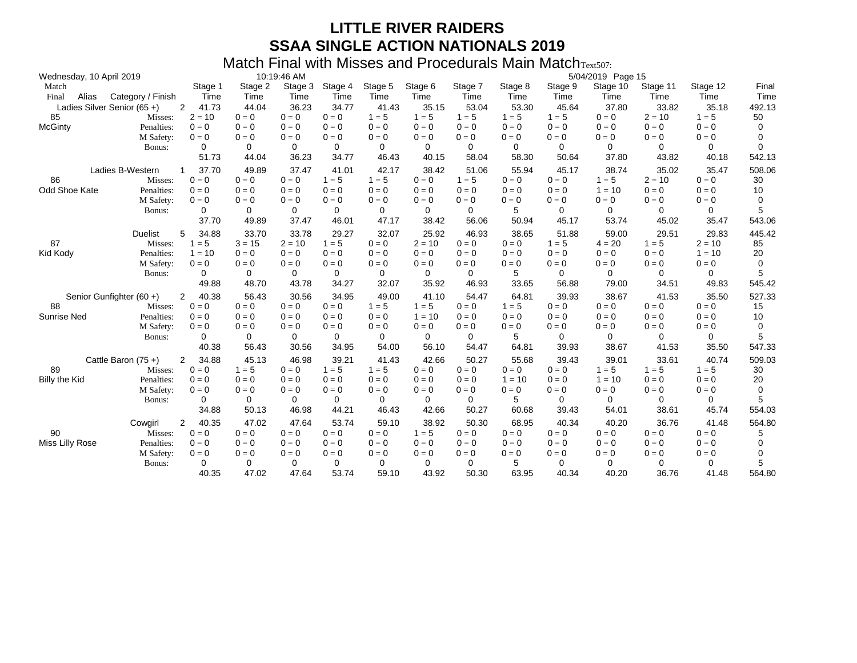| Wednesday, 10 April 2019         |                    |                                   |                  | 10:19:46 AM      |                  |                  |                  |                   |                  |                  | 5/04/2019 Page 15 |                   |                  |               |
|----------------------------------|--------------------|-----------------------------------|------------------|------------------|------------------|------------------|------------------|-------------------|------------------|------------------|-------------------|-------------------|------------------|---------------|
| Match<br>Final<br>Alias          | Category / Finish  | Stage 1<br>Time                   | Stage 2<br>Time  | Stage 3<br>Time  | Stage 4<br>Time  | Stage 5<br>Time  | Stage 6<br>Time  | Stage 7<br>Time   | Stage 8<br>Time  | Stage 9<br>Time  | Stage 10<br>Time  | Stage 11<br>Time  | Stage 12<br>Time | Final<br>Time |
| Ladies Silver Senior (65+)<br>85 | Misses:            | 41.73<br>$\mathbf{2}$<br>$2 = 10$ | 44.04<br>$0 = 0$ | 36.23<br>$0 = 0$ | 34.77<br>$0 = 0$ | 41.43<br>$1 = 5$ | 35.15<br>$1 = 5$ | 53.04<br>$1 = 5$  | 53.30<br>$1 = 5$ | 45.64<br>$1 = 5$ | 37.80<br>$0 = 0$  | 33.82<br>$2 = 10$ | 35.18<br>$1 = 5$ | 492.13<br>50  |
| McGinty                          | Penalties:         | $0 = 0$                           | $0 = 0$          | $0 = 0$          | $0 = 0$          | $0 = 0$          | $0 = 0$          | $0 = 0$           | $0 = 0$          | $0 = 0$          | $0 = 0$           | $0 = 0$           | $0 = 0$          | $\Omega$      |
|                                  | M Safety:          | $0 = 0$                           | $0 = 0$          | $0 = 0$          | $0 = 0$          | $0 = 0$          | $0 = 0$          | $0 = 0$           | $0 = 0$          | $0 = 0$          | $0 = 0$           | $0 = 0$           | $0 = 0$          | 0             |
|                                  | Bonus:             | 0                                 | 0                | $\Omega$         | 0                | $\Omega$         | $\Omega$         | $\Omega$          | 0                | 0                | 0                 | 0                 | 0                | $\Omega$      |
|                                  |                    | 51.73                             | 44.04            | 36.23            | 34.77            | 46.43            | 40.15            | 58.04             | 58.30            | 50.64            | 37.80             | 43.82             | 40.18            | 542.13        |
|                                  | Ladies B-Western   | 37.70                             | 49.89            | 37.47            | 41.01            | 42.17            | 38.42            | 51.06             | 55.94            | 45.17            | 38.74             | 35.02             | 35.47            | 508.06        |
| 86                               | Misses:            | $0 = 0$                           | $0 = 0$          | $0 = 0$          | $1 = 5$          | $1 = 5$          | $0 = 0$          | $1 = 5$           | $0 = 0$          | $0 = 0$          | $1 = 5$           | $2 = 10$          | $0 = 0$          | 30            |
| Odd Shoe Kate                    | Penalties:         | $0 = 0$                           | $0 = 0$          | $0 = 0$          | $0 = 0$          | $0 = 0$          | $0 = 0$          | $0 = 0$           | $0 = 0$          | $0 = 0$          | $1 = 10$          | $0 = 0$           | $0 = 0$          | 10            |
|                                  | M Safety:          | $0 = 0$                           | $0 = 0$          | $0 = 0$          | $0 = 0$          | $0 = 0$          | $0 = 0$          | $0 = 0$           | $0 = 0$          | $0 = 0$          | $0 = 0$           | $0 = 0$           | $0 = 0$          | 0             |
|                                  | Bonus:             | 0                                 | 0                | 0                | 0                | 0                | 0                | 0                 | 5                | 0                | 0                 | 0                 | 0                | 5             |
|                                  |                    | 37.70                             | 49.89            | 37.47            | 46.01            | 47.17            | 38.42            | 56.06             | 50.94            | 45.17            | 53.74             | 45.02             | 35.47            | 543.06        |
|                                  | <b>Duelist</b>     | 5<br>34.88                        | 33.70            | 33.78            | 29.27            | 32.07            | 25.92            | 46.93             | 38.65            | 51.88            | 59.00             | 29.51             | 29.83            | 445.42        |
| 87                               | Misses:            | $1 = 5$                           | $3 = 15$         | $2 = 10$         | $1 = 5$          | $0 = 0$          | $2 = 10$         | $0 = 0$           | $0 = 0$          | $1 = 5$          | $4 = 20$          | $1 = 5$           | $2 = 10$         | 85            |
| Kid Kody                         | Penalties:         | $1 = 10$                          | $0 = 0$          | $0 = 0$          | $0 = 0$          | $0 = 0$          | $0 = 0$          | $0 = 0$           | $0 = 0$          | $0 = 0$          | $0 = 0$           | $0 = 0$           | $1 = 10$         | 20            |
|                                  | M Safety:          | $0 = 0$                           | $0 = 0$          | $0 = 0$          | $0 = 0$          | $0 = 0$          | $0 = 0$          | $0 = 0$           | $0 = 0$          | $0 = 0$          | $0 = 0$           | $0 = 0$           | $0 = 0$          | 0             |
|                                  | Bonus:             | 0                                 | 0<br>48.70       | 0                | 0<br>34.27       | 0<br>32.07       | 0<br>35.92       | 0                 | 5<br>33.65       | 0<br>56.88       | $\Omega$<br>79.00 | 0                 | 0                | 5<br>545.42   |
|                                  |                    | 49.88                             |                  | 43.78            |                  |                  |                  | 46.93             |                  |                  |                   | 34.51             | 49.83            |               |
| Senior Gunfighter (60+)          |                    | $\overline{2}$<br>40.38           | 56.43            | 30.56            | 34.95            | 49.00            | 41.10            | 54.47             | 64.81            | 39.93            | 38.67             | 41.53             | 35.50            | 527.33        |
| 88                               | Misses:            | $0 = 0$                           | $0 = 0$          | $0 = 0$          | $0 = 0$          | $1 = 5$          | $1 = 5$          | $0 = 0$           | $1 = 5$          | $0 = 0$          | $0 = 0$           | $0 = 0$           | $0 = 0$          | 15            |
| Sunrise Ned                      | Penalties:         | $0 = 0$                           | $0 = 0$          | $0 = 0$          | $0 = 0$          | $0 = 0$          | $1 = 10$         | $0 = 0$           | $0 = 0$          | $0 = 0$          | $0 = 0$           | $0 = 0$           | $0 = 0$          | 10            |
|                                  | M Safety:          | $0 = 0$                           | $0 = 0$          | $0 = 0$          | $0 = 0$          | $0 = 0$          | $0 = 0$          | $0 = 0$           | $0 = 0$          | $0 = 0$          | $0 = 0$           | $0 = 0$           | $0 = 0$          | 0             |
|                                  | Bonus:             | 0                                 | 0<br>56.43       | $\Omega$         | 0                | 0                | 0<br>56.10       | $\Omega$<br>54.47 | 5                | 0<br>39.93       | $\Omega$<br>38.67 | 0<br>41.53        | $\Omega$         | 5             |
|                                  |                    | 40.38                             |                  | 30.56            | 34.95            | 54.00            |                  |                   | 64.81            |                  |                   |                   | 35.50            | 547.33        |
|                                  | Cattle Baron (75+) | 34.88<br>2                        | 45.13            | 46.98            | 39.21            | 41.43            | 42.66            | 50.27             | 55.68            | 39.43            | 39.01             | 33.61             | 40.74            | 509.03        |
| 89                               | Misses:            | $0 = 0$                           | $1 = 5$          | $0 = 0$          | $1 = 5$          | $1 = 5$          | $0 = 0$          | $0 = 0$           | $0 = 0$          | $0 = 0$          | $1 = 5$           | $1 = 5$           | $1 = 5$          | 30            |
| Billy the Kid                    | Penalties:         | $0 = 0$                           | $0 = 0$          | $0 = 0$          | $0 = 0$          | $0 = 0$          | $0 = 0$          | $0 = 0$           | $1 = 10$         | $0 = 0$          | $1 = 10$          | $0 = 0$           | $0 = 0$          | 20            |
|                                  | M Safety:          | $0 = 0$                           | $0 = 0$          | $0 = 0$          | $0 = 0$          | $0 = 0$          | $0 = 0$          | $0 = 0$           | $0 = 0$          | $0 = 0$          | $0 = 0$           | $0 = 0$           | $0 = 0$          | 0             |
|                                  | Bonus:             | 0<br>34.88                        | 0<br>50.13       | 0<br>46.98       | 0<br>44.21       | 0<br>46.43       | 0<br>42.66       | 0<br>50.27        | 5<br>60.68       | 0<br>39.43       | 0<br>54.01        | 0<br>38.61        | 0<br>45.74       | 5<br>554.03   |
|                                  | Cowgirl            | 40.35<br>2                        | 47.02            | 47.64            | 53.74            | 59.10            | 38.92            | 50.30             | 68.95            | 40.34            | 40.20             | 36.76             | 41.48            | 564.80        |
| 90                               | Misses:            | $0 = 0$                           | $0 = 0$          | $0 = 0$          | $0 = 0$          | $0 = 0$          | $1 = 5$          | $0 = 0$           | $0 = 0$          | $0 = 0$          | $0 = 0$           | $0 = 0$           | $0 = 0$          | 5             |
| Miss Lilly Rose                  | Penalties:         | $0 = 0$                           | $0 = 0$          | $0 = 0$          | $0 = 0$          | $0 = 0$          | $0 = 0$          | $0 = 0$           | $0 = 0$          | $0 = 0$          | $0 = 0$           | $0 = 0$           | $0 = 0$          | 0             |
|                                  | M Safety:          | $0 = 0$                           | $0 = 0$          | $0 = 0$          | $0 = 0$          | $0 = 0$          | $0 = 0$          | $0 = 0$           | $0 = 0$          | $0 = 0$          | $0 = 0$           | $0 = 0$           | $0 = 0$          | 0             |
|                                  | Bonus:             | 0                                 | 0                | 0                | 0                | 0                | 0                | 0                 | 5                | 0                | 0                 | 0                 | 0                | 5             |
|                                  |                    | 40.35                             | 47.02            | 47.64            | 53.74            | 59.10            | 43.92            | 50.30             | 63.95            | 40.34            | 40.20             | 36.76             | 41.48            | 564.80        |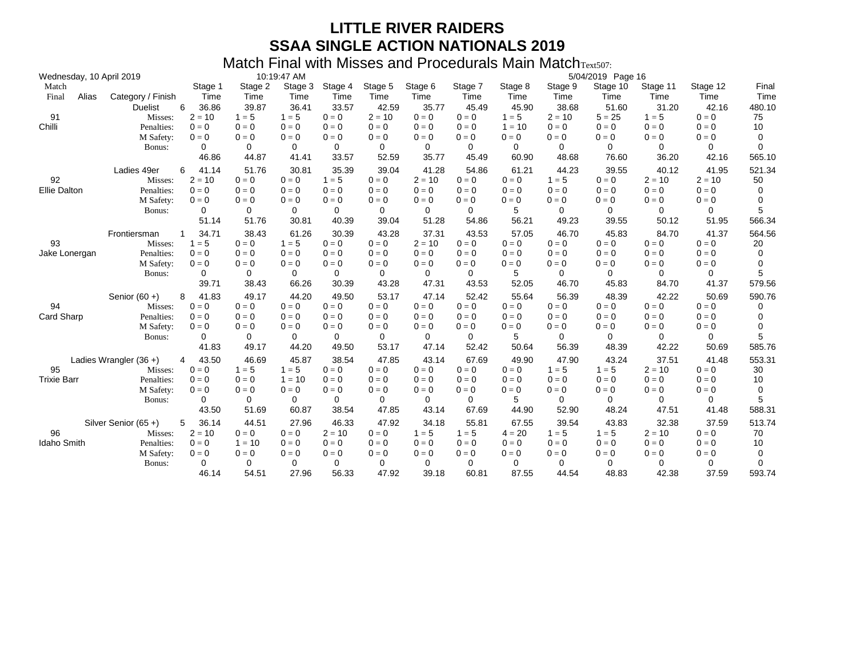| Wednesday, 10 April 2019 |                                                       |                    |                 | 10:19:47 AM     |                 |                 |                 |                 |                 |                 | 5/04/2019 Page 16 |                  |                  |               |
|--------------------------|-------------------------------------------------------|--------------------|-----------------|-----------------|-----------------|-----------------|-----------------|-----------------|-----------------|-----------------|-------------------|------------------|------------------|---------------|
| Match                    | Alias<br>Category / Finish<br>Final<br><b>Duelist</b> |                    | Stage 2<br>Time | Stage 3<br>Time | Stage 4<br>Time | Stage 5<br>Time | Stage 6<br>Time | Stage 7<br>Time | Stage 8<br>Time | Stage 9<br>Time | Stage 10<br>Time  | Stage 11<br>Time | Stage 12<br>Time | Final<br>Time |
|                          |                                                       | Time<br>6<br>36.86 | 39.87           | 36.41           | 33.57           | 42.59           | 35.77           | 45.49           | 45.90           | 38.68           | 51.60             | 31.20            | 42.16            | 480.10        |
| 91                       | Misses:                                               | $2 = 10$           | $1 = 5$         | $1 = 5$         | $0 = 0$         | $2 = 10$        | $0 = 0$         | $0 = 0$         | $1 = 5$         | $2 = 10$        | $5 = 25$          | $1 = 5$          | $0 = 0$          | 75            |
| Chilli                   | Penalties:                                            | $0 = 0$            | $0 = 0$         | $0 = 0$         | $0 = 0$         | $0 = 0$         | $0 = 0$         | $0 = 0$         | $1 = 10$        | $0 = 0$         | $0 = 0$           | $0 = 0$          | $0 = 0$          | 10            |
|                          | M Safety:                                             | $0 = 0$            | $0 = 0$         | $0 = 0$         | $0 = 0$         | $0 = 0$         | $0 = 0$         | $0 = 0$         | $0 = 0$         | $0 = 0$         | $0 = 0$           | $0 = 0$          | $0 = 0$          | 0             |
|                          | Bonus:                                                | 0                  | 0               | 0               | 0               | $\Omega$        | 0               | $\Omega$        | 0               | $\Omega$        | $\Omega$          | 0                | $\Omega$         | 0             |
|                          |                                                       | 46.86              | 44.87           | 41.41           | 33.57           | 52.59           | 35.77           | 45.49           | 60.90           | 48.68           | 76.60             | 36.20            | 42.16            | 565.10        |
|                          | Ladies 49er                                           | 41.14<br>6         | 51.76           | 30.81           | 35.39           | 39.04           | 41.28           | 54.86           | 61.21           | 44.23           | 39.55             | 40.12            | 41.95            | 521.34        |
| 92                       | Misses:                                               | $2 = 10$           | $0 = 0$         | $0 = 0$         | $1 = 5$         | $0 = 0$         | $2 = 10$        | $0 = 0$         | $0 = 0$         | $1 = 5$         | $0 = 0$           | $2 = 10$         | $2 = 10$         | 50            |
| <b>Ellie Dalton</b>      | Penalties:                                            | $0 = 0$            | $0 = 0$         | $0 = 0$         | $0 = 0$         | $0 = 0$         | $0 = 0$         | $0 = 0$         | $0 = 0$         | $0 = 0$         | $0 = 0$           | $0 = 0$          | $0 = 0$          | 0             |
|                          | M Safety:                                             | $0 = 0$            | $0 = 0$         | $0 = 0$         | $0 = 0$         | $0 = 0$         | $0 = 0$         | $0 = 0$         | $0 = 0$         | $0 = 0$         | $0 = 0$           | $0 = 0$          | $0 = 0$          | 0             |
|                          | Bonus:                                                | 0                  | 0               | $\Omega$        | 0               | 0               | 0               | $\Omega$        | 5               | 0               | $\Omega$          | 0                | 0                | 5             |
|                          |                                                       | 51.14              | 51.76           | 30.81           | 40.39           | 39.04           | 51.28           | 54.86           | 56.21           | 49.23           | 39.55             | 50.12            | 51.95            | 566.34        |
|                          | Frontiersman                                          | 34.71              | 38.43           | 61.26           | 30.39           | 43.28           | 37.31           | 43.53           | 57.05           | 46.70           | 45.83             | 84.70            | 41.37            | 564.56        |
| 93                       | Misses:                                               | $1 = 5$            | $0 = 0$         | $1 = 5$         | $0 = 0$         | $0 = 0$         | $2 = 10$        | $0 = 0$         | $0 = 0$         | $0 = 0$         | $0 = 0$           | $0 = 0$          | $0 = 0$          | 20            |
| Jake Lonergan            | Penalties:                                            | $0 = 0$            | $0 = 0$         | $0 = 0$         | $0 = 0$         | $0 = 0$         | $0 = 0$         | $0 = 0$         | $0 = 0$         | $0 = 0$         | $0 = 0$           | $0 = 0$          | $0 = 0$          | 0             |
|                          | M Safety:                                             | $0 = 0$            | $0 = 0$         | $0 = 0$         | $0 = 0$         | $0 = 0$         | $0 = 0$         | $0 = 0$         | $0 = 0$         | $0 = 0$         | $0 = 0$           | $0 = 0$          | $0 = 0$          | 0             |
|                          | Bonus:                                                | 0                  | 0               | 0               | 0               | 0               | 0               | $\Omega$        | 5               | $\Omega$        | 0                 | 0                | 0                | 5             |
|                          |                                                       | 39.71              | 38.43           | 66.26           | 30.39           | 43.28           | 47.31           | 43.53           | 52.05           | 46.70           | 45.83             | 84.70            | 41.37            | 579.56        |
|                          | Senior $(60 +)$                                       | 8<br>41.83         | 49.17           | 44.20           | 49.50           | 53.17           | 47.14           | 52.42           | 55.64           | 56.39           | 48.39             | 42.22            | 50.69            | 590.76        |
| 94                       | Misses:                                               | $0 = 0$            | $0 = 0$         | $0 = 0$         | $0 = 0$         | $0 = 0$         | $0 = 0$         | $0 = 0$         | $0 = 0$         | $0 = 0$         | $0 = 0$           | $0 = 0$          | $0 = 0$          | 0             |
| Card Sharp               | Penalties:                                            | $0 = 0$            | $0 = 0$         | $0 = 0$         | $0 = 0$         | $0 = 0$         | $0 = 0$         | $0 = 0$         | $0 = 0$         | $0 = 0$         | $0 = 0$           | $0 = 0$          | $0 = 0$          | 0             |
|                          | M Safety:                                             | $0 = 0$            | $0 = 0$         | $0 = 0$         | $0 = 0$         | $0 = 0$         | $0 = 0$         | $0 = 0$         | $0 = 0$         | $0 = 0$         | $0 = 0$           | $0 = 0$          | $0 = 0$          | 0             |
|                          | Bonus:                                                | 0                  | 0               | 0               | 0               | 0               | 0               | 0               | 5               | 0               | 0                 | 0                | 0                | 5             |
|                          |                                                       | 41.83              | 49.17           | 44.20           | 49.50           | 53.17           | 47.14           | 52.42           | 50.64           | 56.39           | 48.39             | 42.22            | 50.69            | 585.76        |
|                          | Ladies Wrangler (36 +)                                | 43.50<br>4         | 46.69           | 45.87           | 38.54           | 47.85           | 43.14           | 67.69           | 49.90           | 47.90           | 43.24             | 37.51            | 41.48            | 553.31        |
| 95                       | Misses:                                               | $0 = 0$            | $1 = 5$         | $1 = 5$         | $0 = 0$         | $0 = 0$         | $0 = 0$         | $0 = 0$         | $0 = 0$         | $1 = 5$         | $1 = 5$           | $2 = 10$         | $0 = 0$          | 30            |
| <b>Trixie Barr</b>       | Penalties:                                            | $0 = 0$            | $0 = 0$         | $1 = 10$        | $0 = 0$         | $0 = 0$         | $0 = 0$         | $0 = 0$         | $0 = 0$         | $0 = 0$         | $0 = 0$           | $0 = 0$          | $0 = 0$          | 10            |
|                          | M Safety:                                             | $0 = 0$            | $0 = 0$         | $0 = 0$         | $0 = 0$         | $0 = 0$         | $0 = 0$         | $0 = 0$         | $0 = 0$         | $0 = 0$         | $0 = 0$           | $0 = 0$          | $0 = 0$          | 0             |
|                          | Bonus:                                                | 0                  | 0               | 0               | 0               | 0               | 0               | $\Omega$        | 5               | 0               | 0                 | 0                | $\Omega$         | 5             |
|                          |                                                       | 43.50              | 51.69           | 60.87           | 38.54           | 47.85           | 43.14           | 67.69           | 44.90           | 52.90           | 48.24             | 47.51            | 41.48            | 588.31        |
|                          | Silver Senior (65+)                                   | 36.14<br>5         | 44.51           | 27.96           | 46.33           | 47.92           | 34.18           | 55.81           | 67.55           | 39.54           | 43.83             | 32.38            | 37.59            | 513.74        |
| 96                       | Misses:                                               | $2 = 10$           | $0 = 0$         | $0 = 0$         | $2 = 10$        | $0 = 0$         | $1 = 5$         | $1 = 5$         | $4 = 20$        | $1 = 5$         | $1 = 5$           | $2 = 10$         | $0 = 0$          | 70            |
| Idaho Smith              | Penalties:                                            | $0 = 0$            | $1 = 10$        | $0 = 0$         | $0 = 0$         | $0 = 0$         | $0 = 0$         | $0 = 0$         | $0 = 0$         | $0 = 0$         | $0 = 0$           | $0 = 0$          | $0 = 0$          | 10            |
|                          | M Safety:                                             | $0 = 0$            | $0 = 0$         | $0 = 0$         | $0 = 0$         | $0 = 0$         | $0 = 0$         | $0 = 0$         | $0 = 0$         | $0 = 0$         | $0 = 0$           | $0 = 0$          | $0 = 0$          | 0             |
|                          | Bonus:                                                | 0                  | 0               | 0               | 0               | 0               | 0               | 0               | 0               | 0               | $\Omega$          | $\Omega$         | 0                | $\Omega$      |
|                          |                                                       | 46.14              | 54.51           | 27.96           | 56.33           | 47.92           | 39.18           | 60.81           | 87.55           | 44.54           | 48.83             | 42.38            | 37.59            | 593.74        |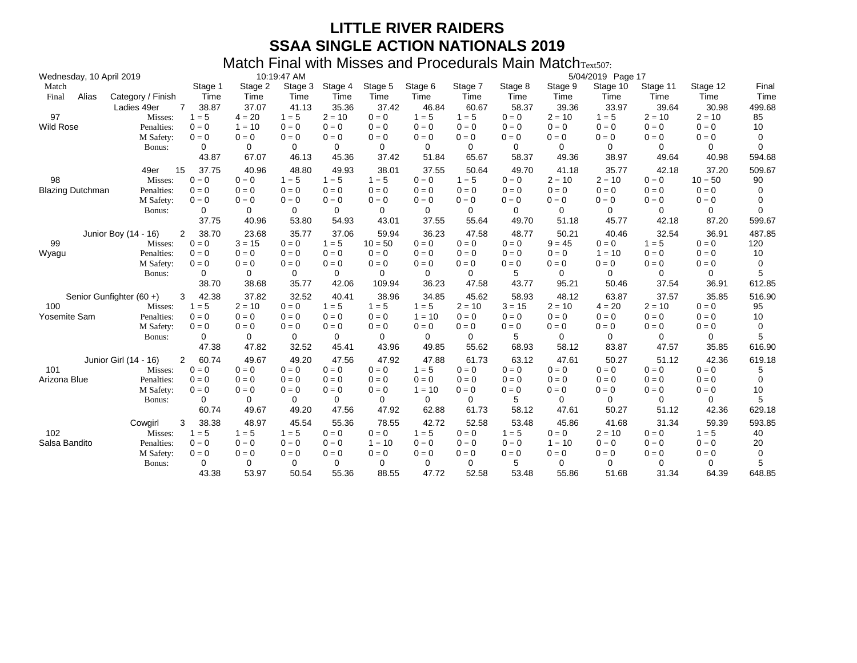|                  |                                                    | 10:19:47 AM<br>5/04/2019 Page 17<br>Wednesday, 10 April 2019 |                         |                 |                 |                 |                 |                 |                 |                 |                 |                  |                  |                  |               |
|------------------|----------------------------------------------------|--------------------------------------------------------------|-------------------------|-----------------|-----------------|-----------------|-----------------|-----------------|-----------------|-----------------|-----------------|------------------|------------------|------------------|---------------|
| Match            | Alias<br>Category / Finish<br>Final<br>Ladies 49er |                                                              | Stage 1<br>Time         | Stage 2<br>Time | Stage 3<br>Time | Stage 4<br>Time | Stage 5<br>Time | Stage 6<br>Time | Stage 7<br>Time | Stage 8<br>Time | Stage 9<br>Time | Stage 10<br>Time | Stage 11<br>Time | Stage 12<br>Time | Final<br>Time |
|                  |                                                    |                                                              | $\overline{7}$<br>38.87 | 37.07           | 41.13           | 35.36           | 37.42           | 46.84           | 60.67           | 58.37           | 39.36           | 33.97            | 39.64            | 30.98            | 499.68        |
| 97               |                                                    | Misses:                                                      | $1 = 5$                 | $4 = 20$        | $1 = 5$         | $2 = 10$        | $0 = 0$         | $1 = 5$         | $1 = 5$         | $0 = 0$         | $2 = 10$        | $1 = 5$          | $2 = 10$         | $2 = 10$         | 85            |
| <b>Wild Rose</b> |                                                    | Penalties:                                                   | $0 = 0$                 | $1 = 10$        | $0 = 0$         | $0 = 0$         | $0 = 0$         | $0 = 0$         | $0 = 0$         | $0 = 0$         | $0 = 0$         | $0 = 0$          | $0 = 0$          | $0 = 0$          | 10            |
|                  |                                                    | M Safety:                                                    | $0 = 0$                 | $0 = 0$         | $0 = 0$         | $0 = 0$         | $0 = 0$         | $0 = 0$         | $0 = 0$         | $0 = 0$         | $0 = 0$         | $0 = 0$          | $0 = 0$          | $0 = 0$          | 0             |
|                  |                                                    | Bonus:                                                       | 0                       | 0               | 0               | 0               | 0               | 0               | 0               | 0               | 0               | $\Omega$         | 0                | 0                | 0             |
|                  |                                                    |                                                              | 43.87                   | 67.07           | 46.13           | 45.36           | 37.42           | 51.84           | 65.67           | 58.37           | 49.36           | 38.97            | 49.64            | 40.98            | 594.68        |
|                  |                                                    | 49er                                                         | 37.75<br>15             | 40.96           | 48.80           | 49.93           | 38.01           | 37.55           | 50.64           | 49.70           | 41.18           | 35.77            | 42.18            | 37.20            | 509.67        |
| 98               |                                                    | Misses:                                                      | $0 = 0$                 | $0 = 0$         | $1 = 5$         | $1 = 5$         | $1 = 5$         | $0 = 0$         | $1 = 5$         | $0 = 0$         | $2 = 10$        | $2 = 10$         | $0 = 0$          | $10 = 50$        | 90            |
|                  | <b>Blazing Dutchman</b>                            | Penalties:                                                   | $0 = 0$                 | $0 = 0$         | $0 = 0$         | $0 = 0$         | $0 = 0$         | $0 = 0$         | $0 = 0$         | $0 = 0$         | $0 = 0$         | $0 = 0$          | $0 = 0$          | $0 = 0$          | 0             |
|                  |                                                    | M Safety:                                                    | $0 = 0$                 | $0 = 0$         | $0 = 0$         | $0 = 0$         | $0 = 0$         | $0 = 0$         | $0 = 0$         | $0 = 0$         | $0 = 0$         | $0 = 0$          | $0 = 0$          | $0 = 0$          | 0             |
|                  |                                                    | Bonus:                                                       | 0                       | 0               | 0               | 0               | 0               | $\Omega$        | 0               | 0               | $\Omega$        | $\Omega$         | 0                | 0                | $\Omega$      |
|                  |                                                    |                                                              | 37.75                   | 40.96           | 53.80           | 54.93           | 43.01           | 37.55           | 55.64           | 49.70           | 51.18           | 45.77            | 42.18            | 87.20            | 599.67        |
|                  |                                                    | Junior Boy (14 - 16)                                         | 38.70<br>2              | 23.68           | 35.77           | 37.06           | 59.94           | 36.23           | 47.58           | 48.77           | 50.21           | 40.46            | 32.54            | 36.91            | 487.85        |
| 99               |                                                    | Misses:                                                      | $0 = 0$                 | $3 = 15$        | $0 = 0$         | $1 = 5$         | $10 = 50$       | $0 = 0$         | $0 = 0$         | $0 = 0$         | $9 = 45$        | $0 = 0$          | $1 = 5$          | $0 = 0$          | 120           |
| Wyagu            |                                                    | Penalties:                                                   | $0 = 0$                 | $0 = 0$         | $0 = 0$         | $0 = 0$         | $0 = 0$         | $0 = 0$         | $0 = 0$         | $0 = 0$         | $0 = 0$         | $1 = 10$         | $0 = 0$          | $0 = 0$          | 10            |
|                  |                                                    | M Safety:                                                    | $0 = 0$                 | $0 = 0$         | $0 = 0$         | $0 = 0$         | $0 = 0$         | $0 = 0$         | $0 = 0$         | $0 = 0$         | $0 = 0$         | $0 = 0$          | $0 = 0$          | $0 = 0$          | 0             |
|                  |                                                    | Bonus:                                                       | 0                       | 0               | 0               | 0               | $\Omega$        | $\Omega$        | 0               | 5               | 0               | $\Omega$         | 0                | $\Omega$         | 5             |
|                  |                                                    |                                                              | 38.70                   | 38.68           | 35.77           | 42.06           | 109.94          | 36.23           | 47.58           | 43.77           | 95.21           | 50.46            | 37.54            | 36.91            | 612.85        |
|                  |                                                    | Senior Gunfighter (60+)                                      | 42.38<br>3              | 37.82           | 32.52           | 40.41           | 38.96           | 34.85           | 45.62           | 58.93           | 48.12           | 63.87            | 37.57            | 35.85            | 516.90        |
| 100              |                                                    | Misses:                                                      | $1 = 5$                 | $2 = 10$        | $0 = 0$         | $1 = 5$         | $1 = 5$         | $1 = 5$         | $2 = 10$        | $3 = 15$        | $2 = 10$        | $4 = 20$         | $2 = 10$         | $0 = 0$          | 95            |
| Yosemite Sam     |                                                    | Penalties:                                                   | $0 = 0$                 | $0 = 0$         | $0 = 0$         | $0 = 0$         | $0 = 0$         | $1 = 10$        | $0 = 0$         | $0 = 0$         | $0 = 0$         | $0 = 0$          | $0 = 0$          | $0 = 0$          | 10            |
|                  |                                                    | M Safety:                                                    | $0 = 0$                 | $0 = 0$         | $0 = 0$         | $0 = 0$         | $0 = 0$         | $0 = 0$         | $0 = 0$         | $0 = 0$         | $0 = 0$         | $0 = 0$          | $0 = 0$          | $0 = 0$          | 0             |
|                  |                                                    | Bonus:                                                       | 0                       | 0               | 0               | 0               | 0               | 0               | 0               | 5               | 0               | 0                | 0                | 0                | 5             |
|                  |                                                    |                                                              | 47.38                   | 47.82           | 32.52           | 45.41           | 43.96           | 49.85           | 55.62           | 68.93           | 58.12           | 83.87            | 47.57            | 35.85            | 616.90        |
|                  |                                                    | Junior Girl (14 - 16)                                        | 60.74<br>2              | 49.67           | 49.20           | 47.56           | 47.92           | 47.88           | 61.73           | 63.12           | 47.61           | 50.27            | 51.12            | 42.36            | 619.18        |
| 101              |                                                    | Misses:                                                      | $0 = 0$                 | $0 = 0$         | $0 = 0$         | $0 = 0$         | $0 = 0$         | $1 = 5$         | $0 = 0$         | $0 = 0$         | $0 = 0$         | $0 = 0$          | $0 = 0$          | $0 = 0$          | 5             |
| Arizona Blue     |                                                    | Penalties:                                                   | $0 = 0$                 | $0 = 0$         | $0 = 0$         | $0 = 0$         | $0 = 0$         | $0 = 0$         | $0 = 0$         | $0 = 0$         | $0 = 0$         | $0 = 0$          | $0 = 0$          | $0 = 0$          | 0             |
|                  |                                                    | M Safety:                                                    | $0 = 0$                 | $0 = 0$         | $0 = 0$         | $0 = 0$         | $0 = 0$         | $1 = 10$        | $0 = 0$         | $0 = 0$         | $0 = 0$         | $0 = 0$          | $0 = 0$          | $0 = 0$          | 10            |
|                  |                                                    | Bonus:                                                       | 0                       | 0               | 0               | 0               | 0               | 0               | 0               | 5               | 0               | $\Omega$         | 0                | $\Omega$         | 5             |
|                  |                                                    |                                                              | 60.74                   | 49.67           | 49.20           | 47.56           | 47.92           | 62.88           | 61.73           | 58.12           | 47.61           | 50.27            | 51.12            | 42.36            | 629.18        |
|                  |                                                    | Cowgirl                                                      | 38.38<br>3              | 48.97           | 45.54           | 55.36           | 78.55           | 42.72           | 52.58           | 53.48           | 45.86           | 41.68            | 31.34            | 59.39            | 593.85        |
| 102              |                                                    | Misses:                                                      | $1 = 5$                 | $1 = 5$         | $1 = 5$         | $0 = 0$         | $0 = 0$         | $1 = 5$         | $0 = 0$         | $1 = 5$         | $0 = 0$         | $2 = 10$         | $0 = 0$          | $1 = 5$          | 40            |
| Salsa Bandito    |                                                    | Penalties:                                                   | $0 = 0$                 | $0 = 0$         | $0 = 0$         | $0 = 0$         | $1 = 10$        | $0 = 0$         | $0 = 0$         | $0 = 0$         | $1 = 10$        | $0 = 0$          | $0 = 0$          | $0 = 0$          | 20            |
|                  |                                                    | M Safety:                                                    | $0 = 0$                 | $0 = 0$         | $0 = 0$         | $0 = 0$         | $0 = 0$         | $0 = 0$         | $0 = 0$         | $0 = 0$         | $0 = 0$         | $0 = 0$          | $0 = 0$          | $0 = 0$          | 0             |
|                  |                                                    | Bonus:                                                       | 0                       | 0               | 0               | 0               | 0               | 0               | 0               | 5               | 0               | 0                | 0                | $\Omega$         | 5             |
|                  |                                                    |                                                              | 43.38                   | 53.97           | 50.54           | 55.36           | 88.55           | 47.72           | 52.58           | 53.48           | 55.86           | 51.68            | 31.34            | 64.39            | 648.85        |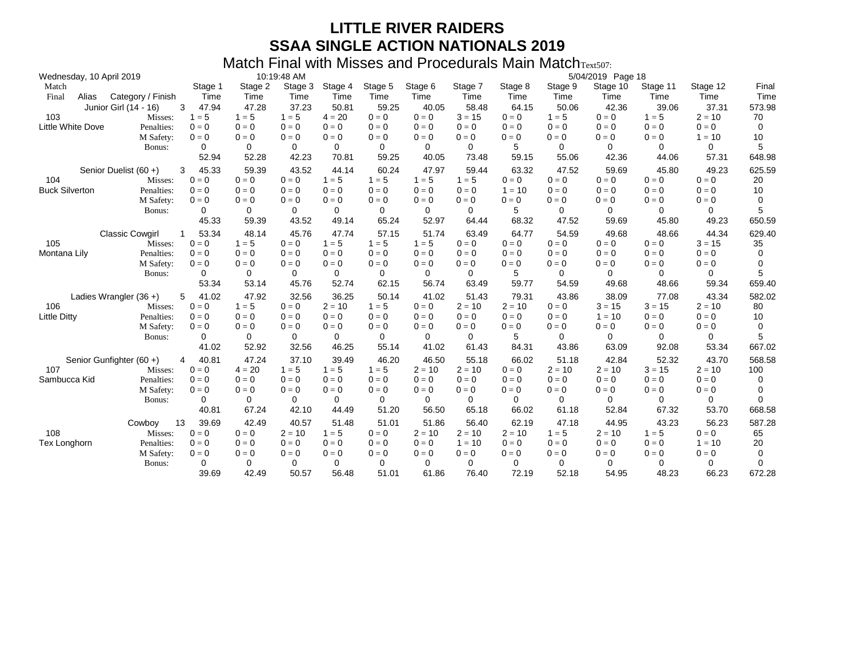|                       | Wednesday, 10 April 2019 |                          |                 |                 | 10:19:48 AM     |                 |                 |                 |                 |                 |                 | 5/04/2019 Page 18 |                  |                  |               |
|-----------------------|--------------------------|--------------------------|-----------------|-----------------|-----------------|-----------------|-----------------|-----------------|-----------------|-----------------|-----------------|-------------------|------------------|------------------|---------------|
| Match<br>Final        | Alias                    | Category / Finish        | Stage 1<br>Time | Stage 2<br>Time | Stage 3<br>Time | Stage 4<br>Time | Stage 5<br>Time | Stage 6<br>Time | Stage 7<br>Time | Stage 8<br>Time | Stage 9<br>Time | Stage 10<br>Time  | Stage 11<br>Time | Stage 12<br>Time | Final<br>Time |
|                       |                          | Junior Girl (14 - 16)    | 3<br>47.94      | 47.28           | 37.23           | 50.81           | 59.25           | 40.05           | 58.48           | 64.15           | 50.06           | 42.36             | 39.06            | 37.31            | 573.98        |
| 103                   |                          | Misses:                  | $1 = 5$         | $1 = 5$         | $1 = 5$         | $4 = 20$        | $0 = 0$         | $0 = 0$         | $3 = 15$        | $0 = 0$         | $1 = 5$         | $0 = 0$           | $1 = 5$          | $2 = 10$         | 70            |
| Little White Dove     |                          | Penalties:               | $0 = 0$         | $0 = 0$         | $0 = 0$         | $0 = 0$         | $0 = 0$         | $0 = 0$         | $0 = 0$         | $0 = 0$         | $0 = 0$         | $0 = 0$           | $0 = 0$          | $0 = 0$          | $\mathbf 0$   |
|                       |                          | M Safety:                | $0 = 0$         | $0 = 0$         | $0 = 0$         | $0 = 0$         | $0 = 0$         | $0 = 0$         | $0 = 0$         | $0 = 0$         | $0 = 0$         | $0 = 0$           | $0 = 0$          | $1 = 10$         | 10            |
|                       |                          | Bonus:                   | 0               | 0               | $\Omega$        | 0               | 0               | 0               | 0               | 5               | 0               | 0                 | $\Omega$         | 0                | 5             |
|                       |                          |                          | 52.94           | 52.28           | 42.23           | 70.81           | 59.25           | 40.05           | 73.48           | 59.15           | 55.06           | 42.36             | 44.06            | 57.31            | 648.98        |
|                       |                          | Senior Duelist (60+)     | 45.33<br>3      | 59.39           | 43.52           | 44.14           | 60.24           | 47.97           | 59.44           | 63.32           | 47.52           | 59.69             | 45.80            | 49.23            | 625.59        |
| 104                   |                          | Misses:                  | $0 = 0$         | $0 = 0$         | $0 = 0$         | $1 = 5$         | $1 = 5$         | $1 = 5$         | $1 = 5$         | $0 = 0$         | $0 = 0$         | $0 = 0$           | $0 = 0$          | $0 = 0$          | 20            |
| <b>Buck Silverton</b> |                          | Penalties:               | $0 = 0$         | $0 = 0$         | $0 = 0$         | $0 = 0$         | $0 = 0$         | $0 = 0$         | $0 = 0$         | $1 = 10$        | $0 = 0$         | $0 = 0$           | $0 = 0$          | $0 = 0$          | 10            |
|                       |                          | M Safety:                | $0 = 0$         | $0 = 0$         | $0 = 0$         | $0 = 0$         | $0 = 0$         | $0 = 0$         | $0 = 0$         | $0 = 0$         | $0 = 0$         | $0 = 0$           | $0 = 0$          | $0 = 0$          | 0             |
|                       |                          | Bonus:                   | 0               | 0               | 0               | 0               | 0               | 0               | 0               | 5               | $\Omega$        | 0                 | 0                | 0                | 5             |
|                       |                          |                          | 45.33           | 59.39           | 43.52           | 49.14           | 65.24           | 52.97           | 64.44           | 68.32           | 47.52           | 59.69             | 45.80            | 49.23            | 650.59        |
|                       |                          | <b>Classic Cowgirl</b>   | 53.34           | 48.14           | 45.76           | 47.74           | 57.15           | 51.74           | 63.49           | 64.77           | 54.59           | 49.68             | 48.66            | 44.34            | 629.40        |
| 105                   |                          | Misses:                  | $0 = 0$         | $1 = 5$         | $0 = 0$         | $1 = 5$         | $1 = 5$         | $1 = 5$         | $0 = 0$         | $0 = 0$         | $0 = 0$         | $0 = 0$           | $0 = 0$          | $3 = 15$         | 35            |
| Montana Lily          |                          | Penalties:               | $0 = 0$         | $0 = 0$         | $0 = 0$         | $0 = 0$         | $0 = 0$         | $0 = 0$         | $0 = 0$         | $0 = 0$         | $0 = 0$         | $0 = 0$           | $0 = 0$          | $0 = 0$          | 0             |
|                       |                          | M Safety:                | $0 = 0$         | $0 = 0$         | $0 = 0$         | $0 = 0$         | $0 = 0$         | $0 = 0$         | $0 = 0$         | $0 = 0$         | $0 = 0$         | $0 = 0$           | $0 = 0$          | $0 = 0$          | 0             |
|                       |                          | Bonus:                   | 0               | 0               | 0               | 0               | 0               | 0               | 0               | 5               | 0               | $\Omega$          | 0                | 0                | 5             |
|                       |                          |                          | 53.34           | 53.14           | 45.76           | 52.74           | 62.15           | 56.74           | 63.49           | 59.77           | 54.59           | 49.68             | 48.66            | 59.34            | 659.40        |
|                       |                          | Ladies Wrangler $(36 +)$ | 5<br>41.02      | 47.92           | 32.56           | 36.25           | 50.14           | 41.02           | 51.43           | 79.31           | 43.86           | 38.09             | 77.08            | 43.34            | 582.02        |
| 106                   |                          | Misses:                  | $0 = 0$         | $1 = 5$         | $0 = 0$         | $2 = 10$        | $1 = 5$         | $0 = 0$         | $2 = 10$        | $2 = 10$        | $0 = 0$         | $3 = 15$          | $3 = 15$         | $2 = 10$         | 80            |
| <b>Little Ditty</b>   |                          | Penalties:               | $0 = 0$         | $0 = 0$         | $0 = 0$         | $0 = 0$         | $0 = 0$         | $0 = 0$         | $0 = 0$         | $0 = 0$         | $0 = 0$         | $1 = 10$          | $0 = 0$          | $0 = 0$          | 10            |
|                       |                          | M Safety:                | $0 = 0$         | $0 = 0$         | $0 = 0$         | $0 = 0$         | $0 = 0$         | $0 = 0$         | $0 = 0$         | $0 = 0$         | $0 = 0$         | $0 = 0$           | $0 = 0$          | $0 = 0$          | 0             |
|                       |                          | Bonus:                   | 0               | 0               | 0               | 0               | 0               | 0               | 0               | 5               | $\Omega$        | $\Omega$          | 0                | 0                | 5             |
|                       |                          |                          | 41.02           | 52.92           | 32.56           | 46.25           | 55.14           | 41.02           | 61.43           | 84.31           | 43.86           | 63.09             | 92.08            | 53.34            | 667.02        |
|                       |                          | Senior Gunfighter (60+)  | 40.81<br>4      | 47.24           | 37.10           | 39.49           | 46.20           | 46.50           | 55.18           | 66.02           | 51.18           | 42.84             | 52.32            | 43.70            | 568.58        |
| 107                   |                          | Misses:                  | $0 = 0$         | $4 = 20$        | $1 = 5$         | $1 = 5$         | $1 = 5$         | $2 = 10$        | $2 = 10$        | $0 = 0$         | $2 = 10$        | $2 = 10$          | $3 = 15$         | $2 = 10$         | 100           |
| Sambucca Kid          |                          | Penalties:               | $0 = 0$         | $0 = 0$         | $0 = 0$         | $0 = 0$         | $0 = 0$         | $0 = 0$         | $0 = 0$         | $0 = 0$         | $0 = 0$         | $0 = 0$           | $0 = 0$          | $0 = 0$          | 0             |
|                       |                          | M Safety:                | $0 = 0$         | $0 = 0$         | $0 = 0$         | $0 = 0$         | $0 = 0$         | $0 = 0$         | $0 = 0$         | $0 = 0$         | $0 = 0$         | $0 = 0$           | $0 = 0$          | $0 = 0$          | 0             |
|                       |                          | Bonus:                   | 0               | 0               | 0               | 0               | 0               | 0               | $\Omega$        | 0               | 0               | $\Omega$          | 0                | 0                | 0             |
|                       |                          |                          | 40.81           | 67.24           | 42.10           | 44.49           | 51.20           | 56.50           | 65.18           | 66.02           | 61.18           | 52.84             | 67.32            | 53.70            | 668.58        |
|                       |                          | Cowboy                   | 39.69<br>13     | 42.49           | 40.57           | 51.48           | 51.01           | 51.86           | 56.40           | 62.19           | 47.18           | 44.95             | 43.23            | 56.23            | 587.28        |
| 108                   |                          | Misses:                  | $0 = 0$         | $0 = 0$         | $2 = 10$        | $1 = 5$         | $0 = 0$         | $2 = 10$        | $2 = 10$        | $2 = 10$        | $1 = 5$         | $2 = 10$          | $1 = 5$          | $0 = 0$          | 65            |
| Tex Longhorn          |                          | Penalties:               | $0 = 0$         | $0 = 0$         | $0 = 0$         | $0 = 0$         | $0 = 0$         | $0 = 0$         | $1 = 10$        | $0 = 0$         | $0 = 0$         | $0 = 0$           | $0 = 0$          | $1 = 10$         | 20            |
|                       |                          | M Safety:                | $0 = 0$         | $0 = 0$         | $0 = 0$         | $0 = 0$         | $0 = 0$         | $0 = 0$         | $0 = 0$         | $0 = 0$         | $0 = 0$         | $0 = 0$           | $0 = 0$          | $0 = 0$          | 0             |
|                       |                          | Bonus:                   | 0               | 0               | 0               | 0               | 0               | 0               | 0               | 0               | 0               | 0                 | $\Omega$         | 0                | $\Omega$      |
|                       |                          |                          | 39.69           | 42.49           | 50.57           | 56.48           | 51.01           | 61.86           | 76.40           | 72.19           | 52.18           | 54.95             | 48.23            | 66.23            | 672.28        |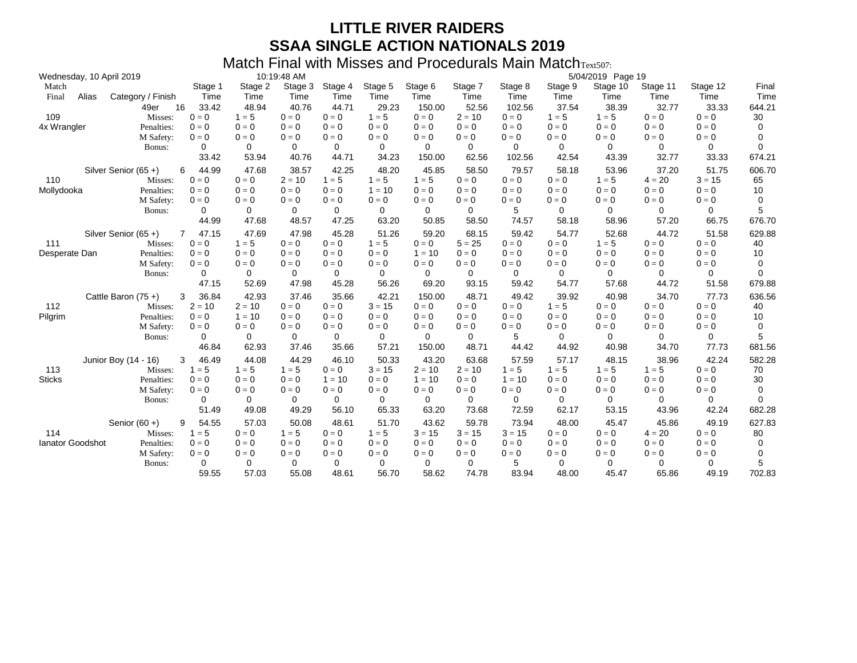|                         | 10:19:48 AM<br>5/04/2019 Page 19<br>Wednesday, 10 April 2019 |                       |                    |                    |                    |                     |                     |                      |                     |                     |                    |                    |                    |                    |               |
|-------------------------|--------------------------------------------------------------|-----------------------|--------------------|--------------------|--------------------|---------------------|---------------------|----------------------|---------------------|---------------------|--------------------|--------------------|--------------------|--------------------|---------------|
| Match<br>Final          | Alias                                                        | Category / Finish     | Stage 1<br>Time    | Stage 2<br>Time    | Stage 3<br>Time    | Stage 4<br>Time     | Stage 5<br>Time     | Stage 6<br>Time      | Stage 7<br>Time     | Stage 8<br>Time     | Stage 9<br>Time    | Stage 10<br>Time   | Stage 11<br>Time   | Stage 12<br>Time   | Final<br>Time |
|                         |                                                              | 16<br>49er            | 33.42              | 48.94              | 40.76              | 44.71               | 29.23               | 150.00               | 52.56               | 102.56              | 37.54              | 38.39              | 32.77              | 33.33              | 644.21        |
| 109                     |                                                              | Misses:               | $0 = 0$            | $1 = 5$            | $0 = 0$            | $0 = 0$             | $1 = 5$             | $0 = 0$              | $2 = 10$            | $0 = 0$             | $1 = 5$            | $1 = 5$            | $0 = 0$            | $0 = 0$            | 30            |
| 4x Wrangler             |                                                              | Penalties:            | $0 = 0$            | $0 = 0$            | $0 = 0$            | $0 = 0$             | $0 = 0$             | $0 = 0$              | $0 = 0$             | $0 = 0$             | $0 = 0$            | $0 = 0$            | $0 = 0$            | $0 = 0$            | 0             |
|                         |                                                              | M Safety:             | $0 = 0$            | $0 = 0$            | $0 = 0$            | $0 = 0$             | $0 = 0$             | $0 = 0$              | $0 = 0$             | $0 = 0$             | $0 = 0$            | $0 = 0$            | $0 = 0$            | $0 = 0$            | 0             |
|                         |                                                              | Bonus:                | 0                  | 0                  | 0                  | 0                   | 0                   | 0                    | $\Omega$            | 0                   | 0                  | 0                  | $\Omega$           | $\Omega$           | $\Omega$      |
|                         |                                                              |                       | 33.42              | 53.94              | 40.76              | 44.71               | 34.23               | 150.00               | 62.56               | 102.56              | 42.54              | 43.39              | 32.77              | 33.33              | 674.21        |
|                         |                                                              | Silver Senior (65+)   | 44.99<br>6         | 47.68              | 38.57              | 42.25               | 48.20               | 45.85                | 58.50               | 79.57               | 58.18              | 53.96              | 37.20              | 51.75              | 606.70        |
| 110                     |                                                              | Misses:               | $0 = 0$            | $0 = 0$            | $2 = 10$           | $1 = 5$             | $1 = 5$             | $1 = 5$              | $0 = 0$             | $0 = 0$             | $0 = 0$            | $1 = 5$            | $4 = 20$           | $3 = 15$           | 65            |
| Mollydooka              |                                                              | Penalties:            | $0 = 0$            | $0 = 0$            | $0 = 0$            | $0 = 0$             | $1 = 10$            | $0 = 0$              | $0 = 0$             | $0 = 0$             | $0 = 0$            | $0 = 0$            | $0 = 0$            | $0 = 0$            | 10            |
|                         |                                                              | M Safety:             | $0 = 0$            | $0 = 0$            | $0 = 0$            | $0 = 0$             | $0 = 0$             | $0 = 0$              | $0 = 0$             | $0 = 0$             | $0 = 0$            | $0 = 0$            | $0 = 0$            | $0 = 0$            | 0             |
|                         |                                                              | Bonus:                | 0                  | 0                  | 0                  | 0                   | 0                   | $\Omega$             | 0                   | 5                   | 0                  | 0                  | 0                  | 0                  | 5             |
|                         |                                                              |                       | 44.99              | 47.68              | 48.57              | 47.25               | 63.20               | 50.85                | 58.50               | 74.57               | 58.18              | 58.96              | 57.20              | 66.75              | 676.70        |
|                         |                                                              | Silver Senior (65+)   | 47.15<br>7         | 47.69              | 47.98              | 45.28               | 51.26               | 59.20                | 68.15               | 59.42               | 54.77              | 52.68              | 44.72              | 51.58              | 629.88        |
| 111                     |                                                              | Misses:               | $0 = 0$            | $1 = 5$            | $0 = 0$            | $0 = 0$             | $1 = 5$             | $0 = 0$              | $5 = 25$            | $0 = 0$             | $0 = 0$            | $1 = 5$            | $0 = 0$            | $0 = 0$            | 40            |
| Desperate Dan           |                                                              | Penalties:            | $0 = 0$            | $0 = 0$            | $0 = 0$            | $0 = 0$             | $0 = 0$             | $1 = 10$             | $0 = 0$             | $0 = 0$             | $0 = 0$            | $0 = 0$            | $0 = 0$            | $0 = 0$            | 10            |
|                         |                                                              | M Safety:             | $0 = 0$            | $0 = 0$            | $0 = 0$            | $0 = 0$             | $0 = 0$             | $0 = 0$              | $0 = 0$             | $0 = 0$             | $0 = 0$            | $0 = 0$            | $0 = 0$            | $0 = 0$            | 0             |
|                         |                                                              | Bonus:                | 0                  | 0                  | 0                  | 0                   | 0                   | 0                    | 0                   | 0                   | 0                  | 0                  | 0                  | 0                  | $\mathbf 0$   |
|                         |                                                              |                       | 47.15              | 52.69              | 47.98              | 45.28               | 56.26               | 69.20                | 93.15               | 59.42               | 54.77              | 57.68              | 44.72              | 51.58              | 679.88        |
|                         |                                                              | Cattle Baron $(75 +)$ | 36.84<br>3         | 42.93              | 37.46              | 35.66               | 42.21               | 150.00               | 48.71               | 49.42               | 39.92              | 40.98              | 34.70              | 77.73              | 636.56        |
| 112                     |                                                              | Misses:               | $2 = 10$           | $2 = 10$           | $0 = 0$            | $0 = 0$             | $3 = 15$            | $0 = 0$              | $0 = 0$             | $0 = 0$             | $1 = 5$            | $0 = 0$            | $0 = 0$            | $0 = 0$            | 40            |
| Pilgrim                 |                                                              | Penalties:            | $0 = 0$            | $1 = 10$           | $0 = 0$            | $0 = 0$             | $0 = 0$             | $0 = 0$              | $0 = 0$             | $0 = 0$             | $0 = 0$            | $0 = 0$            | $0 = 0$            | $0 = 0$            | 10            |
|                         |                                                              | M Safety:             | $0 = 0$            | $0 = 0$            | $0 = 0$            | $0 = 0$             | $0 = 0$             | $0 = 0$              | $0 = 0$             | $0 = 0$             | $0 = 0$            | $0 = 0$            | $0 = 0$            | $0 = 0$            | 0             |
|                         |                                                              | Bonus:                | $\Omega$<br>46.84  | 0<br>62.93         | $\Omega$<br>37.46  | 0<br>35.66          | 0<br>57.21          | $\Omega$<br>150.00   | $\Omega$<br>48.71   | 5<br>44.42          | $\Omega$<br>44.92  | $\Omega$<br>40.98  | $\Omega$<br>34.70  | $\Omega$<br>77.73  | 5<br>681.56   |
|                         |                                                              |                       |                    |                    |                    |                     |                     |                      |                     |                     |                    |                    |                    |                    |               |
|                         |                                                              | Junior Boy (14 - 16)  | 46.49<br>3         | 44.08              | 44.29              | 46.10               | 50.33               | 43.20                | 63.68               | 57.59               | 57.17              | 48.15              | 38.96              | 42.24              | 582.28        |
| 113<br><b>Sticks</b>    |                                                              | Misses:<br>Penalties: | $1 = 5$<br>$0 = 0$ | $1 = 5$<br>$0 = 0$ | $1 = 5$<br>$0 = 0$ | $0 = 0$<br>$1 = 10$ | $3 = 15$<br>$0 = 0$ | $2 = 10$<br>$1 = 10$ | $2 = 10$<br>$0 = 0$ | $1 = 5$<br>$1 = 10$ | $1 = 5$<br>$0 = 0$ | $1 = 5$<br>$0 = 0$ | $1 = 5$<br>$0 = 0$ | $0 = 0$<br>$0 = 0$ | 70            |
|                         |                                                              | M Safety:             | $0 = 0$            | $0 = 0$            | $0 = 0$            | $0 = 0$             | $0 = 0$             | $0 = 0$              | $0 = 0$             | $0 = 0$             | $0 = 0$            | $0 = 0$            | $0 = 0$            | $0 = 0$            | 30<br>0       |
|                         |                                                              | Bonus:                | 0                  | 0                  | 0                  | 0                   | 0                   | 0                    | 0                   | 0                   | 0                  | 0                  | 0                  | 0                  | 0             |
|                         |                                                              |                       | 51.49              | 49.08              | 49.29              | 56.10               | 65.33               | 63.20                | 73.68               | 72.59               | 62.17              | 53.15              | 43.96              | 42.24              | 682.28        |
|                         |                                                              | Senior $(60 +)$       | 54.55<br>9         | 57.03              | 50.08              | 48.61               | 51.70               | 43.62                | 59.78               | 73.94               | 48.00              | 45.47              | 45.86              | 49.19              | 627.83        |
| 114                     |                                                              | Misses:               | $1 = 5$            | $0 = 0$            | $1 = 5$            | $0 = 0$             | $1 = 5$             | $3 = 15$             | $3 = 15$            | $3 = 15$            | $0 = 0$            | $0 = 0$            | $4 = 20$           | $0 = 0$            | 80            |
| <b>lanator Goodshot</b> |                                                              | Penalties:            | $0 = 0$            | $0 = 0$            | $0 = 0$            | $0 = 0$             | $0 = 0$             | $0 = 0$              | $0 = 0$             | $0 = 0$             | $0 = 0$            | $0 = 0$            | $0 = 0$            | $0 = 0$            | 0             |
|                         |                                                              | M Safety:             | $0 = 0$            | $0 = 0$            | $0 = 0$            | $0 = 0$             | $0 = 0$             | $0 = 0$              | $0 = 0$             | $0 = 0$             | $0 = 0$            | $0 = 0$            | $0 = 0$            | $0 = 0$            | 0             |
|                         |                                                              | Bonus:                | 0                  | 0                  | 0                  | 0                   | 0                   | 0                    | 0                   | 5                   | 0                  | 0                  | $\Omega$           | 0                  | 5             |
|                         |                                                              |                       | 59.55              | 57.03              | 55.08              | 48.61               | 56.70               | 58.62                | 74.78               | 83.94               | 48.00              | 45.47              | 65.86              | 49.19              | 702.83        |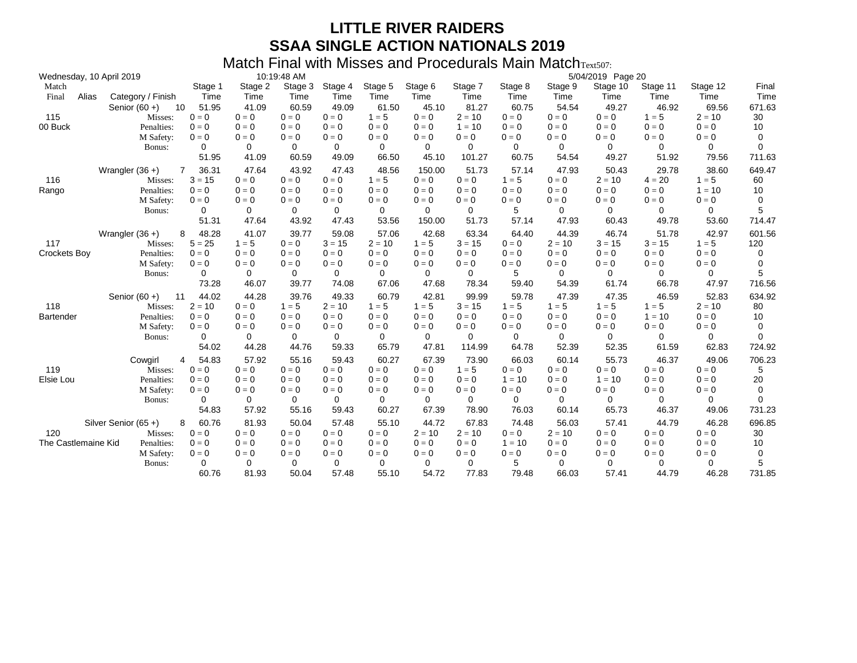| 10:19:48 AM<br>5/04/2019 Page 20<br>Wednesday, 10 April 2019 |       |                                  |                     |                    |                    |                     |                     |                    |                     |                    |                     |                     |                     |                    |               |
|--------------------------------------------------------------|-------|----------------------------------|---------------------|--------------------|--------------------|---------------------|---------------------|--------------------|---------------------|--------------------|---------------------|---------------------|---------------------|--------------------|---------------|
| Match<br>Final                                               | Alias | Category / Finish                | Stage 1<br>Time     | Stage 2<br>Time    | Stage 3<br>Time    | Stage 4<br>Time     | Stage 5<br>Time     | Stage 6<br>Time    | Stage 7<br>Time     | Stage 8<br>Time    | Stage 9<br>Time     | Stage 10<br>Time    | Stage 11<br>Time    | Stage 12<br>Time   | Final<br>Time |
| 115                                                          |       | Senior $(60 +)$<br>10<br>Misses: | 51.95<br>$0 = 0$    | 41.09<br>$0 = 0$   | 60.59<br>$0 = 0$   | 49.09<br>$0 = 0$    | 61.50<br>$1 = 5$    | 45.10<br>$0 = 0$   | 81.27<br>$2 = 10$   | 60.75<br>$0 = 0$   | 54.54<br>$0 = 0$    | 49.27<br>$0 = 0$    | 46.92<br>$1 = 5$    | 69.56<br>$2 = 10$  | 671.63<br>30  |
| 00 Buck                                                      |       | Penalties:                       | $0 = 0$             | $0 = 0$            | $0 = 0$            | $0 = 0$             | $0 = 0$             | $0 = 0$            | $1 = 10$            | $0 = 0$            | $0 = 0$             | $0 = 0$             | $0 = 0$             | $0 = 0$            | 10            |
|                                                              |       | M Safety:                        | $0 = 0$             | $0 = 0$            | $0 = 0$            | $0 = 0$             | $0 = 0$             | $0 = 0$            | $0 = 0$             | $0 = 0$            | $0 = 0$             | $0 = 0$             | $0 = 0$             | $0 = 0$            | 0             |
|                                                              |       | Bonus:                           | 0                   | 0                  | 0                  | 0                   | 0                   | 0                  | $\Omega$            | 0                  | 0                   | $\Omega$            | 0                   | $\Omega$           | $\Omega$      |
|                                                              |       |                                  | 51.95               | 41.09              | 60.59              | 49.09               | 66.50               | 45.10              | 101.27              | 60.75              | 54.54               | 49.27               | 51.92               | 79.56              | 711.63        |
|                                                              |       | Wrangler $(36 +)$<br>7           | 36.31               | 47.64              | 43.92              | 47.43               | 48.56               | 150.00             | 51.73               | 57.14              | 47.93               | 50.43               | 29.78               | 38.60              | 649.47        |
| 116                                                          |       | Misses:                          | $3 = 15$            | $0 = 0$            | $0 = 0$            | $0 = 0$             | $1 = 5$             | $0 = 0$            | $0 = 0$             | $1 = 5$            | $0 = 0$             | $2 = 10$            | $4 = 20$            | $1 = 5$            | 60            |
| Rango                                                        |       | Penalties:                       | $0 = 0$             | $0 = 0$            | $0 = 0$            | $0 = 0$             | $0 = 0$             | $0 = 0$            | $0 = 0$             | $0 = 0$            | $0 = 0$             | $0 = 0$             | $0 = 0$             | $1 = 10$           | 10            |
|                                                              |       | M Safety:                        | $0 = 0$             | $0 = 0$            | $0 = 0$            | $0 = 0$             | $0 = 0$             | $0 = 0$            | $0 = 0$             | $0 = 0$            | $0 = 0$             | $0 = 0$             | $0 = 0$             | $0 = 0$            | 0             |
|                                                              |       | Bonus:                           | 0<br>51.31          | $\Omega$<br>47.64  | 0<br>43.92         | 0<br>47.43          | 0                   | 0<br>150.00        | $\Omega$<br>51.73   | 5<br>57.14         | $\Omega$<br>47.93   | $\Omega$<br>60.43   | 0<br>49.78          | 0<br>53.60         | 5<br>714.47   |
|                                                              |       |                                  |                     |                    |                    |                     | 53.56               |                    |                     |                    |                     |                     |                     |                    |               |
|                                                              |       | Wrangler $(36 +)$<br>8           | 48.28               | 41.07              | 39.77              | 59.08               | 57.06               | 42.68              | 63.34               | 64.40              | 44.39               | 46.74               | 51.78               | 42.97              | 601.56        |
| 117                                                          |       | Misses:<br>Penalties:            | $5 = 25$<br>$0 = 0$ | $1 = 5$<br>$0 = 0$ | $0 = 0$<br>$0 = 0$ | $3 = 15$<br>$0 = 0$ | $2 = 10$<br>$0 = 0$ | $1 = 5$<br>$0 = 0$ | $3 = 15$<br>$0 = 0$ | $0 = 0$<br>$0 = 0$ | $2 = 10$<br>$0 = 0$ | $3 = 15$<br>$0 = 0$ | $3 = 15$<br>$0 = 0$ | $1 = 5$<br>$0 = 0$ | 120<br>0      |
| <b>Crockets Boy</b>                                          |       | M Safety:                        | $0 = 0$             | $0 = 0$            | $0 = 0$            | $0 = 0$             | $0 = 0$             | $0 = 0$            | $0 = 0$             | $0 = 0$            | $0 = 0$             | $0 = 0$             | $0 = 0$             | $0 = 0$            | 0             |
|                                                              |       | Bonus:                           | 0                   | 0                  | 0                  | 0                   | 0                   | $\Omega$           | 0                   | 5                  | $\Omega$            | $\Omega$            | 0                   | 0                  | 5             |
|                                                              |       |                                  | 73.28               | 46.07              | 39.77              | 74.08               | 67.06               | 47.68              | 78.34               | 59.40              | 54.39               | 61.74               | 66.78               | 47.97              | 716.56        |
|                                                              |       | Senior $(60 +)$<br>11            | 44.02               | 44.28              | 39.76              | 49.33               | 60.79               | 42.81              | 99.99               | 59.78              | 47.39               | 47.35               | 46.59               | 52.83              | 634.92        |
| 118                                                          |       | Misses:                          | $2 = 10$            | $0 = 0$            | $1 = 5$            | $2 = 10$            | $1 = 5$             | $1 = 5$            | $3 = 15$            | $1 = 5$            | $1 = 5$             | $1 = 5$             | $1 = 5$             | $2 = 10$           | 80            |
| Bartender                                                    |       | Penalties:                       | $0 = 0$             | $0 = 0$            | $0 = 0$            | $0 = 0$             | $0 = 0$             | $0 = 0$            | $0 = 0$             | $0 = 0$            | $0 = 0$             | $0 = 0$             | $1 = 10$            | $0 = 0$            | 10            |
|                                                              |       | M Safety:                        | $0 = 0$             | $0 = 0$            | $0 = 0$            | $0 = 0$             | $0 = 0$             | $0 = 0$            | $0 = 0$             | $0 = 0$            | $0 = 0$             | $0 = 0$             | $0 = 0$             | $0 = 0$            | 0             |
|                                                              |       | Bonus:                           | 0                   | 0                  | 0                  | 0                   | 0                   | 0                  | 0                   | 0                  | 0                   | 0                   | 0                   | 0                  | 0             |
|                                                              |       |                                  | 54.02               | 44.28              | 44.76              | 59.33               | 65.79               | 47.81              | 114.99              | 64.78              | 52.39               | 52.35               | 61.59               | 62.83              | 724.92        |
|                                                              |       | Cowgirl                          | 54.83<br>4          | 57.92              | 55.16              | 59.43               | 60.27               | 67.39              | 73.90               | 66.03              | 60.14               | 55.73               | 46.37               | 49.06              | 706.23        |
| 119                                                          |       | Misses:                          | $0 = 0$             | $0 = 0$            | $0 = 0$            | $0 = 0$             | $0 = 0$             | $0 = 0$            | $1 = 5$             | $0 = 0$            | $0 = 0$             | $0 = 0$             | $0 = 0$             | $0 = 0$            | 5             |
| Elsie Lou                                                    |       | Penalties:                       | $0 = 0$             | $0 = 0$            | $0 = 0$            | $0 = 0$             | $0 = 0$             | $0 = 0$            | $0 = 0$             | $1 = 10$           | $0 = 0$             | $1 = 10$            | $0 = 0$             | $0 = 0$            | 20            |
|                                                              |       | M Safety:                        | $0 = 0$             | $0 = 0$            | $0 = 0$            | $0 = 0$             | $0 = 0$             | $0 = 0$            | $0 = 0$             | $0 = 0$            | $0 = 0$             | $0 = 0$             | $0 = 0$             | $0 = 0$            | 0             |
|                                                              |       | Bonus:                           | 0<br>54.83          | 0<br>57.92         | 0<br>55.16         | 0<br>59.43          | 0<br>60.27          | 0<br>67.39         | 0<br>78.90          | 0<br>76.03         | $\Omega$<br>60.14   | $\Omega$<br>65.73   | 0<br>46.37          | $\Omega$<br>49.06  | 0<br>731.23   |
|                                                              |       | Silver Senior (65+)              | 60.76<br>8          | 81.93              | 50.04              | 57.48               | 55.10               | 44.72              | 67.83               | 74.48              | 56.03               | 57.41               | 44.79               | 46.28              | 696.85        |
| 120                                                          |       | Misses:                          | $0 = 0$             | $0 = 0$            | $0 = 0$            | $0 = 0$             | $0 = 0$             | $2 = 10$           | $2 = 10$            | $0 = 0$            | $2 = 10$            | $0 = 0$             | $0 = 0$             | $0 = 0$            | 30            |
| The Castlemaine Kid                                          |       | Penalties:                       | $0 = 0$             | $0 = 0$            | $0 = 0$            | $0 = 0$             | $0 = 0$             | $0 = 0$            | $0 = 0$             | $1 = 10$           | $0 = 0$             | $0 = 0$             | $0 = 0$             | $0 = 0$            | 10            |
|                                                              |       | M Safety:                        | $0 = 0$             | $0 = 0$            | $0 = 0$            | $0 = 0$             | $0 = 0$             | $0 = 0$            | $0 = 0$             | $0 = 0$            | $0 = 0$             | $0 = 0$             | $0 = 0$             | $0 = 0$            | 0             |
|                                                              |       | Bonus:                           | 0                   | 0                  | 0                  | 0                   | 0                   | 0                  | 0                   | 5                  | 0                   | 0                   | $\Omega$            | $\Omega$           | 5             |
|                                                              |       |                                  | 60.76               | 81.93              | 50.04              | 57.48               | 55.10               | 54.72              | 77.83               | 79.48              | 66.03               | 57.41               | 44.79               | 46.28              | 731.85        |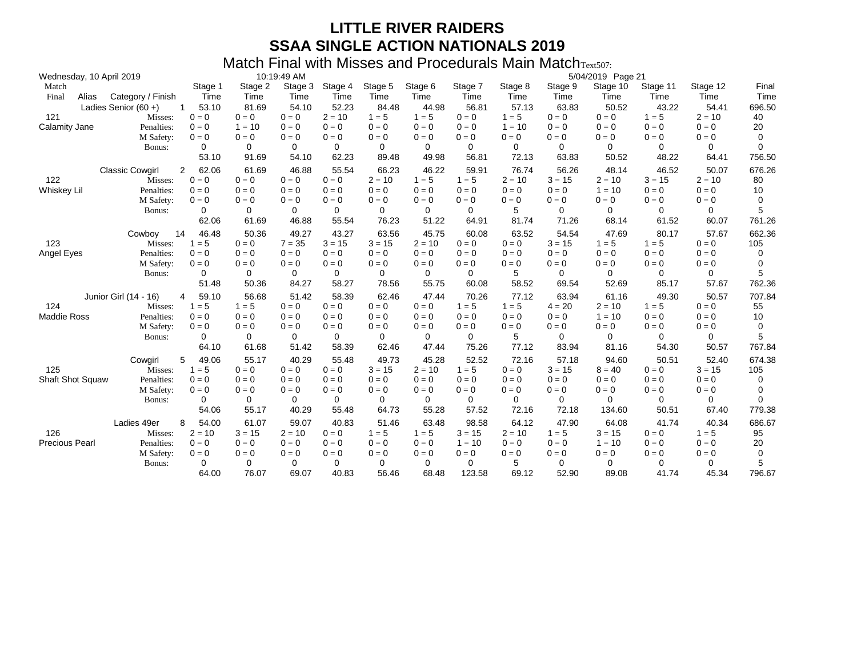| Wednesday, 10 April 2019 |                        |                       |                 | 10:19:49 AM     |                 |                 |                 |                 |                 |                 | 5/04/2019 Page 21 |                  |                  |               |
|--------------------------|------------------------|-----------------------|-----------------|-----------------|-----------------|-----------------|-----------------|-----------------|-----------------|-----------------|-------------------|------------------|------------------|---------------|
| Match<br>Final<br>Alias  | Category / Finish      | Stage 1<br>Time       | Stage 2<br>Time | Stage 3<br>Time | Stage 4<br>Time | Stage 5<br>Time | Stage 6<br>Time | Stage 7<br>Time | Stage 8<br>Time | Stage 9<br>Time | Stage 10<br>Time  | Stage 11<br>Time | Stage 12<br>Time | Final<br>Time |
|                          | Ladies Senior $(60 +)$ | 53.10<br>$\mathbf{1}$ | 81.69           | 54.10           | 52.23           | 84.48           | 44.98           | 56.81           | 57.13           | 63.83           | 50.52             | 43.22            | 54.41            | 696.50        |
| 121                      | Misses:                | $0 = 0$               | $0 = 0$         | $0 = 0$         | $2 = 10$        | $1 = 5$         | $1 = 5$         | $0 = 0$         | $1 = 5$         | $0 = 0$         | $0 = 0$           | $1 = 5$          | $2 = 10$         | 40            |
| Calamity Jane            | Penalties:             | $0 = 0$               | $1 = 10$        | $0 = 0$         | $0 = 0$         | $0 = 0$         | $0 = 0$         | $0 = 0$         | $1 = 10$        | $0 = 0$         | $0 = 0$           | $0 = 0$          | $0 = 0$          | 20            |
|                          | M Safety:              | $0 = 0$               | $0 = 0$         | $0 = 0$         | $0 = 0$         | $0 = 0$         | $0 = 0$         | $0 = 0$         | $0 = 0$         | $0 = 0$         | $0 = 0$           | $0 = 0$          | $0 = 0$          | 0             |
|                          | Bonus:                 | 0                     | 0               | 0               | 0               | 0               | 0               | 0               | 0               | 0               | 0                 | 0                | 0                | 0             |
|                          |                        | 53.10                 | 91.69           | 54.10           | 62.23           | 89.48           | 49.98           | 56.81           | 72.13           | 63.83           | 50.52             | 48.22            | 64.41            | 756.50        |
|                          | <b>Classic Cowgirl</b> | 62.06<br>2            | 61.69           | 46.88           | 55.54           | 66.23           | 46.22           | 59.91           | 76.74           | 56.26           | 48.14             | 46.52            | 50.07            | 676.26        |
| 122                      | Misses:                | $0 = 0$               | $0 = 0$         | $0 = 0$         | $0 = 0$         | $2 = 10$        | $1 = 5$         | $1 = 5$         | $2 = 10$        | $3 = 15$        | $2 = 10$          | $3 = 15$         | $2 = 10$         | 80            |
| Whiskey Lil              | Penalties:             | $0 = 0$               | $0 = 0$         | $0 = 0$         | $0 = 0$         | $0 = 0$         | $0 = 0$         | $0 = 0$         | $0 = 0$         | $0 = 0$         | $1 = 10$          | $0 = 0$          | $0 = 0$          | 10            |
|                          | M Safety:              | $0 = 0$               | $0 = 0$         | $0 = 0$         | $0 = 0$         | $0 = 0$         | $0 = 0$         | $0 = 0$         | $0 = 0$         | $0 = 0$         | $0 = 0$           | $0 = 0$          | $0 = 0$          | 0             |
|                          | Bonus:                 | 0                     | 0               | 0               | 0               | 0               | 0               | 0               | 5               | 0               | 0                 | 0                | 0                | 5             |
|                          |                        | 62.06                 | 61.69           | 46.88           | 55.54           | 76.23           | 51.22           | 64.91           | 81.74           | 71.26           | 68.14             | 61.52            | 60.07            | 761.26        |
|                          | 14<br>Cowboy           | 46.48                 | 50.36           | 49.27           | 43.27           | 63.56           | 45.75           | 60.08           | 63.52           | 54.54           | 47.69             | 80.17            | 57.67            | 662.36        |
| 123                      | Misses:                | $1 = 5$               | $0 = 0$         | $7 = 35$        | $3 = 15$        | $3 = 15$        | $2 = 10$        | $0 = 0$         | $0 = 0$         | $3 = 15$        | $1 = 5$           | $1 = 5$          | $0 = 0$          | 105           |
| Angel Eyes               | Penalties:             | $0 = 0$               | $0 = 0$         | $0 = 0$         | $0 = 0$         | $0 = 0$         | $0 = 0$         | $0 = 0$         | $0 = 0$         | $0 = 0$         | $0 = 0$           | $0 = 0$          | $0 = 0$          | 0             |
|                          | M Safety:              | $0 = 0$               | $0 = 0$         | $0 = 0$         | $0 = 0$         | $0 = 0$         | $0 = 0$         | $0 = 0$         | $0 = 0$         | $0 = 0$         | $0 = 0$           | $0 = 0$          | $0 = 0$          | 0             |
|                          | Bonus:                 | 0                     | 0               | 0               | 0               | 0               | 0               | 0               | 5               | 0               | 0                 | 0                | 0                | 5             |
|                          |                        | 51.48                 | 50.36           | 84.27           | 58.27           | 78.56           | 55.75           | 60.08           | 58.52           | 69.54           | 52.69             | 85.17            | 57.67            | 762.36        |
|                          | Junior Girl (14 - 16)  | 59.10<br>4            | 56.68           | 51.42           | 58.39           | 62.46           | 47.44           | 70.26           | 77.12           | 63.94           | 61.16             | 49.30            | 50.57            | 707.84        |
| 124                      | Misses:                | $1 = 5$               | $1 = 5$         | $0 = 0$         | $0 = 0$         | $0 = 0$         | $0 = 0$         | $1 = 5$         | $1 = 5$         | $4 = 20$        | $2 = 10$          | $1 = 5$          | $0 = 0$          | 55            |
| <b>Maddie Ross</b>       | Penalties:             | $0 = 0$               | $0 = 0$         | $0 = 0$         | $0 = 0$         | $0 = 0$         | $0 = 0$         | $0 = 0$         | $0 = 0$         | $0 = 0$         | $1 = 10$          | $0 = 0$          | $0 = 0$          | 10            |
|                          | M Safety:              | $0 = 0$               | $0 = 0$         | $0 = 0$         | $0 = 0$         | $0 = 0$         | $0 = 0$         | $0 = 0$         | $0 = 0$         | $0 = 0$         | $0 = 0$           | $0 = 0$          | $0 = 0$          | 0             |
|                          | Bonus:                 | 0                     | 0               | 0               | 0               | 0               | 0               | 0               | 5               | 0               | $\Omega$          | 0                | $\Omega$         | 5             |
|                          |                        | 64.10                 | 61.68           | 51.42           | 58.39           | 62.46           | 47.44           | 75.26           | 77.12           | 83.94           | 81.16             | 54.30            | 50.57            | 767.84        |
|                          | Cowgirl                | 5<br>49.06            | 55.17           | 40.29           | 55.48           | 49.73           | 45.28           | 52.52           | 72.16           | 57.18           | 94.60             | 50.51            | 52.40            | 674.38        |
| 125                      | Misses:                | $1 = 5$               | $0 = 0$         | $0 = 0$         | $0 = 0$         | $3 = 15$        | $2 = 10$        | $1 = 5$         | $0 = 0$         | $3 = 15$        | $8 = 40$          | $0 = 0$          | $3 = 15$         | 105           |
| Shaft Shot Squaw         | Penalties:             | $0 = 0$               | $0 = 0$         | $0 = 0$         | $0 = 0$         | $0 = 0$         | $0 = 0$         | $0 = 0$         | $0 = 0$         | $0 = 0$         | $0 = 0$           | $0 = 0$          | $0 = 0$          | 0             |
|                          | M Safety:              | $0 = 0$               | $0 = 0$         | $0 = 0$         | $0 = 0$         | $0 = 0$         | $0 = 0$         | $0 = 0$         | $0 = 0$         | $0 = 0$         | $0 = 0$           | $0 = 0$          | $0 = 0$          | 0             |
|                          | Bonus:                 | 0                     | 0               | 0               | 0               | 0               | 0               | 0               | 0               | 0               | $\Omega$          | 0                | 0                | 0             |
|                          |                        | 54.06                 | 55.17           | 40.29           | 55.48           | 64.73           | 55.28           | 57.52           | 72.16           | 72.18           | 134.60            | 50.51            | 67.40            | 779.38        |
|                          | Ladies 49er            | 54.00<br>8            | 61.07           | 59.07           | 40.83           | 51.46           | 63.48           | 98.58           | 64.12           | 47.90           | 64.08             | 41.74            | 40.34            | 686.67        |
| 126                      | Misses:                | $2 = 10$              | $3 = 15$        | $2 = 10$        | $0 = 0$         | $1 = 5$         | $1 = 5$         | $3 = 15$        | $2 = 10$        | $1 = 5$         | $3 = 15$          | $0 = 0$          | $1 = 5$          | 95            |
| <b>Precious Pearl</b>    | Penalties:             | $0 = 0$               | $0 = 0$         | $0 = 0$         | $0 = 0$         | $0 = 0$         | $0 = 0$         | $1 = 10$        | $0 = 0$         | $0 = 0$         | $1 = 10$          | $0 = 0$          | $0 = 0$          | 20            |
|                          | M Safety:              | $0 = 0$               | $0 = 0$         | $0 = 0$         | $0 = 0$         | $0 = 0$         | $0 = 0$         | $0 = 0$         | $0 = 0$         | $0 = 0$         | $0 = 0$           | $0 = 0$          | $0 = 0$          | 0             |
|                          | Bonus:                 | 0                     | 0               | 0               | 0               | 0               | 0               | $\Omega$        | 5               | 0               | 0                 | 0                | 0                | 5             |
|                          |                        | 64.00                 | 76.07           | 69.07           | 40.83           | 56.46           | 68.48           | 123.58          | 69.12           | 52.90           | 89.08             | 41.74            | 45.34            | 796.67        |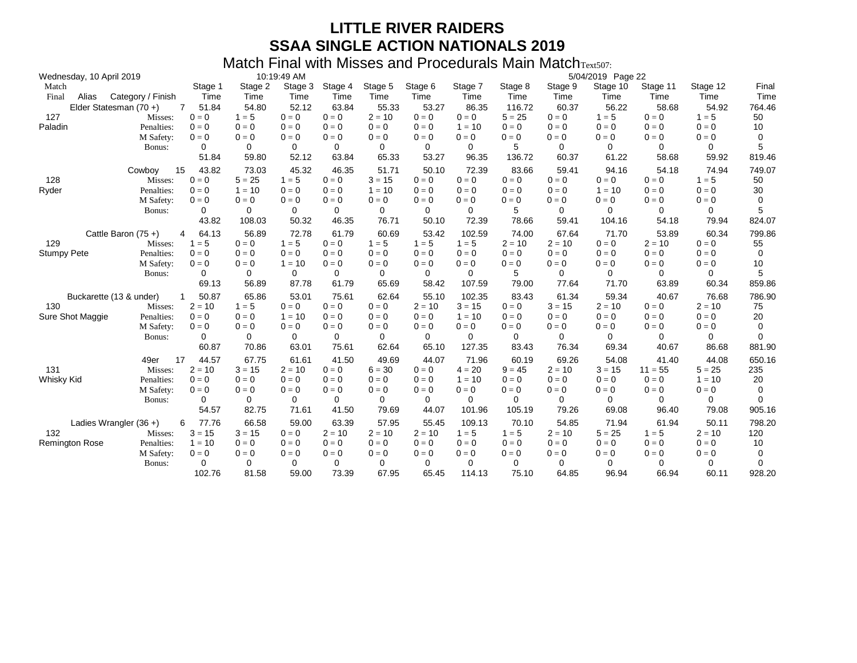| Wednesday, 10 April 2019 |                          |                         |                 | 10:19:49 AM     |                 |                 |                 |                 |                 |                 | 5/04/2019 Page 22 |                  |                  |               |
|--------------------------|--------------------------|-------------------------|-----------------|-----------------|-----------------|-----------------|-----------------|-----------------|-----------------|-----------------|-------------------|------------------|------------------|---------------|
| Match<br>Final<br>Alias  | Category / Finish        | Stage 1<br>Time         | Stage 2<br>Time | Stage 3<br>Time | Stage 4<br>Time | Stage 5<br>Time | Stage 6<br>Time | Stage 7<br>Time | Stage 8<br>Time | Stage 9<br>Time | Stage 10<br>Time  | Stage 11<br>Time | Stage 12<br>Time | Final<br>Time |
|                          | Elder Statesman (70+)    | 51.84<br>$7^{\circ}$    | 54.80           | 52.12           | 63.84           | 55.33           | 53.27           | 86.35           | 116.72          | 60.37           | 56.22             | 58.68            | 54.92            | 764.46        |
| 127                      | Misses:                  | $0 = 0$                 | $1 = 5$         | $0 = 0$         | $0 = 0$         | $2 = 10$        | $0 = 0$         | $0 = 0$         | $5 = 25$        | $0 = 0$         | $1 = 5$           | $0 = 0$          | $1 = 5$          | 50            |
| Paladin                  | Penalties:               | $0 = 0$                 | $0 = 0$         | $0 = 0$         | $0 = 0$         | $0 = 0$         | $0 = 0$         | $1 = 10$        | $0 = 0$         | $0 = 0$         | $0 = 0$           | $0 = 0$          | $0 = 0$          | 10            |
|                          | M Safety:                | $\mathbf{0}=\mathbf{0}$ | $0 = 0$         | $0 = 0$         | $0 = 0$         | $0 = 0$         | $0 = 0$         | $0 = 0$         | $0 = 0$         | $0 = 0$         | $0 = 0$           | $0 = 0$          | $0 = 0$          | 0             |
|                          | Bonus:                   | 0                       | 0               | $\Omega$        | 0               | 0               | 0               | 0               | 5               | $\Omega$        | $\Omega$          | $\Omega$         | $\Omega$         | 5             |
|                          |                          | 51.84                   | 59.80           | 52.12           | 63.84           | 65.33           | 53.27           | 96.35           | 136.72          | 60.37           | 61.22             | 58.68            | 59.92            | 819.46        |
|                          | 15<br>Cowboy             | 43.82                   | 73.03           | 45.32           | 46.35           | 51.71           | 50.10           | 72.39           | 83.66           | 59.41           | 94.16             | 54.18            | 74.94            | 749.07        |
| 128                      | Misses:                  | $0 = 0$                 | $5 = 25$        | $1 = 5$         | $0 = 0$         | $3 = 15$        | $0 = 0$         | $0 = 0$         | $0 = 0$         | $0 = 0$         | $0 = 0$           | $0 = 0$          | $1 = 5$          | 50            |
| Ryder                    | Penalties:               | $0 = 0$                 | $1 = 10$        | $0 = 0$         | $0 = 0$         | $1 = 10$        | $0 = 0$         | $0 = 0$         | $0 = 0$         | $0 = 0$         | $1 = 10$          | $0 = 0$          | $0 = 0$          | 30            |
|                          | M Safety:                | $0 = 0$                 | $0 = 0$         | $0 = 0$         | $0 = 0$         | $0 = 0$         | $0 = 0$         | $0 = 0$         | $0 = 0$         | $0 = 0$         | $0 = 0$           | $0 = 0$          | $0 = 0$          | 0             |
|                          | Bonus:                   | 0                       | 0               | $\Omega$        | 0               | 0               | $\Omega$        | $\Omega$        | 5               | 0               | $\Omega$          | 0                | 0                | 5             |
|                          |                          | 43.82                   | 108.03          | 50.32           | 46.35           | 76.71           | 50.10           | 72.39           | 78.66           | 59.41           | 104.16            | 54.18            | 79.94            | 824.07        |
|                          | Cattle Baron $(75 +)$    | 64.13<br>4              | 56.89           | 72.78           | 61.79           | 60.69           | 53.42           | 102.59          | 74.00           | 67.64           | 71.70             | 53.89            | 60.34            | 799.86        |
| 129                      | Misses:                  | $1 = 5$                 | $0 = 0$         | $1 = 5$         | $0 = 0$         | $1 = 5$         | $1 = 5$         | $1 = 5$         | $2 = 10$        | $2 = 10$        | $0 = 0$           | $2 = 10$         | $0 = 0$          | 55            |
| <b>Stumpy Pete</b>       | Penalties:               | $0 = 0$                 | $0 = 0$         | $0 = 0$         | $0 = 0$         | $0 = 0$         | $0 = 0$         | $0 = 0$         | $0 = 0$         | $0 = 0$         | $0 = 0$           | $0 = 0$          | $0 = 0$          | 0             |
|                          | M Safety:                | $0 = 0$                 | $0 = 0$         | $1 = 10$        | $0 = 0$         | $0 = 0$         | $0 = 0$         | $0 = 0$         | $0 = 0$         | $0 = 0$         | $0 = 0$           | $0 = 0$          | $0 = 0$          | 10            |
|                          | Bonus:                   | 0                       | 0               | 0               | 0               | 0               | 0               | 0               | 5               | 0               | $\Omega$          | 0                | 0                | 5             |
|                          | 69.13                    | 56.89                   | 87.78           | 61.79           | 65.69           | 58.42           | 107.59          | 79.00           | 77.64           | 71.70           | 63.89             | 60.34            | 859.86           |               |
|                          | Buckarette (13 & under)  | 50.87                   | 65.86           | 53.01           | 75.61           | 62.64           | 55.10           | 102.35          | 83.43           | 61.34           | 59.34             | 40.67            | 76.68            | 786.90        |
| 130                      | Misses:                  | $2 = 10$                | $1 = 5$         | $0 = 0$         | $0 = 0$         | $0 = 0$         | $2 = 10$        | $3 = 15$        | $0 = 0$         | $3 = 15$        | $2 = 10$          | $0 = 0$          | $2 = 10$         | 75            |
| Sure Shot Maggie         | Penalties:               | $0 = 0$                 | $0 = 0$         | $1 = 10$        | $0 = 0$         | $0 = 0$         | $0 = 0$         | $1 = 10$        | $0 = 0$         | $0 = 0$         | $0 = 0$           | $0 = 0$          | $0 = 0$          | 20            |
|                          | M Safety:                | $0 = 0$                 | $0 = 0$         | $0 = 0$         | $0 = 0$         | $0 = 0$         | $0 = 0$         | $0 = 0$         | $0 = 0$         | $0 = 0$         | $0 = 0$           | $0 = 0$          | $0 = 0$          | 0             |
|                          | Bonus:                   | 0                       | 0               | 0               | 0               | 0               | 0               | 0               | 0               | 0               | 0                 | 0                | 0                | 0             |
|                          |                          | 60.87                   | 70.86           | 63.01           | 75.61           | 62.64           | 65.10           | 127.35          | 83.43           | 76.34           | 69.34             | 40.67            | 86.68            | 881.90        |
|                          | 17<br>49er               | 44.57                   | 67.75           | 61.61           | 41.50           | 49.69           | 44.07           | 71.96           | 60.19           | 69.26           | 54.08             | 41.40            | 44.08            | 650.16        |
| 131                      | Misses:                  | $2 = 10$                | $3 = 15$        | $2 = 10$        | $0 = 0$         | $6 = 30$        | $0 = 0$         | $4 = 20$        | $9 = 45$        | $2 = 10$        | $3 = 15$          | $11 = 55$        | $5 = 25$         | 235           |
| Whisky Kid               | Penalties:               | $0 = 0$                 | $0 = 0$         | $0 = 0$         | $0 = 0$         | $0 = 0$         | $0 = 0$         | $1 = 10$        | $0 = 0$         | $0 = 0$         | $0 = 0$           | $0 = 0$          | $1 = 10$         | 20            |
|                          | M Safety:                | $0 = 0$                 | $0 = 0$         | $0 = 0$         | $0 = 0$         | $0 = 0$         | $0 = 0$         | $0 = 0$         | $0 = 0$         | $0 = 0$         | $0 = 0$           | $0 = 0$          | $0 = 0$          | 0             |
|                          | Bonus:                   | 0                       | 0               | $\Omega$        | 0               | 0               | 0               | 0               | 0               | $\Omega$        | 0                 | $\Omega$         | 0                | 0             |
|                          |                          | 54.57                   | 82.75           | 71.61           | 41.50           | 79.69           | 44.07           | 101.96          | 105.19          | 79.26           | 69.08             | 96.40            | 79.08            | 905.16        |
|                          | Ladies Wrangler $(36 +)$ | 77.76<br>6              | 66.58           | 59.00           | 63.39           | 57.95           | 55.45           | 109.13          | 70.10           | 54.85           | 71.94             | 61.94            | 50.11            | 798.20        |
| 132                      | Misses:                  | $3 = 15$                | $3 = 15$        | $0 = 0$         | $2 = 10$        | $2 = 10$        | $2 = 10$        | $1 = 5$         | $1 = 5$         | $2 = 10$        | $5 = 25$          | $1 = 5$          | $2 = 10$         | 120           |
| Remington Rose           | Penalties:               | $1 = 10$                | $0 = 0$         | $0 = 0$         | $0 = 0$         | $0 = 0$         | $0 = 0$         | $0 = 0$         | $0 = 0$         | $0 = 0$         | $0 = 0$           | $0 = 0$          | $0 = 0$          | 10            |
|                          | M Safety:                | $0 = 0$                 | $0 = 0$         | $0 = 0$         | $0 = 0$         | $0 = 0$         | $0 = 0$         | $0 = 0$         | $0 = 0$         | $0 = 0$         | $0 = 0$           | $0 = 0$          | $0 = 0$          | 0             |
|                          | Bonus:                   | 0                       | 0               | 0               | 0               | 0               | 0               | 0               | 0               | $\Omega$        | 0                 | $\Omega$         | 0                | 0             |
|                          |                          | 102.76                  | 81.58           | 59.00           | 73.39           | 67.95           | 65.45           | 114.13          | 75.10           | 64.85           | 96.94             | 66.94            | 60.11            | 928.20        |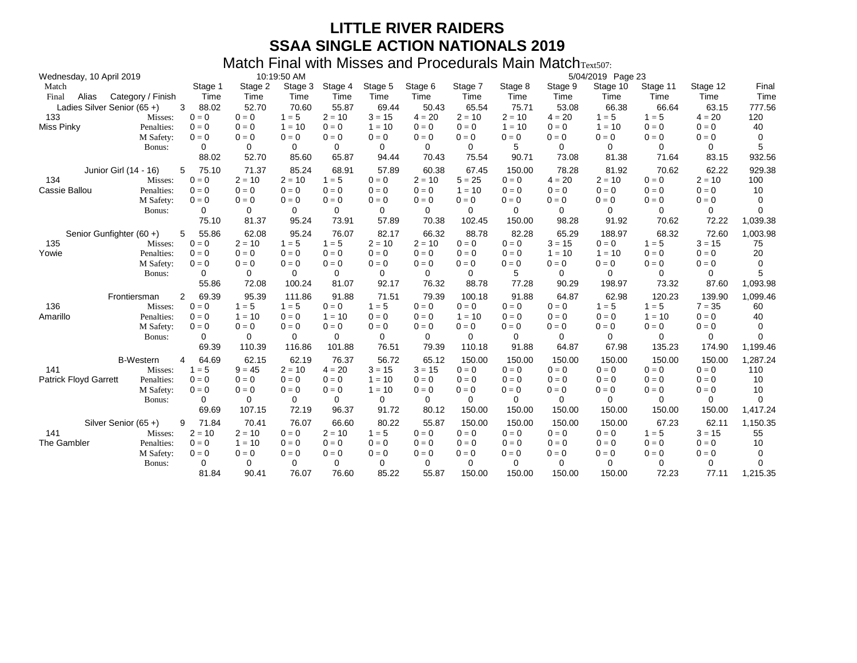| Wednesday, 10 April 2019     |                            |                 |                 | 10:19:50 AM     |                 |                 |                 |                 |                 |                 | 5/04/2019 Page 23 |                  |                  |               |
|------------------------------|----------------------------|-----------------|-----------------|-----------------|-----------------|-----------------|-----------------|-----------------|-----------------|-----------------|-------------------|------------------|------------------|---------------|
| Match<br>Final<br>Alias      | Category / Finish          | Stage 1<br>Time | Stage 2<br>Time | Stage 3<br>Time | Stage 4<br>Time | Stage 5<br>Time | Stage 6<br>Time | Stage 7<br>Time | Stage 8<br>Time | Stage 9<br>Time | Stage 10<br>Time  | Stage 11<br>Time | Stage 12<br>Time | Final<br>Time |
|                              | Ladies Silver Senior (65+) | 88.02<br>3      | 52.70           | 70.60           | 55.87           | 69.44           | 50.43           | 65.54           | 75.71           | 53.08           | 66.38             | 66.64            | 63.15            | 777.56        |
| 133                          | Misses:                    | $0 = 0$         | $0 = 0$         | $1 = 5$         | $2 = 10$        | $3 = 15$        | $4 = 20$        | $2 = 10$        | $2 = 10$        | $4 = 20$        | $1 = 5$           | $1 = 5$          | $4 = 20$         | 120           |
| <b>Miss Pinky</b>            | Penalties:                 | $0 = 0$         | $0 = 0$         | $1 = 10$        | $0 = 0$         | $1 = 10$        | $0 = 0$         | $0 = 0$         | $1 = 10$        | $0 = 0$         | $1 = 10$          | $0 = 0$          | $0 = 0$          | 40            |
|                              | M Safety:                  | $0 = 0$         | $0 = 0$         | $0 = 0$         | $0 = 0$         | $0 = 0$         | $0 = 0$         | $0 = 0$         | $0 = 0$         | $0 = 0$         | $0 = 0$           | $0 = 0$          | $0 = 0$          | 0             |
|                              | Bonus:                     | 0               | $\Omega$        | $\Omega$        | 0               | $\Omega$        | $\Omega$        | $\Omega$        | 5               | $\Omega$        | $\Omega$          | $\Omega$         | $\Omega$         | 5             |
|                              |                            | 88.02           | 52.70           | 85.60           | 65.87           | 94.44           | 70.43           | 75.54           | 90.71           | 73.08           | 81.38             | 71.64            | 83.15            | 932.56        |
|                              | Junior Girl (14 - 16)      | 75.10<br>5      | 71.37           | 85.24           | 68.91           | 57.89           | 60.38           | 67.45           | 150.00          | 78.28           | 81.92             | 70.62            | 62.22            | 929.38        |
| 134                          | Misses:                    | $0 = 0$         | $2 = 10$        | $2 = 10$        | $1 = 5$         | $0 = 0$         | $2 = 10$        | $5 = 25$        | $0 = 0$         | $4 = 20$        | $2 = 10$          | $0 = 0$          | $2 = 10$         | 100           |
| Cassie Ballou                | Penalties:                 | $0 = 0$         | $0 = 0$         | $0 = 0$         | $0 = 0$         | $0 = 0$         | $0 = 0$         | $1 = 10$        | $0 = 0$         | $0 = 0$         | $0 = 0$           | $0 = 0$          | $0 = 0$          | 10            |
|                              | M Safety:                  | $0 = 0$         | $0 = 0$         | $0 = 0$         | $0 = 0$         | $0 = 0$         | $0 = 0$         | $0 = 0$         | $0 = 0$         | $0 = 0$         | $0 = 0$           | $0 = 0$          | $0 = 0$          | 0             |
|                              | Bonus:                     | 0               | 0               | 0               | 0               | 0               | 0               | 0               | 0               | 0               | 0                 | 0                | 0                | 0             |
|                              |                            | 75.10           | 81.37           | 95.24           | 73.91           | 57.89           | 70.38           | 102.45          | 150.00          | 98.28           | 91.92             | 70.62            | 72.22            | 1,039.38      |
|                              | Senior Gunfighter (60+)    | 55.86<br>5      | 62.08           | 95.24           | 76.07           | 82.17           | 66.32           | 88.78           | 82.28           | 65.29           | 188.97            | 68.32            | 72.60            | 1,003.98      |
| 135                          | Misses:                    | $0 = 0$         | $2 = 10$        | $1 = 5$         | $1 = 5$         | $2 = 10$        | $2 = 10$        | $0 = 0$         | $0 = 0$         | $3 = 15$        | $0 = 0$           | $1 = 5$          | $3 = 15$         | 75            |
| Yowie                        | Penalties:                 | $0 = 0$         | $0 = 0$         | $0 = 0$         | $0 = 0$         | $0 = 0$         | $0 = 0$         | $0 = 0$         | $0 = 0$         | $1 = 10$        | $1 = 10$          | $0 = 0$          | $0 = 0$          | 20            |
|                              | M Safety:                  | $0 = 0$         | $0 = 0$         | $0 = 0$         | $0 = 0$         | $0 = 0$         | $0 = 0$         | $0 = 0$         | $0 = 0$         | $0 = 0$         | $0 = 0$           | $0 = 0$          | $0 = 0$          | 0             |
|                              | Bonus:                     | 0               | 0               | 0               | 0               | 0               | 0               | $\Omega$        | 5               | 0               | $\Omega$          | 0                | 0                | 5             |
|                              |                            | 55.86           | 72.08           | 100.24          | 81.07           | 92.17           | 76.32           | 88.78           | 77.28           | 90.29           | 198.97            | 73.32            | 87.60            | 1,093.98      |
|                              | Frontiersman               | 2<br>69.39      | 95.39           | 111.86          | 91.88           | 71.51           | 79.39           | 100.18          | 91.88           | 64.87           | 62.98             | 120.23           | 139.90           | 1,099.46      |
| 136                          | Misses:                    | $0 = 0$         | $1 = 5$         | $1 = 5$         | $0 = 0$         | $1 = 5$         | $0 = 0$         | $0 = 0$         | $0 = 0$         | $0 = 0$         | $1 = 5$           | $1 = 5$          | $7 = 35$         | 60            |
| Amarillo                     | Penalties:                 | $0 = 0$         | $1 = 10$        | $0 = 0$         | $1 = 10$        | $0 = 0$         | $0 = 0$         | $1 = 10$        | $0 = 0$         | $0 = 0$         | $0 = 0$           | $1 = 10$         | $0 = 0$          | 40            |
|                              | M Safety:                  | $0 = 0$         | $0 = 0$         | $0 = 0$         | $0 = 0$         | $0 = 0$         | $0 = 0$         | $0 = 0$         | $0 = 0$         | $0 = 0$         | $0 = 0$           | $0 = 0$          | $0 = 0$          | 0             |
|                              | Bonus:                     | 0               | 0               | 0               | 0               | 0               | 0               | 0               | 0               | 0               | $\Omega$          | 0                | $\Omega$         | $\Omega$      |
|                              |                            | 69.39           | 110.39          | 116.86          | 101.88          | 76.51           | 79.39           | 110.18          | 91.88           | 64.87           | 67.98             | 135.23           | 174.90           | 1,199.46      |
|                              | <b>B-Western</b>           | 64.69<br>4      | 62.15           | 62.19           | 76.37           | 56.72           | 65.12           | 150.00          | 150.00          | 150.00          | 150.00            | 150.00           | 150.00           | 1,287.24      |
| 141                          | Misses:                    | $1 = 5$         | $9 = 45$        | $2 = 10$        | $4 = 20$        | $3 = 15$        | $3 = 15$        | $0 = 0$         | $0 = 0$         | $0 = 0$         | $0 = 0$           | $0 = 0$          | $0 = 0$          | 110           |
| <b>Patrick Floyd Garrett</b> | Penalties:                 | $0 = 0$         | $0 = 0$         | $0 = 0$         | $0 = 0$         | $1 = 10$        | $0 = 0$         | $0 = 0$         | $0 = 0$         | $0 = 0$         | $0 = 0$           | $0 = 0$          | $0 = 0$          | 10            |
|                              | M Safety:                  | $0 = 0$         | $0 = 0$         | $0 = 0$         | $0 = 0$         | $1 = 10$        | $0 = 0$         | $0 = 0$         | $0 = 0$         | $0 = 0$         | $0 = 0$           | $0 = 0$          | $0 = 0$          | 10            |
|                              | Bonus:                     | 0               | 0               | 0               | 0               | 0               | 0               | 0               | 0               | 0               | 0                 | 0                | 0                | $\Omega$      |
|                              |                            | 69.69           | 107.15          | 72.19           | 96.37           | 91.72           | 80.12           | 150.00          | 150.00          | 150.00          | 150.00            | 150.00           | 150.00           | 1,417.24      |
|                              | Silver Senior (65+)        | 71.84<br>9      | 70.41           | 76.07           | 66.60           | 80.22           | 55.87           | 150.00          | 150.00          | 150.00          | 150.00            | 67.23            | 62.11            | 1,150.35      |
| 141                          | Misses:                    | $2 = 10$        | $2 = 10$        | $0 = 0$         | $2 = 10$        | $1 = 5$         | $0 = 0$         | $0 = 0$         | $0 = 0$         | $0 = 0$         | $0 = 0$           | $1 = 5$          | $3 = 15$         | 55            |
| The Gambler                  | Penalties:                 | $0 = 0$         | $1 = 10$        | $0 = 0$         | $0 = 0$         | $0 = 0$         | $0 = 0$         | $0 = 0$         | $0 = 0$         | $0 = 0$         | $0 = 0$           | $0 = 0$          | $0 = 0$          | 10            |
|                              | M Safety:                  | $0 = 0$         | $0 = 0$         | $0 = 0$         | $0 = 0$         | $0 = 0$         | $0 = 0$         | $0 = 0$         | $0 = 0$         | $0 = 0$         | $0 = 0$           | $0 = 0$          | $0 = 0$          | $\Omega$      |
|                              | Bonus:                     | 0               | 0               | 0               | 0               | 0               | 0               | 0               | 0               | 0               | $\Omega$          | 0                | 0                | 0             |
|                              |                            | 81.84           | 90.41           | 76.07           | 76.60           | 85.22           | 55.87           | 150.00          | 150.00          | 150.00          | 150.00            | 72.23            | 77.11            | 1,215.35      |